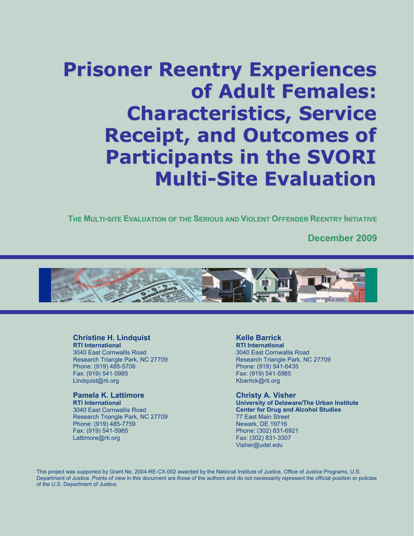# **Prisoner Reentry Experiences of Adult Females: Characteristics, Service Receipt, and Outcomes of Participants in the SVORI Multi-Site Evaluation**

**THE MULTI-SITE EVALUATION OF THE SERIOUS AND VIOLENT OFFENDER REENTRY INITIATIVE**

**December 2009**



#### **Christine H. Lindquist**

**RTI International**  3040 East Cornwallis Road Research Triangle Park, NC 27709 Phone: (919) 485-5706 Fax: (919) 541-5985 [Lindquist@rti.org](mailto:Hawkins@rti.org)

#### **Pamela K. Lattimore**

**RTI International**  3040 East Cornwallis Road Research Triangle Park, NC 27709 Phone: (919) 485-7759 Fax: (919) 541-5985 Lattimore@rti.org

#### **Kelle Barrick**

**RTI International**  3040 East Cornwallis Road Research Triangle Park, NC 27709 Phone: (919) 541-6435 Fax: (919) 541-5985 [Kbarrick@rti.org](mailto:Ddawes@rti.org)

#### **Christy A. Visher**

**University of Delaware/The Urban Institute Center for Drug and Alcohol Studies**  77 East Main Street Newark, DE 19716 Phone: (302) 831-6921 Fax: (302) 831-3307 [Visher@udel.edu](mailto:Visher@udel.edu)

This project was supported by Grant No. 2004-RE-CX-002 awarded by the National Institute of Justice, Office of Justice Programs, U.S. Department of Justice. Points of view in this document are those of the authors and do not necessarily represent the official position or policies of the U.S. Department of Justice.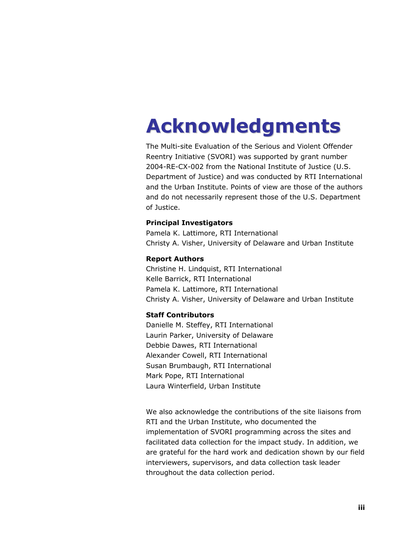# **Acknowledgments**

The Multi-site Evaluation of the Serious and Violent Offender Reentry Initiative (SVORI) was supported by grant number 2004-RE-CX-002 from the National Institute of Justice (U.S. Department of Justice) and was conducted by RTI International and the Urban Institute. Points of view are those of the authors and do not necessarily represent those of the U.S. Department of Justice.

#### **Principal Investigators**

Pamela K. Lattimore, RTI International Christy A. Visher, University of Delaware and Urban Institute

#### **Report Authors**

Christine H. Lindquist, RTI International Kelle Barrick, RTI International Pamela K. Lattimore, RTI International Christy A. Visher, University of Delaware and Urban Institute

#### **Staff Contributors**

Danielle M. Steffey, RTI International Laurin Parker, University of Delaware Debbie Dawes, RTI International Alexander Cowell, RTI International Susan Brumbaugh, RTI International Mark Pope, RTI International Laura Winterfield, Urban Institute

We also acknowledge the contributions of the site liaisons from RTI and the Urban Institute, who documented the implementation of SVORI programming across the sites and facilitated data collection for the impact study. In addition, we are grateful for the hard work and dedication shown by our field interviewers, supervisors, and data collection task leader throughout the data collection period.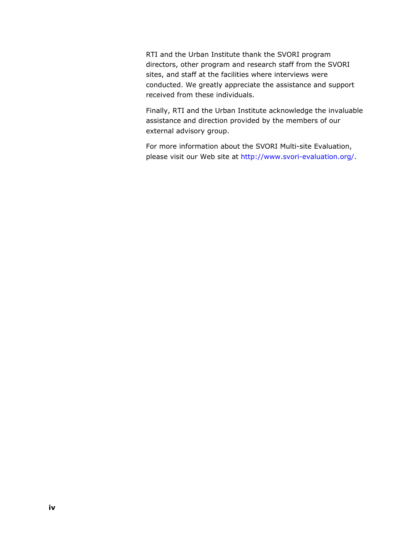RTI and the Urban Institute thank the SVORI program directors, other program and research staff from the SVORI sites, and staff at the facilities where interviews were conducted. We greatly appreciate the assistance and support received from these individuals.

Finally, RTI and the Urban Institute acknowledge the invaluable assistance and direction provided by the members of our external advisory group.

For more information about the SVORI Multi-site Evaluation, please visit our Web site at<http://www.svori-evaluation.org/>.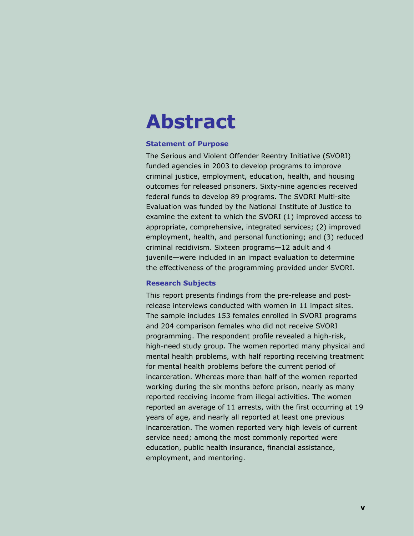## **Abstract**

#### **Statement of Purpose**

The Serious and Violent Offender Reentry Initiative (SVORI) funded agencies in 2003 to develop programs to improve criminal justice, employment, education, health, and housing outcomes for released prisoners. Sixty-nine agencies received federal funds to develop 89 programs. The SVORI Multi-site Evaluation was funded by the National Institute of Justice to examine the extent to which the SVORI (1) improved access to appropriate, comprehensive, integrated services; (2) improved employment, health, and personal functioning; and (3) reduced criminal recidivism. Sixteen programs—12 adult and 4 juvenile—were included in an impact evaluation to determine the effectiveness of the programming provided under SVORI.

#### **Research Subjects**

This report presents findings from the pre-release and postrelease interviews conducted with women in 11 impact sites. The sample includes 153 females enrolled in SVORI programs and 204 comparison females who did not receive SVORI programming. The respondent profile revealed a high-risk, high-need study group. The women reported many physical and mental health problems, with half reporting receiving treatment for mental health problems before the current period of incarceration. Whereas more than half of the women reported working during the six months before prison, nearly as many reported receiving income from illegal activities. The women reported an average of 11 arrests, with the first occurring at 19 years of age, and nearly all reported at least one previous incarceration. The women reported very high levels of current service need; among the most commonly reported were education, public health insurance, financial assistance, employment, and mentoring.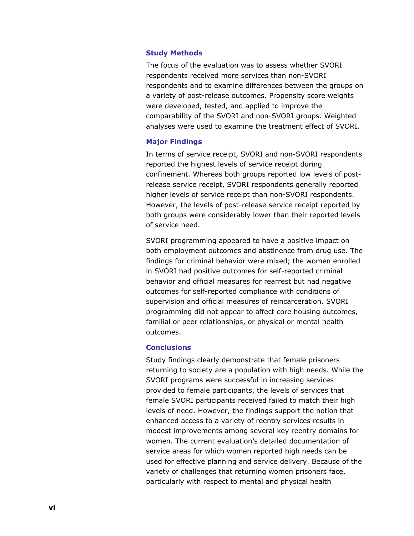#### **Study Methods**

The focus of the evaluation was to assess whether SVORI respondents received more services than non-SVORI respondents and to examine differences between the groups on a variety of post-release outcomes. Propensity score weights were developed, tested, and applied to improve the comparability of the SVORI and non-SVORI groups. Weighted analyses were used to examine the treatment effect of SVORI.

#### **Major Findings**

In terms of service receipt, SVORI and non-SVORI respondents reported the highest levels of service receipt during confinement. Whereas both groups reported low levels of postrelease service receipt, SVORI respondents generally reported higher levels of service receipt than non-SVORI respondents. However, the levels of post-release service receipt reported by both groups were considerably lower than their reported levels of service need.

SVORI programming appeared to have a positive impact on both employment outcomes and abstinence from drug use. The findings for criminal behavior were mixed; the women enrolled in SVORI had positive outcomes for self-reported criminal behavior and official measures for rearrest but had negative outcomes for self-reported compliance with conditions of supervision and official measures of reincarceration. SVORI programming did not appear to affect core housing outcomes, familial or peer relationships, or physical or mental health outcomes.

#### **Conclusions**

Study findings clearly demonstrate that female prisoners returning to society are a population with high needs. While the SVORI programs were successful in increasing services provided to female participants, the levels of services that female SVORI participants received failed to match their high levels of need. However, the findings support the notion that enhanced access to a variety of reentry services results in modest improvements among several key reentry domains for women. The current evaluation's detailed documentation of service areas for which women reported high needs can be used for effective planning and service delivery. Because of the variety of challenges that returning women prisoners face, particularly with respect to mental and physical health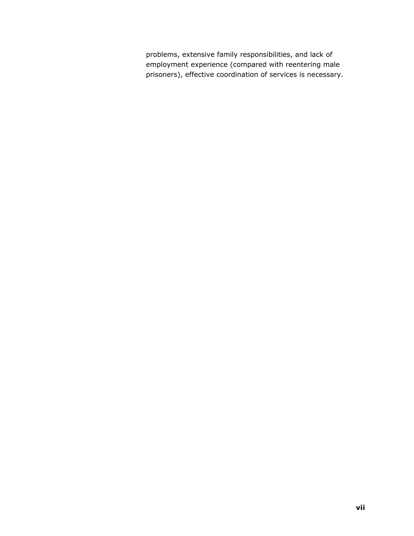problems, extensive family responsibilities, and lack of employment experience (compared with reentering male prisoners), effective coordination of services is necessary.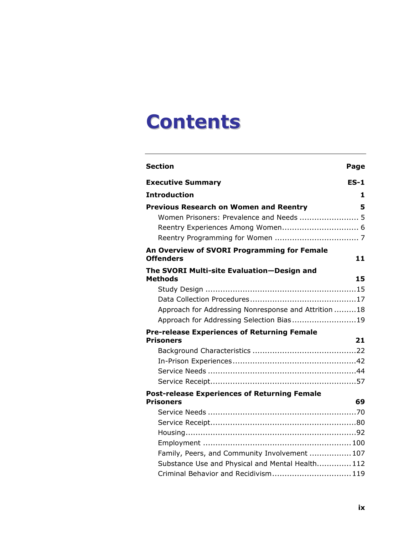# **Contents**

| <b>Section</b>                                                         | Page   |
|------------------------------------------------------------------------|--------|
| <b>Executive Summary</b>                                               | $ES-1$ |
| <b>Introduction</b>                                                    | 1      |
| <b>Previous Research on Women and Reentry</b>                          | 5      |
| Women Prisoners: Prevalence and Needs  5                               |        |
| Reentry Experiences Among Women 6                                      |        |
|                                                                        |        |
| An Overview of SVORI Programming for Female                            |        |
| <b>Offenders</b>                                                       | 11     |
| The SVORI Multi-site Evaluation-Design and                             |        |
| <b>Methods</b>                                                         | 15     |
|                                                                        |        |
|                                                                        |        |
| Approach for Addressing Nonresponse and Attrition 18                   |        |
| Approach for Addressing Selection Bias19                               |        |
| <b>Pre-release Experiences of Returning Female</b><br><b>Prisoners</b> | 21     |
|                                                                        |        |
|                                                                        |        |
|                                                                        |        |
|                                                                        |        |
| <b>Post-release Experiences of Returning Female</b>                    |        |
| <b>Prisoners</b>                                                       | 69     |
|                                                                        |        |
|                                                                        |        |
|                                                                        |        |
|                                                                        |        |
| Family, Peers, and Community Involvement  107                          |        |
| Substance Use and Physical and Mental Health 112                       |        |
| Criminal Behavior and Recidivism 119                                   |        |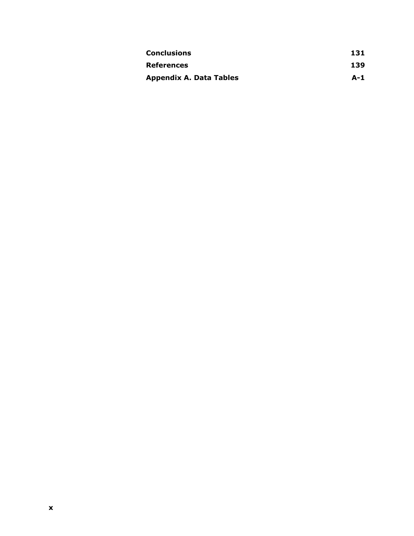| <b>Conclusions</b>             | 131 |
|--------------------------------|-----|
| <b>References</b>              | 139 |
| <b>Appendix A. Data Tables</b> | A-1 |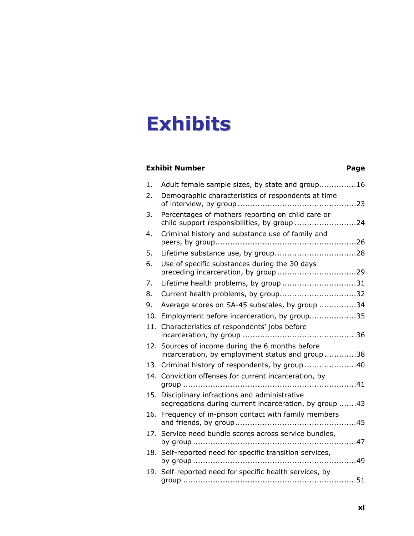# **Exhibits**

### **Exhibit Number**  Page

| 1.  | Adult female sample sizes, by state and group16                                                       |
|-----|-------------------------------------------------------------------------------------------------------|
| 2.  | Demographic characteristics of respondents at time                                                    |
| 3.  | Percentages of mothers reporting on child care or<br>child support responsibilities, by group 24      |
| 4.  | Criminal history and substance use of family and                                                      |
| 5.  |                                                                                                       |
| 6.  | Use of specific substances during the 30 days                                                         |
| 7.  | Lifetime health problems, by group 31                                                                 |
| 8.  | Current health problems, by group32                                                                   |
| 9.  | Average scores on SA-45 subscales, by group 34                                                        |
| 10. | Employment before incarceration, by group35                                                           |
| 11. | Characteristics of respondents' jobs before                                                           |
|     | 12. Sources of income during the 6 months before<br>incarceration, by employment status and group38   |
|     | 13. Criminal history of respondents, by group 40                                                      |
|     | 14. Conviction offenses for current incarceration, by                                                 |
| 15. | Disciplinary infractions and administrative<br>segregations during current incarceration, by group 43 |
| 16. | Frequency of in-prison contact with family members                                                    |
|     | 17. Service need bundle scores across service bundles,                                                |
| 18. | Self-reported need for specific transition services,<br>. 49                                          |
|     | 19. Self-reported need for specific health services, by                                               |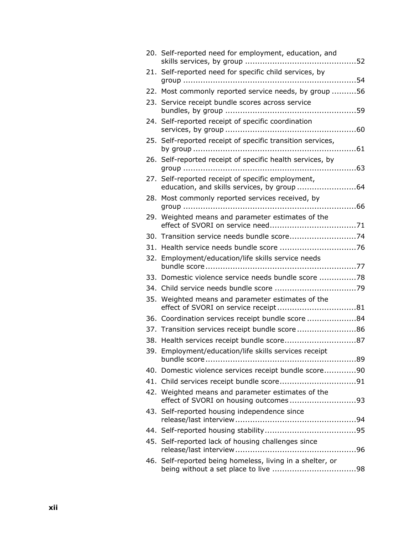|     | 20. Self-reported need for employment, education, and                                            |  |
|-----|--------------------------------------------------------------------------------------------------|--|
|     | 21. Self-reported need for specific child services, by                                           |  |
|     | 22. Most commonly reported service needs, by group 56                                            |  |
|     | 23. Service receipt bundle scores across service                                                 |  |
|     | 24. Self-reported receipt of specific coordination                                               |  |
|     | 25. Self-reported receipt of specific transition services,                                       |  |
|     | 26. Self-reported receipt of specific health services, by                                        |  |
|     | 27. Self-reported receipt of specific employment,<br>education, and skills services, by group 64 |  |
|     | 28. Most commonly reported services received, by                                                 |  |
| 29. | Weighted means and parameter estimates of the                                                    |  |
|     | 30. Transition service needs bundle score74                                                      |  |
|     |                                                                                                  |  |
|     | 32. Employment/education/life skills service needs                                               |  |
|     | 33. Domestic violence service needs bundle score 78                                              |  |
|     |                                                                                                  |  |
| 35. | Weighted means and parameter estimates of the                                                    |  |
|     | 36. Coordination services receipt bundle score 84                                                |  |
|     | 37. Transition services receipt bundle score 86                                                  |  |
|     | 38. Health services receipt bundle score87                                                       |  |
|     | 39. Employment/education/life skills services receipt                                            |  |
|     | 40. Domestic violence services receipt bundle score90                                            |  |
|     |                                                                                                  |  |
|     | 42. Weighted means and parameter estimates of the<br>effect of SVORI on housing outcomes93       |  |
|     | 43. Self-reported housing independence since                                                     |  |
|     |                                                                                                  |  |
|     | 45. Self-reported lack of housing challenges since                                               |  |
|     | 46. Self-reported being homeless, living in a shelter, or                                        |  |
|     |                                                                                                  |  |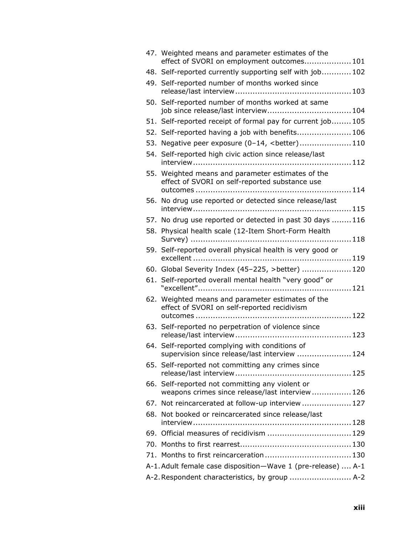|     | 47. Weighted means and parameter estimates of the<br>effect of SVORI on employment outcomes 101     |  |
|-----|-----------------------------------------------------------------------------------------------------|--|
|     | 48. Self-reported currently supporting self with job 102                                            |  |
|     | 49. Self-reported number of months worked since                                                     |  |
|     | 50. Self-reported number of months worked at same<br>job since release/last interview 104           |  |
|     | 51. Self-reported receipt of formal pay for current job 105                                         |  |
|     | 52. Self-reported having a job with benefits 106                                                    |  |
|     | 53. Negative peer exposure (0-14, <better)110< td=""><td></td></better)110<>                        |  |
|     | 54. Self-reported high civic action since release/last                                              |  |
|     | 55. Weighted means and parameter estimates of the<br>effect of SVORI on self-reported substance use |  |
| 56. | No drug use reported or detected since release/last                                                 |  |
|     | 57. No drug use reported or detected in past 30 days 116                                            |  |
|     | 58. Physical health scale (12-Item Short-Form Health                                                |  |
|     | 59. Self-reported overall physical health is very good or                                           |  |
|     | 60. Global Severity Index (45-225, >better)  120                                                    |  |
|     | 61. Self-reported overall mental health "very good" or                                              |  |
| 62. | Weighted means and parameter estimates of the<br>effect of SVORI on self-reported recidivism        |  |
|     | 63. Self-reported no perpetration of violence since                                                 |  |
|     | 64. Self-reported complying with conditions of<br>supervision since release/last interview  124     |  |
|     | 65. Self-reported not committing any crimes since                                                   |  |
|     | 66. Self-reported not committing any violent or<br>weapons crimes since release/last interview 126  |  |
|     | 67. Not reincarcerated at follow-up interview  127                                                  |  |
|     | 68. Not booked or reincarcerated since release/last                                                 |  |
|     | 69. Official measures of recidivism  129                                                            |  |
|     |                                                                                                     |  |
|     |                                                                                                     |  |
|     | A-1. Adult female case disposition-Wave 1 (pre-release)  A-1                                        |  |
|     | A-2. Respondent characteristics, by group  A-2                                                      |  |
|     |                                                                                                     |  |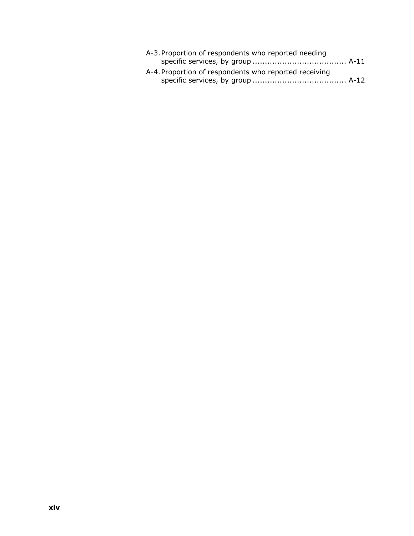| A-3. Proportion of respondents who reported needing   |  |
|-------------------------------------------------------|--|
| A-4. Proportion of respondents who reported receiving |  |
|                                                       |  |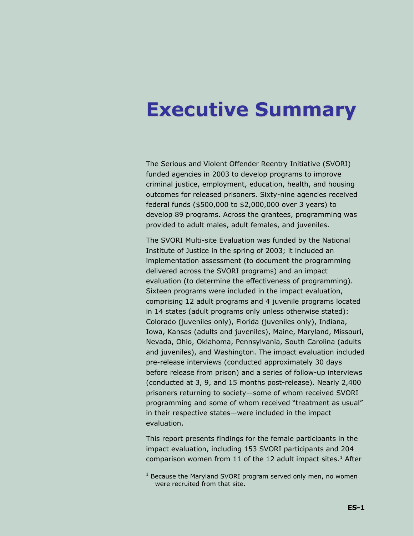### <span id="page-14-1"></span><span id="page-14-0"></span>**Executive Summary**

The Serious and Violent Offender Reentry Initiative (SVORI) funded agencies in 2003 to develop programs to improve criminal justice, employment, education, health, and housing outcomes for released prisoners. Sixty-nine agencies received federal funds (\$500,000 to \$2,000,000 over 3 years) to develop 89 programs. Across the grantees, programming was provided to adult males, adult females, and juveniles.

The SVORI Multi-site Evaluation was funded by the National Institute of Justice in the spring of 2003; it included an implementation assessment (to document the programming delivered across the SVORI programs) and an impact evaluation (to determine the effectiveness of programming). Sixteen programs were included in the impact evaluation, comprising 12 adult programs and 4 juvenile programs located in 14 states (adult programs only unless otherwise stated): Colorado (juveniles only), Florida (juveniles only), Indiana, Iowa, Kansas (adults and juveniles), Maine, Maryland, Missouri, Nevada, Ohio, Oklahoma, Pennsylvania, South Carolina (adults and juveniles), and Washington. The impact evaluation included pre-release interviews (conducted approximately 30 days before release from prison) and a series of follow-up interviews (conducted at 3, 9, and 15 months post-release). Nearly 2,400 prisoners returning to society—some of whom received SVORI programming and some of whom received "treatment as usual" in their respective states—were included in the impact evaluation.

This report presents findings for the female participants in the impact evaluation, including 153 SVORI participants and 204 comparison women from [1](#page-14-2)1 of the 12 adult impact sites.<sup>1</sup> After

-

<span id="page-14-2"></span> $1$  Because the Maryland SVORI program served only men, no women were recruited from that site.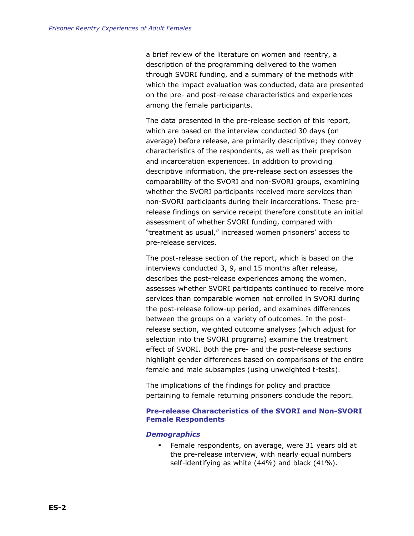a brief review of the literature on women and reentry, a description of the programming delivered to the women through SVORI funding, and a summary of the methods with which the impact evaluation was conducted, data are presented on the pre- and post-release characteristics and experiences among the female participants.

The data presented in the pre-release section of this report, which are based on the interview conducted 30 days (on average) before release, are primarily descriptive; they convey characteristics of the respondents, as well as their preprison and incarceration experiences. In addition to providing descriptive information, the pre-release section assesses the comparability of the SVORI and non-SVORI groups, examining whether the SVORI participants received more services than non-SVORI participants during their incarcerations. These prerelease findings on service receipt therefore constitute an initial assessment of whether SVORI funding, compared with "treatment as usual," increased women prisoners' access to pre-release services.

The post-release section of the report, which is based on the interviews conducted 3, 9, and 15 months after release, describes the post-release experiences among the women, assesses whether SVORI participants continued to receive more services than comparable women not enrolled in SVORI during the post-release follow-up period, and examines differences between the groups on a variety of outcomes. In the postrelease section, weighted outcome analyses (which adjust for selection into the SVORI programs) examine the treatment effect of SVORI. Both the pre- and the post-release sections highlight gender differences based on comparisons of the entire female and male subsamples (using unweighted t-tests).

The implications of the findings for policy and practice pertaining to female returning prisoners conclude the report.

#### **Pre-release Characteristics of the SVORI and Non-SVORI Female Respondents**

#### *Demographics*

 Female respondents, on average, were 31 years old at the pre-release interview, with nearly equal numbers self-identifying as white (44%) and black (41%).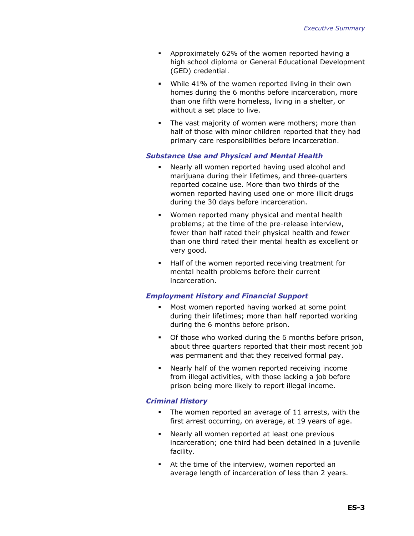- Approximately 62% of the women reported having a high school diploma or General Educational Development (GED) credential.
- While 41% of the women reported living in their own homes during the 6 months before incarceration, more than one fifth were homeless, living in a shelter, or without a set place to live.
- **The vast majority of women were mothers; more than** half of those with minor children reported that they had primary care responsibilities before incarceration.

#### *Substance Use and Physical and Mental Health*

- Nearly all women reported having used alcohol and marijuana during their lifetimes, and three-quarters reported cocaine use. More than two thirds of the women reported having used one or more illicit drugs during the 30 days before incarceration.
- Women reported many physical and mental health problems; at the time of the pre-release interview, fewer than half rated their physical health and fewer than one third rated their mental health as excellent or very good.
- Half of the women reported receiving treatment for mental health problems before their current incarceration.

#### *Employment History and Financial Support*

- Most women reported having worked at some point during their lifetimes; more than half reported working during the 6 months before prison.
- Of those who worked during the 6 months before prison, about three quarters reported that their most recent job was permanent and that they received formal pay.
- Nearly half of the women reported receiving income from illegal activities, with those lacking a job before prison being more likely to report illegal income.

#### *Criminal History*

- The women reported an average of 11 arrests, with the first arrest occurring, on average, at 19 years of age.
- Nearly all women reported at least one previous incarceration; one third had been detained in a juvenile facility.
- At the time of the interview, women reported an average length of incarceration of less than 2 years.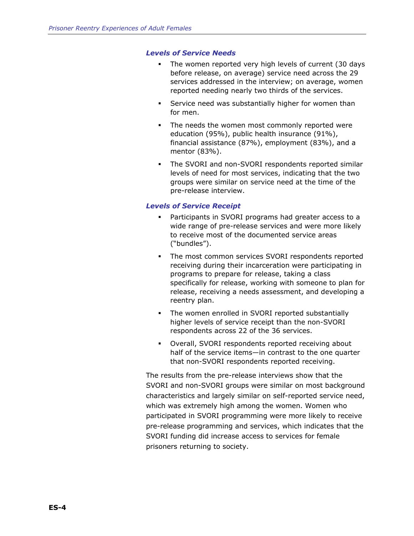#### *Levels of Service Needs*

- The women reported very high levels of current (30 days before release, on average) service need across the 29 services addressed in the interview; on average, women reported needing nearly two thirds of the services.
- **Service need was substantially higher for women than** for men.
- The needs the women most commonly reported were education (95%), public health insurance (91%), financial assistance (87%), employment (83%), and a mentor (83%).
- The SVORI and non-SVORI respondents reported similar levels of need for most services, indicating that the two groups were similar on service need at the time of the pre-release interview.

#### *Levels of Service Receipt*

- Participants in SVORI programs had greater access to a wide range of pre-release services and were more likely to receive most of the documented service areas ("bundles").
- The most common services SVORI respondents reported receiving during their incarceration were participating in programs to prepare for release, taking a class specifically for release, working with someone to plan for release, receiving a needs assessment, and developing a reentry plan.
- The women enrolled in SVORI reported substantially higher levels of service receipt than the non-SVORI respondents across 22 of the 36 services.
- Overall, SVORI respondents reported receiving about half of the service items—in contrast to the one quarter that non-SVORI respondents reported receiving.

The results from the pre-release interviews show that the SVORI and non-SVORI groups were similar on most background characteristics and largely similar on self-reported service need, which was extremely high among the women. Women who participated in SVORI programming were more likely to receive pre-release programming and services, which indicates that the SVORI funding did increase access to services for female prisoners returning to society.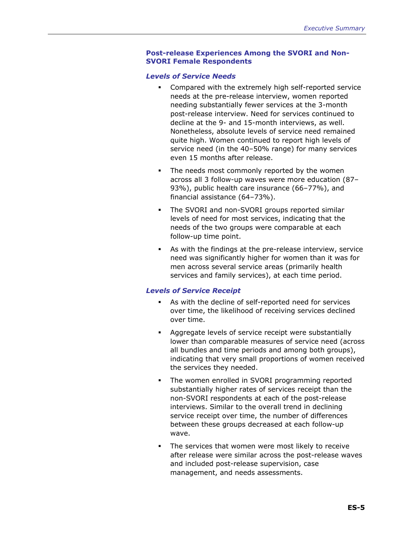#### **Post-release Experiences Among the SVORI and Non-SVORI Female Respondents**

#### *Levels of Service Needs*

- Compared with the extremely high self-reported service needs at the pre-release interview, women reported needing substantially fewer services at the 3-month post-release interview. Need for services continued to decline at the 9- and 15-month interviews, as well. Nonetheless, absolute levels of service need remained quite high. Women continued to report high levels of service need (in the 40–50% range) for many services even 15 months after release.
- The needs most commonly reported by the women across all 3 follow-up waves were more education (87– 93%), public health care insurance (66–77%), and financial assistance (64–73%).
- **The SVORI and non-SVORI groups reported similar** levels of need for most services, indicating that the needs of the two groups were comparable at each follow-up time point.
- As with the findings at the pre-release interview, service need was significantly higher for women than it was for men across several service areas (primarily health services and family services), at each time period.

#### *Levels of Service Receipt*

- As with the decline of self-reported need for services over time, the likelihood of receiving services declined over time.
- Aggregate levels of service receipt were substantially lower than comparable measures of service need (across all bundles and time periods and among both groups), indicating that very small proportions of women received the services they needed.
- The women enrolled in SVORI programming reported substantially higher rates of services receipt than the non-SVORI respondents at each of the post-release interviews. Similar to the overall trend in declining service receipt over time, the number of differences between these groups decreased at each follow-up wave.
- The services that women were most likely to receive after release were similar across the post-release waves and included post-release supervision, case management, and needs assessments.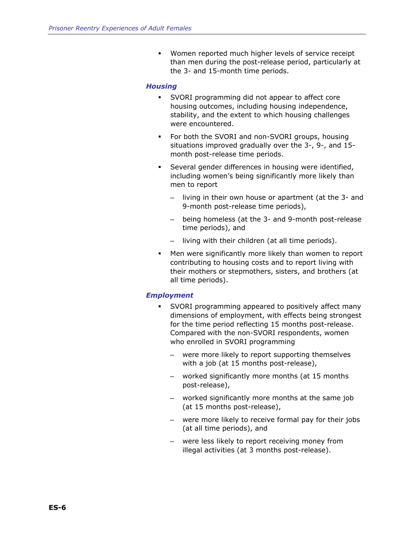Women reported much higher levels of service receipt than men during the post-release period, particularly at the 3- and 15-month time periods.

#### *Housing*

- SVORI programming did not appear to affect core housing outcomes, including housing independence, stability, and the extent to which housing challenges were encountered.
- For both the SVORI and non-SVORI groups, housing situations improved gradually over the 3-, 9-, and 15 month post-release time periods.
- Several gender differences in housing were identified, including women's being significantly more likely than men to report
	- living in their own house or apartment (at the 3- and 9-month post-release time periods),
	- being homeless (at the 3- and 9-month post-release time periods), and
	- living with their children (at all time periods).
- Men were significantly more likely than women to report contributing to housing costs and to report living with their mothers or stepmothers, sisters, and brothers (at all time periods).

#### *Employment*

- SVORI programming appeared to positively affect many dimensions of employment, with effects being strongest for the time period reflecting 15 months post-release. Compared with the non-SVORI respondents, women who enrolled in SVORI programming
	- were more likely to report supporting themselves with a job (at 15 months post-release),
	- worked significantly more months (at 15 months post-release),
	- worked significantly more months at the same job (at 15 months post-release),
	- were more likely to receive formal pay for their jobs (at all time periods), and
	- were less likely to report receiving money from illegal activities (at 3 months post-release).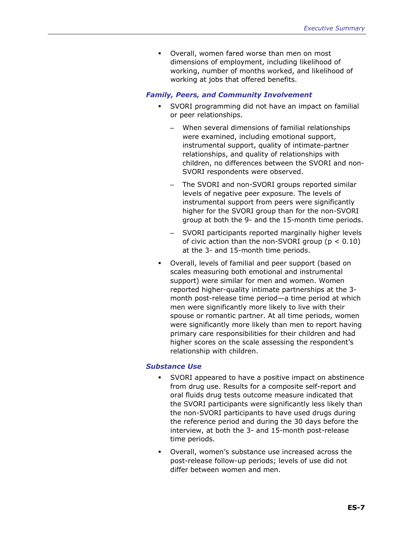Overall, women fared worse than men on most dimensions of employment, including likelihood of working, number of months worked, and likelihood of working at jobs that offered benefits.

#### *Family, Peers, and Community Involvement*

- SVORI programming did not have an impact on familial or peer relationships.
	- When several dimensions of familial relationships were examined, including emotional support, instrumental support, quality of intimate-partner relationships, and quality of relationships with children, no differences between the SVORI and non-SVORI respondents were observed.
	- The SVORI and non-SVORI groups reported similar levels of negative peer exposure. The levels of instrumental support from peers were significantly higher for the SVORI group than for the non-SVORI group at both the 9- and the 15-month time periods.
	- SVORI participants reported marginally higher levels of civic action than the non-SVORI group ( $p < 0.10$ ) at the 3- and 15-month time periods.
- Overall, levels of familial and peer support (based on scales measuring both emotional and instrumental support) were similar for men and women. Women reported higher-quality intimate partnerships at the 3 month post-release time period—a time period at which men were significantly more likely to live with their spouse or romantic partner. At all time periods, women were significantly more likely than men to report having primary care responsibilities for their children and had higher scores on the scale assessing the respondent's relationship with children.

#### *Substance Use*

- SVORI appeared to have a positive impact on abstinence from drug use. Results for a composite self-report and oral fluids drug tests outcome measure indicated that the SVORI participants were significantly less likely than the non-SVORI participants to have used drugs during the reference period and during the 30 days before the interview, at both the 3- and 15-month post-release time periods.
- Overall, women's substance use increased across the post-release follow-up periods; levels of use did not differ between women and men.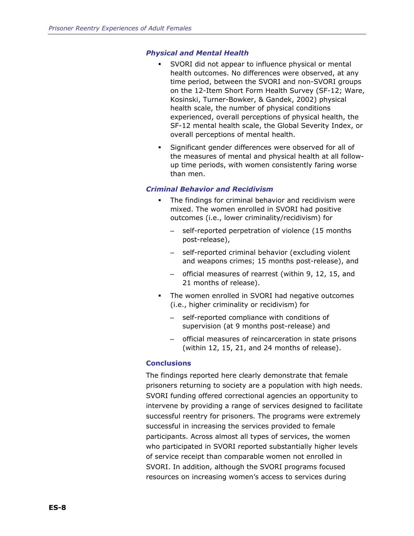#### *Physical and Mental Health*

- SVORI did not appear to influence physical or mental health outcomes. No differences were observed, at any time period, between the SVORI and non-SVORI groups on the 12-Item Short Form Health Survey (SF-12; Ware, Kosinski, Turner-Bowker, & Gandek, 2002) physical health scale, the number of physical conditions experienced, overall perceptions of physical health, the SF-12 mental health scale, the Global Severity Index, or overall perceptions of mental health.
- Significant gender differences were observed for all of the measures of mental and physical health at all followup time periods, with women consistently faring worse than men.

#### *Criminal Behavior and Recidivism*

- The findings for criminal behavior and recidivism were mixed. The women enrolled in SVORI had positive outcomes (i.e., lower criminality/recidivism) for
	- self-reported perpetration of violence (15 months post-release),
	- self-reported criminal behavior (excluding violent and weapons crimes; 15 months post-release), and
	- official measures of rearrest (within 9, 12, 15, and 21 months of release).
- **The women enrolled in SVORI had negative outcomes** (i.e., higher criminality or recidivism) for
	- self-reported compliance with conditions of supervision (at 9 months post-release) and
	- official measures of reincarceration in state prisons (within 12, 15, 21, and 24 months of release).

#### **Conclusions**

The findings reported here clearly demonstrate that female prisoners returning to society are a population with high needs. SVORI funding offered correctional agencies an opportunity to intervene by providing a range of services designed to facilitate successful reentry for prisoners. The programs were extremely successful in increasing the services provided to female participants. Across almost all types of services, the women who participated in SVORI reported substantially higher levels of service receipt than comparable women not enrolled in SVORI. In addition, although the SVORI programs focused resources on increasing women's access to services during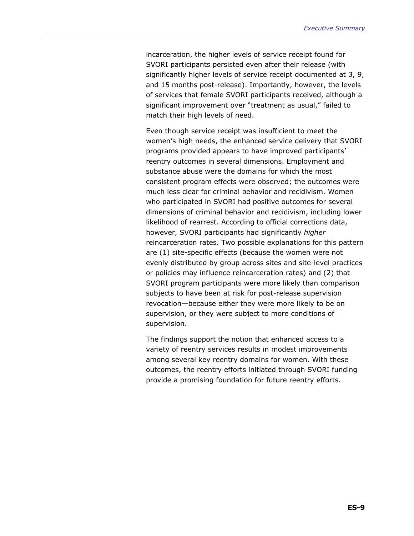incarceration, the higher levels of service receipt found for SVORI participants persisted even after their release (with significantly higher levels of service receipt documented at 3, 9, and 15 months post-release). Importantly, however, the levels of services that female SVORI participants received, although a significant improvement over "treatment as usual," failed to match their high levels of need.

Even though service receipt was insufficient to meet the women's high needs, the enhanced service delivery that SVORI programs provided appears to have improved participants' reentry outcomes in several dimensions. Employment and substance abuse were the domains for which the most consistent program effects were observed; the outcomes were much less clear for criminal behavior and recidivism. Women who participated in SVORI had positive outcomes for several dimensions of criminal behavior and recidivism, including lower likelihood of rearrest. According to official corrections data, however, SVORI participants had significantly *higher* reincarceration rates. Two possible explanations for this pattern are (1) site-specific effects (because the women were not evenly distributed by group across sites and site-level practices or policies may influence reincarceration rates) and (2) that SVORI program participants were more likely than comparison subjects to have been at risk for post-release supervision revocation—because either they were more likely to be on supervision, or they were subject to more conditions of supervision.

The findings support the notion that enhanced access to a variety of reentry services results in modest improvements among several key reentry domains for women. With these outcomes, the reentry efforts initiated through SVORI funding provide a promising foundation for future reentry efforts.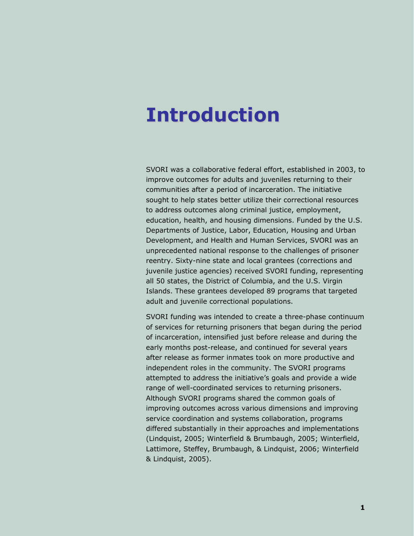### <span id="page-24-1"></span><span id="page-24-0"></span>**Introduction**

SVORI was a collaborative federal effort, established in 2003, to improve outcomes for adults and juveniles returning to their communities after a period of incarceration. The initiative sought to help states better utilize their correctional resources to address outcomes along criminal justice, employment, education, health, and housing dimensions. Funded by the U.S. Departments of Justice, Labor, Education, Housing and Urban Development, and Health and Human Services, SVORI was an unprecedented national response to the challenges of prisoner reentry. Sixty-nine state and local grantees (corrections and juvenile justice agencies) received SVORI funding, representing all 50 states, the District of Columbia, and the U.S. Virgin Islands. These grantees developed 89 programs that targeted adult and juvenile correctional populations.

SVORI funding was intended to create a three-phase continuum of services for returning prisoners that began during the period of incarceration, intensified just before release and during the early months post-release, and continued for several years after release as former inmates took on more productive and independent roles in the community. The SVORI programs attempted to address the initiative's goals and provide a wide range of well-coordinated services to returning prisoners. Although SVORI programs shared the common goals of improving outcomes across various dimensions and improving service coordination and systems collaboration, programs differed substantially in their approaches and implementations (Lindquist, 2005; Winterfield & Brumbaugh, 2005; Winterfield, Lattimore, Steffey, Brumbaugh, & Lindquist, 2006; Winterfield & Lindquist, 2005).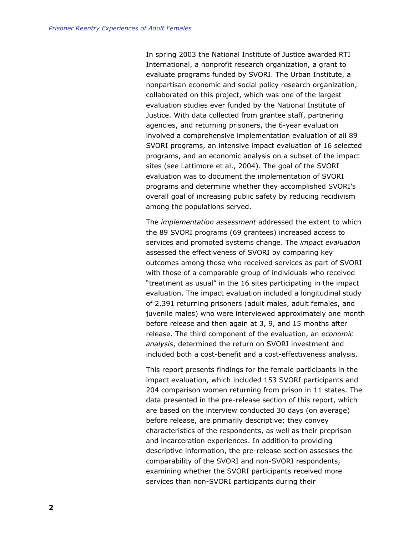In spring 2003 the National Institute of Justice awarded RTI International, a nonprofit research organization, a grant to evaluate programs funded by SVORI. The Urban Institute, a nonpartisan economic and social policy research organization, collaborated on this project, which was one of the largest evaluation studies ever funded by the National Institute of Justice. With data collected from grantee staff, partnering agencies, and returning prisoners, the 6-year evaluation involved a comprehensive implementation evaluation of all 89 SVORI programs, an intensive impact evaluation of 16 selected programs, and an economic analysis on a subset of the impact sites (see Lattimore et al., 2004). The goal of the SVORI evaluation was to document the implementation of SVORI programs and determine whether they accomplished SVORI's overall goal of increasing public safety by reducing recidivism among the populations served.

The *implementation assessment* addressed the extent to which the 89 SVORI programs (69 grantees) increased access to services and promoted systems change. The *impact evaluation* assessed the effectiveness of SVORI by comparing key outcomes among those who received services as part of SVORI with those of a comparable group of individuals who received "treatment as usual" in the 16 sites participating in the impact evaluation. The impact evaluation included a longitudinal study of 2,391 returning prisoners (adult males, adult females, and juvenile males) who were interviewed approximately one month before release and then again at 3, 9, and 15 months after release. The third component of the evaluation, an *economic analysis*, determined the return on SVORI investment and included both a cost-benefit and a cost-effectiveness analysis.

This report presents findings for the female participants in the impact evaluation, which included 153 SVORI participants and 204 comparison women returning from prison in 11 states. The data presented in the pre-release section of this report, which are based on the interview conducted 30 days (on average) before release, are primarily descriptive; they convey characteristics of the respondents, as well as their preprison and incarceration experiences. In addition to providing descriptive information, the pre-release section assesses the comparability of the SVORI and non-SVORI respondents, examining whether the SVORI participants received more services than non-SVORI participants during their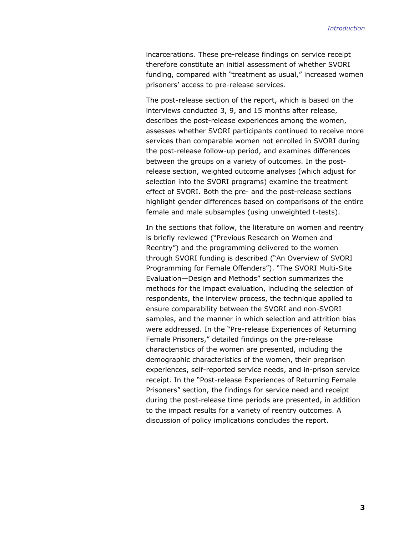incarcerations. These pre-release findings on service receipt therefore constitute an initial assessment of whether SVORI funding, compared with "treatment as usual," increased women prisoners' access to pre-release services.

The post-release section of the report, which is based on the interviews conducted 3, 9, and 15 months after release, describes the post-release experiences among the women, assesses whether SVORI participants continued to receive more services than comparable women not enrolled in SVORI during the post-release follow-up period, and examines differences between the groups on a variety of outcomes. In the postrelease section, weighted outcome analyses (which adjust for selection into the SVORI programs) examine the treatment effect of SVORI. Both the pre- and the post-release sections highlight gender differences based on comparisons of the entire female and male subsamples (using unweighted t-tests).

In the sections that follow, the literature on women and reentry is briefly reviewed ("Previous Research on Women and Reentry") and the programming delivered to the women through SVORI funding is described ("An Overview of SVORI Programming for Female Offenders"). "The SVORI Multi-Site Evaluation—Design and Methods" section summarizes the methods for the impact evaluation, including the selection of respondents, the interview process, the technique applied to ensure comparability between the SVORI and non-SVORI samples, and the manner in which selection and attrition bias were addressed. In the "Pre-release Experiences of Returning Female Prisoners," detailed findings on the pre-release characteristics of the women are presented, including the demographic characteristics of the women, their preprison experiences, self-reported service needs, and in-prison service receipt. In the "Post-release Experiences of Returning Female Prisoners" section, the findings for service need and receipt during the post-release time periods are presented, in addition to the impact results for a variety of reentry outcomes. A discussion of policy implications concludes the report.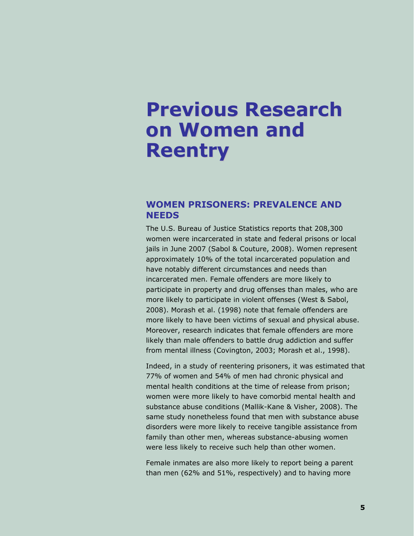### <span id="page-28-1"></span><span id="page-28-0"></span>**Previous Research on Women and Reentry**

### <span id="page-28-2"></span> **WOMEN PRISONERS: PREVALENCE AND NEEDS**

The U.S. Bureau of Justice Statistics reports that 208,300 women were incarcerated in state and federal prisons or local jails in June 2007 (Sabol & Couture, 2008). Women represent approximately 10% of the total incarcerated population and have notably different circumstances and needs than incarcerated men. Female offenders are more likely to participate in property and drug offenses than males, who are more likely to participate in violent offenses (West & Sabol, 2008). Morash et al. (1998) note that female offenders are more likely to have been victims of sexual and physical abuse. Moreover, research indicates that female offenders are more likely than male offenders to battle drug addiction and suffer from mental illness (Covington, 2003; Morash et al., 1998).

Indeed, in a study of reentering prisoners, it was estimated that 77% of women and 54% of men had chronic physical and mental health conditions at the time of release from prison; women were more likely to have comorbid mental health and substance abuse conditions (Mallik-Kane & Visher, 2008). The same study nonetheless found that men with substance abuse disorders were more likely to receive tangible assistance from family than other men, whereas substance-abusing women were less likely to receive such help than other women.

Female inmates are also more likely to report being a parent than men (62% and 51%, respectively) and to having more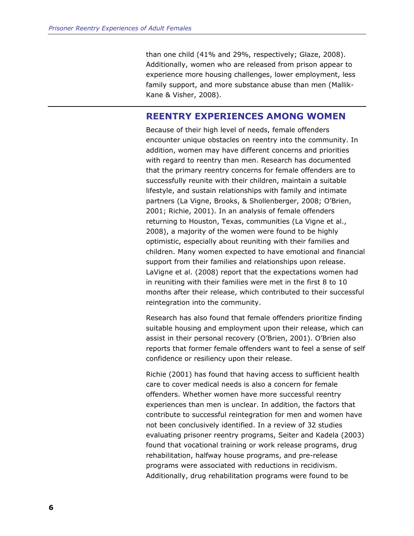<span id="page-29-0"></span>than one child (41% and 29%, respectively; Glaze, 2008). Additionally, women who are released from prison appear to experience more housing challenges, lower employment, less family support, and more substance abuse than men (Mallik-Kane & Visher, 2008).

### <span id="page-29-1"></span> **REENTRY EXPERIENCES AMONG WOMEN**

Because of their high level of needs, female offenders encounter unique obstacles on reentry into the community. In addition, women may have different concerns and priorities with regard to reentry than men. Research has documented that the primary reentry concerns for female offenders are to successfully reunite with their children, maintain a suitable lifestyle, and sustain relationships with family and intimate partners (La Vigne, Brooks, & Shollenberger, 2008; O'Brien, 2001; Richie, 2001). In an analysis of female offenders returning to Houston, Texas, communities (La Vigne et al., 2008), a majority of the women were found to be highly optimistic, especially about reuniting with their families and children. Many women expected to have emotional and financial support from their families and relationships upon release. LaVigne et al. (2008) report that the expectations women had in reuniting with their families were met in the first 8 to 10 months after their release, which contributed to their successful reintegration into the community.

Research has also found that female offenders prioritize finding suitable housing and employment upon their release, which can assist in their personal recovery (O'Brien, 2001). O'Brien also reports that former female offenders want to feel a sense of self confidence or resiliency upon their release.

Richie (2001) has found that having access to sufficient health care to cover medical needs is also a concern for female offenders. Whether women have more successful reentry experiences than men is unclear. In addition, the factors that contribute to successful reintegration for men and women have not been conclusively identified. In a review of 32 studies evaluating prisoner reentry programs, Seiter and Kadela (2003) found that vocational training or work release programs, drug rehabilitation, halfway house programs, and pre-release programs were associated with reductions in recidivism. Additionally, drug rehabilitation programs were found to be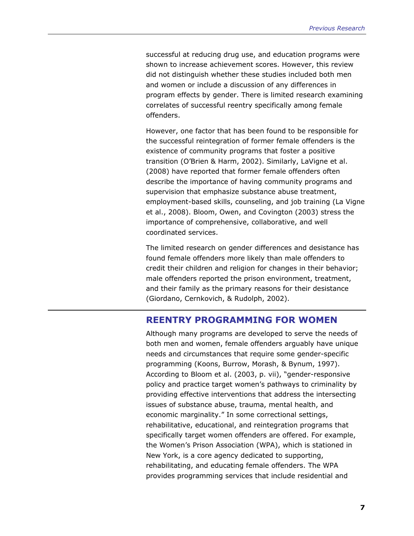<span id="page-30-0"></span>successful at reducing drug use, and education programs were shown to increase achievement scores. However, this review did not distinguish whether these studies included both men and women or include a discussion of any differences in program effects by gender. There is limited research examining correlates of successful reentry specifically among female offenders.

However, one factor that has been found to be responsible for the successful reintegration of former female offenders is the existence of community programs that foster a positive transition (O'Brien & Harm, 2002). Similarly, LaVigne et al. (2008) have reported that former female offenders often describe the importance of having community programs and supervision that emphasize substance abuse treatment, employment-based skills, counseling, and job training (La Vigne et al., 2008). Bloom, Owen, and Covington (2003) stress the importance of comprehensive, collaborative, and well coordinated services.

The limited research on gender differences and desistance has found female offenders more likely than male offenders to credit their children and religion for changes in their behavior; male offenders reported the prison environment, treatment, and their family as the primary reasons for their desistance (Giordano, Cernkovich, & Rudolph, 2002).

#### <span id="page-30-1"></span> **REENTRY PROGRAMMING FOR WOMEN**

Although many programs are developed to serve the needs of both men and women, female offenders arguably have unique needs and circumstances that require some gender-specific programming (Koons, Burrow, Morash, & Bynum, 1997). According to Bloom et al. (2003, p. vii), "gender-responsive policy and practice target women's pathways to criminality by providing effective interventions that address the intersecting issues of substance abuse, trauma, mental health, and economic marginality." In some correctional settings, rehabilitative, educational, and reintegration programs that specifically target women offenders are offered. For example, the Women's Prison Association (WPA), which is stationed in New York, is a core agency dedicated to supporting, rehabilitating, and educating female offenders. The WPA provides programming services that include residential and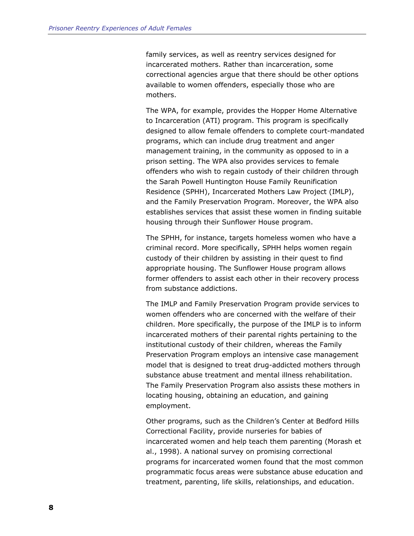family services, as well as reentry services designed for incarcerated mothers. Rather than incarceration, some correctional agencies argue that there should be other options available to women offenders, especially those who are mothers.

The WPA, for example, provides the Hopper Home Alternative to Incarceration (ATI) program. This program is specifically designed to allow female offenders to complete court-mandated programs, which can include drug treatment and anger management training, in the community as opposed to in a prison setting. The WPA also provides services to female offenders who wish to regain custody of their children through the Sarah Powell Huntington House Family Reunification Residence (SPHH), Incarcerated Mothers Law Project (IMLP), and the Family Preservation Program. Moreover, the WPA also establishes services that assist these women in finding suitable housing through their Sunflower House program.

The SPHH, for instance, targets homeless women who have a criminal record. More specifically, SPHH helps women regain custody of their children by assisting in their quest to find appropriate housing. The Sunflower House program allows former offenders to assist each other in their recovery process from substance addictions.

The IMLP and Family Preservation Program provide services to women offenders who are concerned with the welfare of their children. More specifically, the purpose of the IMLP is to inform incarcerated mothers of their parental rights pertaining to the institutional custody of their children, whereas the Family Preservation Program employs an intensive case management model that is designed to treat drug-addicted mothers through substance abuse treatment and mental illness rehabilitation. The Family Preservation Program also assists these mothers in locating housing, obtaining an education, and gaining employment.

Other programs, such as the Children's Center at Bedford Hills Correctional Facility, provide nurseries for babies of incarcerated women and help teach them parenting (Morash et al., 1998). A national survey on promising correctional programs for incarcerated women found that the most common programmatic focus areas were substance abuse education and treatment, parenting, life skills, relationships, and education.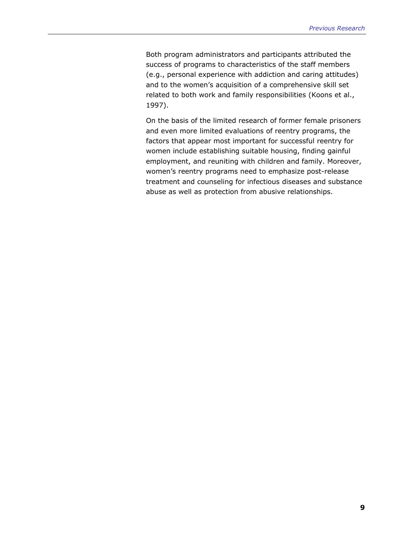Both program administrators and participants attributed the success of programs to characteristics of the staff members (e.g., personal experience with addiction and caring attitudes) and to the women's acquisition of a comprehensive skill set related to both work and family responsibilities (Koons et al., 1997).

On the basis of the limited research of former female prisoners and even more limited evaluations of reentry programs, the factors that appear most important for successful reentry for women include establishing suitable housing, finding gainful employment, and reuniting with children and family. Moreover, women's reentry programs need to emphasize post-release treatment and counseling for infectious diseases and substance abuse as well as protection from abusive relationships.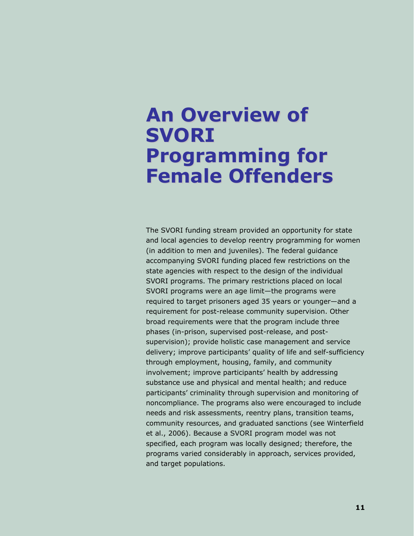### <span id="page-34-1"></span><span id="page-34-0"></span>**An Overview of SVORI Programming for Female Offenders**

The SVORI funding stream provided an opportunity for state and local agencies to develop reentry programming for women (in addition to men and juveniles). The federal guidance accompanying SVORI funding placed few restrictions on the state agencies with respect to the design of the individual SVORI programs. The primary restrictions placed on local SVORI programs were an age limit—the programs were required to target prisoners aged 35 years or younger—and a requirement for post-release community supervision. Other broad requirements were that the program include three phases (in-prison, supervised post-release, and postsupervision); provide holistic case management and service delivery; improve participants' quality of life and self-sufficiency through employment, housing, family, and community involvement; improve participants' health by addressing substance use and physical and mental health; and reduce participants' criminality through supervision and monitoring of noncompliance. The programs also were encouraged to include needs and risk assessments, reentry plans, transition teams, community resources, and graduated sanctions (see Winterfield et al., 2006). Because a SVORI program model was not specified, each program was locally designed; therefore, the programs varied considerably in approach, services provided, and target populations.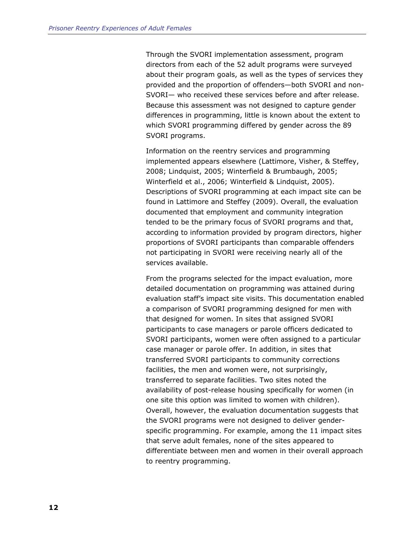Through the SVORI implementation assessment, program directors from each of the 52 adult programs were surveyed about their program goals, as well as the types of services they provided and the proportion of offenders—both SVORI and non-SVORI— who received these services before and after release. Because this assessment was not designed to capture gender differences in programming, little is known about the extent to which SVORI programming differed by gender across the 89 SVORI programs.

Information on the reentry services and programming implemented appears elsewhere (Lattimore, Visher, & Steffey, 2008; Lindquist, 2005; Winterfield & Brumbaugh, 2005; Winterfield et al., 2006; Winterfield & Lindquist, 2005). Descriptions of SVORI programming at each impact site can be found in Lattimore and Steffey (2009). Overall, the evaluation documented that employment and community integration tended to be the primary focus of SVORI programs and that, according to information provided by program directors, higher proportions of SVORI participants than comparable offenders not participating in SVORI were receiving nearly all of the services available.

From the programs selected for the impact evaluation, more detailed documentation on programming was attained during evaluation staff's impact site visits. This documentation enabled a comparison of SVORI programming designed for men with that designed for women. In sites that assigned SVORI participants to case managers or parole officers dedicated to SVORI participants, women were often assigned to a particular case manager or parole offer. In addition, in sites that transferred SVORI participants to community corrections facilities, the men and women were, not surprisingly, transferred to separate facilities. Two sites noted the availability of post-release housing specifically for women (in one site this option was limited to women with children). Overall, however, the evaluation documentation suggests that the SVORI programs were not designed to deliver genderspecific programming. For example, among the 11 impact sites that serve adult females, none of the sites appeared to differentiate between men and women in their overall approach to reentry programming.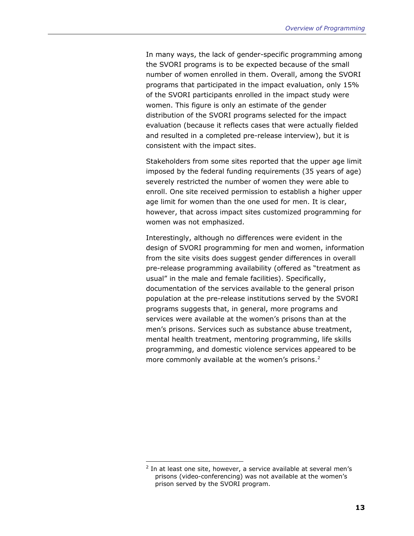<span id="page-36-0"></span>In many ways, the lack of gender-specific programming among the SVORI programs is to be expected because of the small number of women enrolled in them. Overall, among the SVORI programs that participated in the impact evaluation, only 15% of the SVORI participants enrolled in the impact study were women. This figure is only an estimate of the gender distribution of the SVORI programs selected for the impact evaluation (because it reflects cases that were actually fielded and resulted in a completed pre-release interview), but it is consistent with the impact sites.

Stakeholders from some sites reported that the upper age limit imposed by the federal funding requirements (35 years of age) severely restricted the number of women they were able to enroll. One site received permission to establish a higher upper age limit for women than the one used for men. It is clear, however, that across impact sites customized programming for women was not emphasized.

Interestingly, although no differences were evident in the design of SVORI programming for men and women, information from the site visits does suggest gender differences in overall pre-release programming availability (offered as "treatment as usual" in the male and female facilities). Specifically, documentation of the services available to the general prison population at the pre-release institutions served by the SVORI programs suggests that, in general, more programs and services were available at the women's prisons than at the men's prisons. Services such as substance abuse treatment, mental health treatment, mentoring programming, life skills programming, and domestic violence services appeared to be more commonly available at the women's prisons. $2$ 

-

 $2$  In at least one site, however, a service available at several men's prisons (video-conferencing) was not available at the women's prison served by the SVORI program.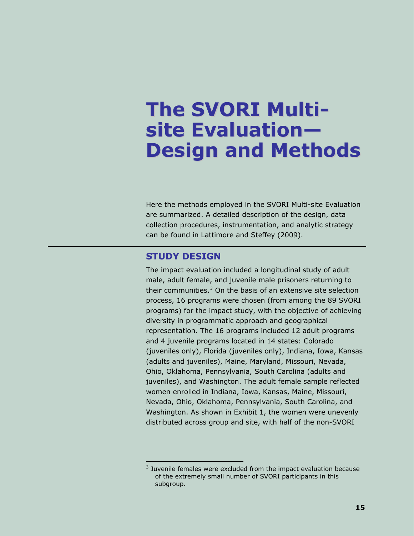# <span id="page-38-0"></span>**The SVORI Multisite Evaluation— Design and Methods**

Here the methods employed in the SVORI Multi-site Evaluation are summarized. A detailed description of the design, data collection procedures, instrumentation, and analytic strategy can be found in Lattimore and Steffey (2009).

# **STUDY DESIGN**

 $\overline{a}$ 

The impact evaluation included a longitudinal study of adult male, adult female, and juvenile male prisoners returning to their communities.<sup>[3](#page-38-0)</sup> On the basis of an extensive site selection process, 16 programs were chosen (from among the 89 SVORI programs) for the impact study, with the objective of achieving diversity in programmatic approach and geographical representation. The 16 programs included 12 adult programs and 4 juvenile programs located in 14 states: Colorado (juveniles only), Florida (juveniles only), Indiana, Iowa, Kansas (adults and juveniles), Maine, Maryland, Missouri, Nevada, Ohio, Oklahoma, Pennsylvania, South Carolina (adults and juveniles), and Washington. The adult female sample reflected women enrolled in Indiana, Iowa, Kansas, Maine, Missouri, Nevada, Ohio, Oklahoma, Pennsylvania, South Carolina, and Washington. As shown in Exhibit 1, the women were unevenly distributed across group and site, with half of the non-SVORI

 $3$  Juvenile females were excluded from the impact evaluation because of the extremely small number of SVORI participants in this subgroup.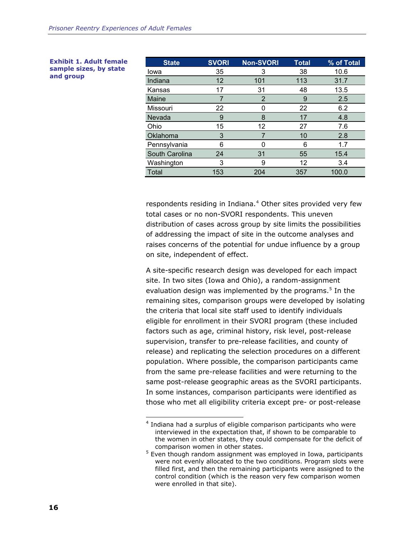| <b>State</b>   | <b>SVORI</b> | <b>Non-SVORI</b> | <b>Total</b> | % of Total |
|----------------|--------------|------------------|--------------|------------|
| lowa           | 35           | 3                | 38           | 10.6       |
| Indiana        | 12           | 101              | 113          | 31.7       |
| Kansas         | 17           | 31               | 48           | 13.5       |
| Maine          | 7            | 2                | 9            | 2.5        |
| Missouri       | 22           | N                | 22           | 6.2        |
| Nevada         | 9            | 8                | 17           | 4.8        |
| Ohio           | 15           | 12               | 27           | 7.6        |
| Oklahoma       | 3            |                  | 10           | 2.8        |
| Pennsylvania   | 6            | 0                | 6            | 1.7        |
| South Carolina | 24           | 31               | 55           | 15.4       |
| Washington     | 3            | 9                | 12           | 3.4        |
| <b>Total</b>   | 153          | 204              | 357          | 100.0      |

respondents residing in Indiana.<sup>[4](#page-39-0)</sup> Other sites provided very few total cases or no non-SVORI respondents. This uneven distribution of cases across group by site limits the possibilities of addressing the impact of site in the outcome analyses and raises concerns of the potential for undue influence by a group on site, independent of effect.

A site-specific research design was developed for each impact site. In two sites (Iowa and Ohio), a random-assignment evaluation design was implemented by the programs.<sup>[5](#page-39-0)</sup> In the remaining sites, comparison groups were developed by isolating the criteria that local site staff used to identify individuals eligible for enrollment in their SVORI program (these included factors such as age, criminal history, risk level, post-release supervision, transfer to pre-release facilities, and county of release) and replicating the selection procedures on a different population. Where possible, the comparison participants came from the same pre-release facilities and were returning to the same post-release geographic areas as the SVORI participants. In some instances, comparison participants were identified as those who met all eligibility criteria except pre- or post-release

#### <span id="page-39-0"></span>**Exhibit 1. Adult female sample sizes, by state and group**

<sup>-</sup><sup>4</sup> Indiana had a surplus of eligible comparison participants who were interviewed in the expectation that, if shown to be comparable to the women in other states, they could compensate for the deficit of comparison women in other states.

 $5$  Even though random assignment was employed in Iowa, participants were not evenly allocated to the two conditions. Program slots were filled first, and then the remaining participants were assigned to the control condition (which is the reason very few comparison women were enrolled in that site).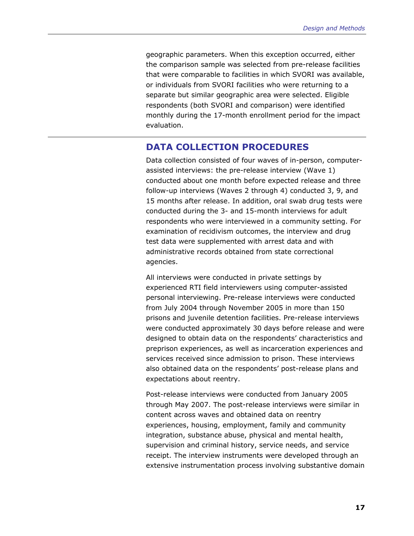geographic parameters. When this exception occurred, either the comparison sample was selected from pre-release facilities that were comparable to facilities in which SVORI was available, or individuals from SVORI facilities who were returning to a separate but similar geographic area were selected. Eligible respondents (both SVORI and comparison) were identified monthly during the 17-month enrollment period for the impact evaluation.

# **DATA COLLECTION PROCEDURES**

Data collection consisted of four waves of in-person, computerassisted interviews: the pre-release interview (Wave 1) conducted about one month before expected release and three follow-up interviews (Waves 2 through 4) conducted 3, 9, and 15 months after release. In addition, oral swab drug tests were conducted during the 3- and 15-month interviews for adult respondents who were interviewed in a community setting. For examination of recidivism outcomes, the interview and drug test data were supplemented with arrest data and with administrative records obtained from state correctional agencies.

All interviews were conducted in private settings by experienced RTI field interviewers using computer-assisted personal interviewing. Pre-release interviews were conducted from July 2004 through November 2005 in more than 150 prisons and juvenile detention facilities. Pre-release interviews were conducted approximately 30 days before release and were designed to obtain data on the respondents' characteristics and preprison experiences, as well as incarceration experiences and services received since admission to prison. These interviews also obtained data on the respondents' post-release plans and expectations about reentry.

Post-release interviews were conducted from January 2005 through May 2007. The post-release interviews were similar in content across waves and obtained data on reentry experiences, housing, employment, family and community integration, substance abuse, physical and mental health, supervision and criminal history, service needs, and service receipt. The interview instruments were developed through an extensive instrumentation process involving substantive domain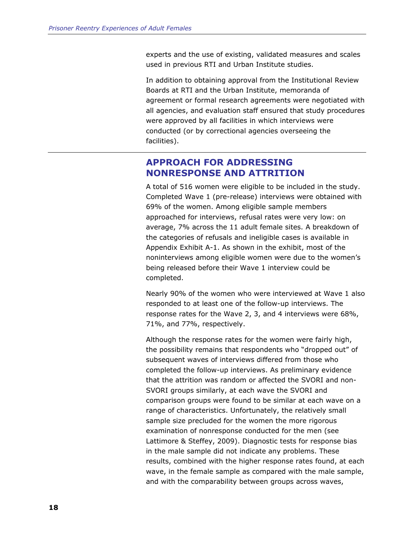experts and the use of existing, validated measures and scales used in previous RTI and Urban Institute studies.

In addition to obtaining approval from the Institutional Review Boards at RTI and the Urban Institute, memoranda of agreement or formal research agreements were negotiated with all agencies, and evaluation staff ensured that study procedures were approved by all facilities in which interviews were conducted (or by correctional agencies overseeing the facilities).

# **APPROACH FOR ADDRESSING NONRESPONSE AND ATTRITION**

A total of 516 women were eligible to be included in the study. Completed Wave 1 (pre-release) interviews were obtained with 69% of the women. Among eligible sample members approached for interviews, refusal rates were very low: on average, 7% across the 11 adult female sites. A breakdown of the categories of refusals and ineligible cases is available in Appendix Exhibit A-1. As shown in the exhibit, most of the noninterviews among eligible women were due to the women's being released before their Wave 1 interview could be completed.

Nearly 90% of the women who were interviewed at Wave 1 also responded to at least one of the follow-up interviews. The response rates for the Wave 2, 3, and 4 interviews were 68%, 71%, and 77%, respectively.

Although the response rates for the women were fairly high, the possibility remains that respondents who "dropped out" of subsequent waves of interviews differed from those who completed the follow-up interviews. As preliminary evidence that the attrition was random or affected the SVORI and non-SVORI groups similarly, at each wave the SVORI and comparison groups were found to be similar at each wave on a range of characteristics. Unfortunately, the relatively small sample size precluded for the women the more rigorous examination of nonresponse conducted for the men (see Lattimore & Steffey, 2009). Diagnostic tests for response bias in the male sample did not indicate any problems. These results, combined with the higher response rates found, at each wave, in the female sample as compared with the male sample, and with the comparability between groups across waves,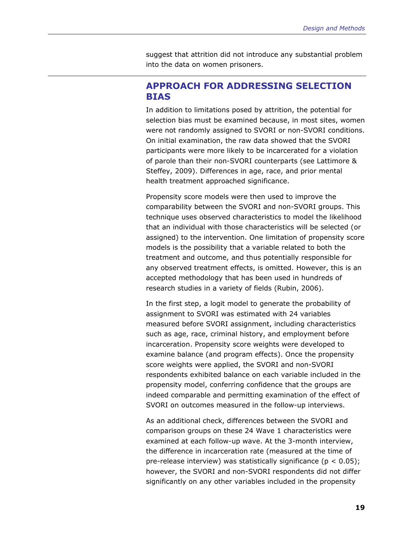suggest that attrition did not introduce any substantial problem into the data on women prisoners.

# **APPROACH FOR ADDRESSING SELECTION BIAS**

In addition to limitations posed by attrition, the potential for selection bias must be examined because, in most sites, women were not randomly assigned to SVORI or non-SVORI conditions. On initial examination, the raw data showed that the SVORI participants were more likely to be incarcerated for a violation of parole than their non-SVORI counterparts (see Lattimore & Steffey, 2009). Differences in age, race, and prior mental health treatment approached significance.

Propensity score models were then used to improve the comparability between the SVORI and non-SVORI groups. This technique uses observed characteristics to model the likelihood that an individual with those characteristics will be selected (or assigned) to the intervention. One limitation of propensity score models is the possibility that a variable related to both the treatment and outcome, and thus potentially responsible for any observed treatment effects, is omitted. However, this is an accepted methodology that has been used in hundreds of research studies in a variety of fields (Rubin, 2006).

In the first step, a logit model to generate the probability of assignment to SVORI was estimated with 24 variables measured before SVORI assignment, including characteristics such as age, race, criminal history, and employment before incarceration. Propensity score weights were developed to examine balance (and program effects). Once the propensity score weights were applied, the SVORI and non-SVORI respondents exhibited balance on each variable included in the propensity model, conferring confidence that the groups are indeed comparable and permitting examination of the effect of SVORI on outcomes measured in the follow-up interviews.

As an additional check, differences between the SVORI and comparison groups on these 24 Wave 1 characteristics were examined at each follow-up wave. At the 3-month interview, the difference in incarceration rate (measured at the time of pre-release interview) was statistically significance ( $p < 0.05$ ); however, the SVORI and non-SVORI respondents did not differ significantly on any other variables included in the propensity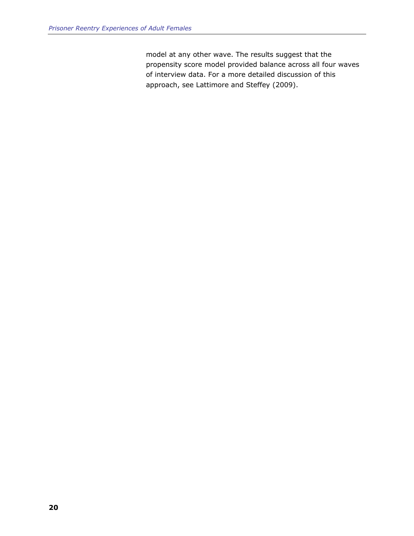model at any other wave. The results suggest that the propensity score model provided balance across all four waves of interview data. For a more detailed discussion of this approach, see Lattimore and Steffey (2009).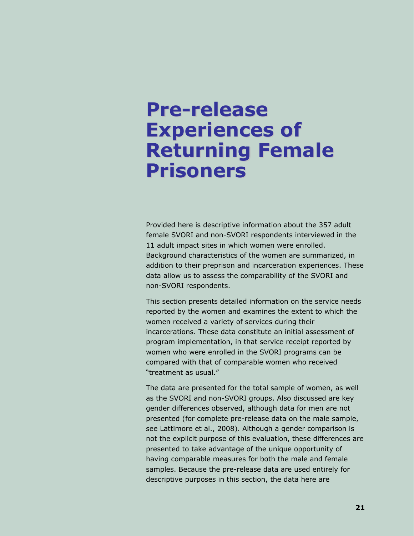# **Pre-release Experiences of Returning Female Prisoners**

Provided here is descriptive information about the 357 adult female SVORI and non-SVORI respondents interviewed in the 11 adult impact sites in which women were enrolled. Background characteristics of the women are summarized, in addition to their preprison and incarceration experiences. These data allow us to assess the comparability of the SVORI and non-SVORI respondents.

This section presents detailed information on the service needs reported by the women and examines the extent to which the women received a variety of services during their incarcerations. These data constitute an initial assessment of program implementation, in that service receipt reported by women who were enrolled in the SVORI programs can be compared with that of comparable women who received "treatment as usual."

The data are presented for the total sample of women, as well as the SVORI and non-SVORI groups. Also discussed are key gender differences observed, although data for men are not presented (for complete pre-release data on the male sample, see Lattimore et al., 2008). Although a gender comparison is not the explicit purpose of this evaluation, these differences are presented to take advantage of the unique opportunity of having comparable measures for both the male and female samples. Because the pre-release data are used entirely for descriptive purposes in this section, the data here are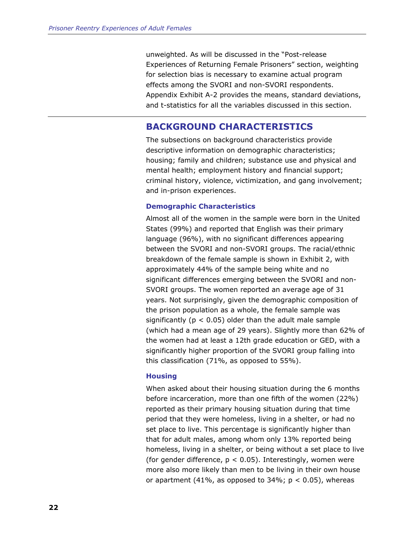unweighted. As will be discussed in the "Post-release Experiences of Returning Female Prisoners" section, weighting for selection bias is necessary to examine actual program effects among the SVORI and non-SVORI respondents. Appendix Exhibit A-2 provides the means, standard deviations, and t-statistics for all the variables discussed in this section.

# **BACKGROUND CHARACTERISTICS**

The subsections on background characteristics provide descriptive information on demographic characteristics; housing; family and children; substance use and physical and mental health; employment history and financial support; criminal history, violence, victimization, and gang involvement; and in-prison experiences.

## **Demographic Characteristics**

Almost all of the women in the sample were born in the United States (99%) and reported that English was their primary language (96%), with no significant differences appearing between the SVORI and non-SVORI groups. The racial/ethnic breakdown of the female sample is shown in Exhibit 2, with approximately 44% of the sample being white and no significant differences emerging between the SVORI and non-SVORI groups. The women reported an average age of 31 years. Not surprisingly, given the demographic composition of the prison population as a whole, the female sample was significantly ( $p < 0.05$ ) older than the adult male sample (which had a mean age of 29 years). Slightly more than 62% of the women had at least a 12th grade education or GED, with a significantly higher proportion of the SVORI group falling into this classification (71%, as opposed to 55%).

## **Housing**

When asked about their housing situation during the 6 months before incarceration, more than one fifth of the women (22%) reported as their primary housing situation during that time period that they were homeless, living in a shelter, or had no set place to live. This percentage is significantly higher than that for adult males, among whom only 13% reported being homeless, living in a shelter, or being without a set place to live (for gender difference,  $p < 0.05$ ). Interestingly, women were more also more likely than men to be living in their own house or apartment (41%, as opposed to  $34\%$ ;  $p < 0.05$ ), whereas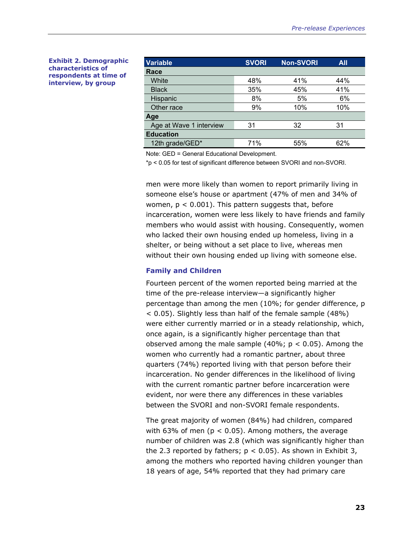#### **Exhibit 2. Demographic characteristics of respondents at time of interview, by group**

| <b>Variable</b>         | <b>SVORI</b> | <b>Non-SVORI</b> | <b>All</b> |  |
|-------------------------|--------------|------------------|------------|--|
| Race                    |              |                  |            |  |
| White                   | 48%          | 41%              | 44%        |  |
| <b>Black</b>            | 35%          | 45%              | 41%        |  |
| Hispanic                | 8%           | 5%               | 6%         |  |
| Other race              | 9%           | 10%              | 10%        |  |
| Age                     |              |                  |            |  |
| Age at Wave 1 interview | 31           | 32               | 31         |  |
| <b>Education</b>        |              |                  |            |  |
| 12th grade/GED*         | 71%          | 55%              | 62%        |  |

Note: GED = General Educational Development.

\*p < 0.05 for test of significant difference between SVORI and non-SVORI.

men were more likely than women to report primarily living in someone else's house or apartment (47% of men and 34% of women,  $p < 0.001$ ). This pattern suggests that, before incarceration, women were less likely to have friends and family members who would assist with housing. Consequently, women who lacked their own housing ended up homeless, living in a shelter, or being without a set place to live, whereas men without their own housing ended up living with someone else.

#### **Family and Children**

Fourteen percent of the women reported being married at the time of the pre-release interview—a significantly higher percentage than among the men (10%; for gender difference, p < 0.05). Slightly less than half of the female sample (48%) were either currently married or in a steady relationship, which, once again, is a significantly higher percentage than that observed among the male sample  $(40\%; p < 0.05)$ . Among the women who currently had a romantic partner, about three quarters (74%) reported living with that person before their incarceration. No gender differences in the likelihood of living with the current romantic partner before incarceration were evident, nor were there any differences in these variables between the SVORI and non-SVORI female respondents.

The great majority of women (84%) had children, compared with 63% of men ( $p < 0.05$ ). Among mothers, the average number of children was 2.8 (which was significantly higher than the 2.3 reported by fathers;  $p < 0.05$ ). As shown in Exhibit 3, among the mothers who reported having children younger than 18 years of age, 54% reported that they had primary care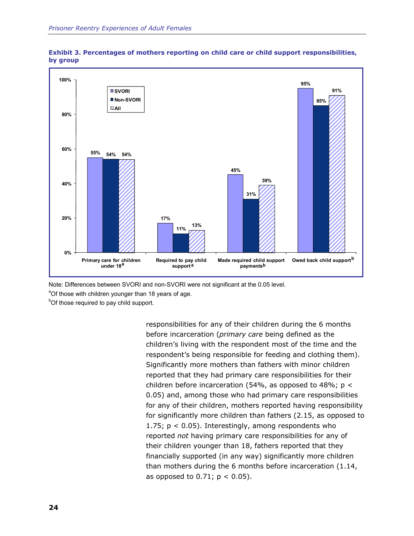



Note: Differences between SVORI and non-SVORI were not significant at the 0.05 level.

<sup>a</sup>Of those with children younger than 18 years of age.

<sup>b</sup>Of those required to pay child support.

responsibilities for any of their children during the 6 months before incarceration (*primary care* being defined as the children's living with the respondent most of the time and the respondent's being responsible for feeding and clothing them). Significantly more mothers than fathers with minor children reported that they had primary care responsibilities for their children before incarceration (54%, as opposed to 48%;  $p <$ 0.05) and, among those who had primary care responsibilities for any of their children, mothers reported having responsibility for significantly more children than fathers (2.15, as opposed to 1.75;  $p < 0.05$ ). Interestingly, among respondents who reported *not* having primary care responsibilities for any of their children younger than 18, fathers reported that they financially supported (in any way) significantly more children than mothers during the 6 months before incarceration (1.14, as opposed to  $0.71$ ;  $p < 0.05$ ).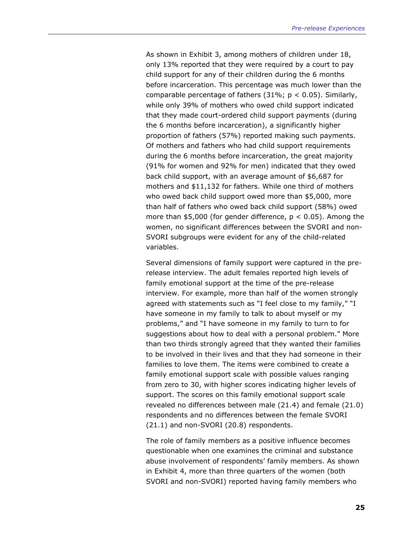As shown in Exhibit 3, among mothers of children under 18, only 13% reported that they were required by a court to pay child support for any of their children during the 6 months before incarceration. This percentage was much lower than the comparable percentage of fathers  $(31\%; p < 0.05)$ . Similarly, while only 39% of mothers who owed child support indicated that they made court-ordered child support payments (during the 6 months before incarceration), a significantly higher proportion of fathers (57%) reported making such payments. Of mothers and fathers who had child support requirements during the 6 months before incarceration, the great majority (91% for women and 92% for men) indicated that they owed back child support, with an average amount of \$6,687 for mothers and \$11,132 for fathers. While one third of mothers who owed back child support owed more than \$5,000, more than half of fathers who owed back child support (58%) owed more than \$5,000 (for gender difference,  $p < 0.05$ ). Among the women, no significant differences between the SVORI and non-SVORI subgroups were evident for any of the child-related variables.

Several dimensions of family support were captured in the prerelease interview. The adult females reported high levels of family emotional support at the time of the pre-release interview. For example, more than half of the women strongly agreed with statements such as "I feel close to my family," "I have someone in my family to talk to about myself or my problems," and "I have someone in my family to turn to for suggestions about how to deal with a personal problem." More than two thirds strongly agreed that they wanted their families to be involved in their lives and that they had someone in their families to love them. The items were combined to create a family emotional support scale with possible values ranging from zero to 30, with higher scores indicating higher levels of support. The scores on this family emotional support scale revealed no differences between male (21.4) and female (21.0) respondents and no differences between the female SVORI (21.1) and non-SVORI (20.8) respondents.

The role of family members as a positive influence becomes questionable when one examines the criminal and substance abuse involvement of respondents' family members. As shown in Exhibit 4, more than three quarters of the women (both SVORI and non-SVORI) reported having family members who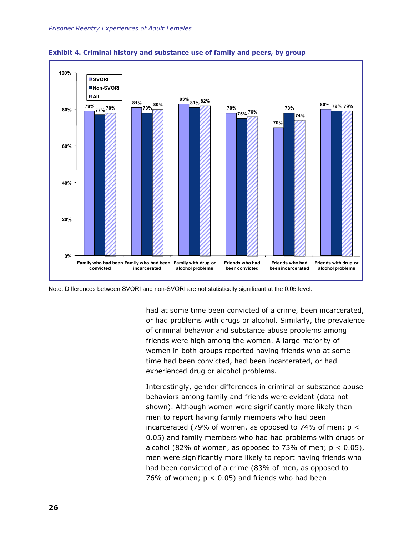

**Exhibit 4. Criminal history and substance use of family and peers, by group** 

Note: Differences between SVORI and non-SVORI are not statistically significant at the 0.05 level.

had at some time been convicted of a crime, been incarcerated, or had problems with drugs or alcohol. Similarly, the prevalence of criminal behavior and substance abuse problems among friends were high among the women. A large majority of women in both groups reported having friends who at some time had been convicted, had been incarcerated, or had experienced drug or alcohol problems.

Interestingly, gender differences in criminal or substance abuse behaviors among family and friends were evident (data not shown). Although women were significantly more likely than men to report having family members who had been incarcerated (79% of women, as opposed to 74% of men;  $p <$ 0.05) and family members who had had problems with drugs or alcohol (82% of women, as opposed to 73% of men;  $p < 0.05$ ), men were significantly more likely to report having friends who had been convicted of a crime (83% of men, as opposed to 76% of women;  $p < 0.05$ ) and friends who had been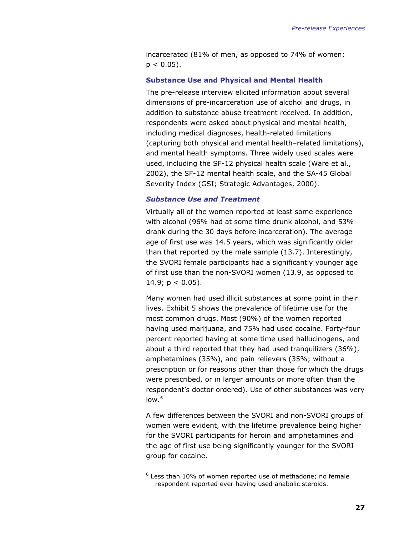<span id="page-50-0"></span>incarcerated (81% of men, as opposed to 74% of women;  $p < 0.05$ ).

#### **Substance Use and Physical and Mental Health**

The pre-release interview elicited information about several dimensions of pre-incarceration use of alcohol and drugs, in addition to substance abuse treatment received. In addition, respondents were asked about physical and mental health, including medical diagnoses, health-related limitations (capturing both physical and mental health–related limitations), and mental health symptoms. Three widely used scales were used, including the SF-12 physical health scale (Ware et al., 2002), the SF-12 mental health scale, and the SA-45 Global Severity Index (GSI; Strategic Advantages, 2000).

#### *Substance Use and Treatment*

Virtually all of the women reported at least some experience with alcohol (96% had at some time drunk alcohol, and 53% drank during the 30 days before incarceration). The average age of first use was 14.5 years, which was significantly older than that reported by the male sample (13.7). Interestingly, the SVORI female participants had a significantly younger age of first use than the non-SVORI women (13.9, as opposed to 14.9;  $p < 0.05$ ).

Many women had used illicit substances at some point in their lives. Exhibit 5 shows the prevalence of lifetime use for the most common drugs. Most (90%) of the women reported having used marijuana, and 75% had used cocaine. Forty-four percent reported having at some time used hallucinogens, and about a third reported that they had used tranquilizers (36%), amphetamines (35%), and pain relievers (35%; without a prescription or for reasons other than those for which the drugs were prescribed, or in larger amounts or more often than the respondent's doctor ordered). Use of other substances was very low. $^6$  $^6$ 

A few differences between the SVORI and non-SVORI groups of women were evident, with the lifetime prevalence being higher for the SVORI participants for heroin and amphetamines and the age of first use being significantly younger for the SVORI group for cocaine.

 $\overline{a}$ 

 $6$  Less than 10% of women reported use of methadone; no female respondent reported ever having used anabolic steroids.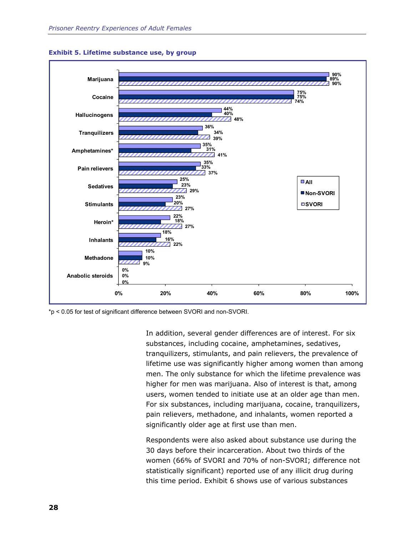

#### **Exhibit 5. Lifetime substance use, by group**

\*p < 0.05 for test of significant difference between SVORI and non-SVORI.

In addition, several gender differences are of interest. For six substances, including cocaine, amphetamines, sedatives, tranquilizers, stimulants, and pain relievers, the prevalence of lifetime use was significantly higher among women than among men. The only substance for which the lifetime prevalence was higher for men was marijuana. Also of interest is that, among users, women tended to initiate use at an older age than men. For six substances, including marijuana, cocaine, tranquilizers, pain relievers, methadone, and inhalants, women reported a significantly older age at first use than men.

Respondents were also asked about substance use during the 30 days before their incarceration. About two thirds of the women (66% of SVORI and 70% of non-SVORI; difference not statistically significant) reported use of any illicit drug during this time period. Exhibit 6 shows use of various substances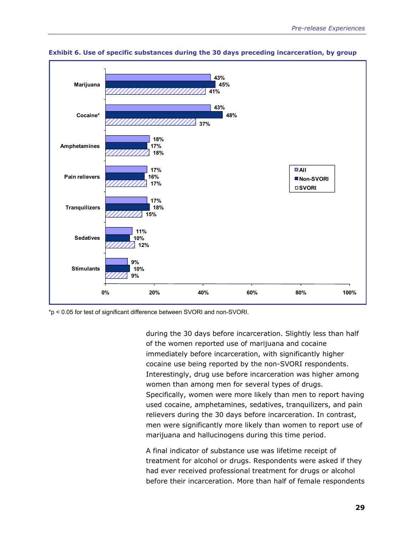

**Exhibit 6. Use of specific substances during the 30 days preceding incarceration, by group** 

\*p < 0.05 for test of significant difference between SVORI and non-SVORI.

during the 30 days before incarceration. Slightly less than half of the women reported use of marijuana and cocaine immediately before incarceration, with significantly higher cocaine use being reported by the non-SVORI respondents. Interestingly, drug use before incarceration was higher among women than among men for several types of drugs. Specifically, women were more likely than men to report having used cocaine, amphetamines, sedatives, tranquilizers, and pain relievers during the 30 days before incarceration. In contrast, men were significantly more likely than women to report use of marijuana and hallucinogens during this time period.

A final indicator of substance use was lifetime receipt of treatment for alcohol or drugs. Respondents were asked if they had ever received professional treatment for drugs or alcohol before their incarceration. More than half of female respondents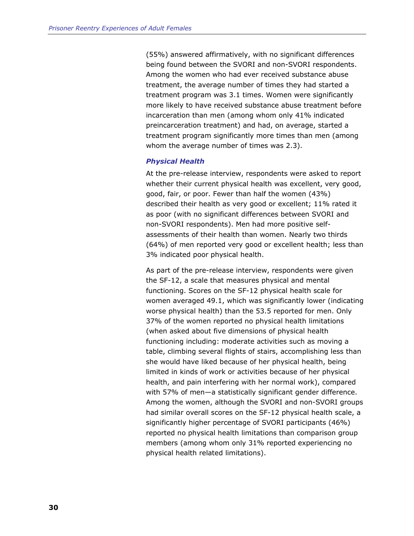(55%) answered affirmatively, with no significant differences being found between the SVORI and non-SVORI respondents. Among the women who had ever received substance abuse treatment, the average number of times they had started a treatment program was 3.1 times. Women were significantly more likely to have received substance abuse treatment before incarceration than men (among whom only 41% indicated preincarceration treatment) and had, on average, started a treatment program significantly more times than men (among whom the average number of times was 2.3).

#### *Physical Health*

At the pre-release interview, respondents were asked to report whether their current physical health was excellent, very good, good, fair, or poor. Fewer than half the women (43%) described their health as very good or excellent; 11% rated it as poor (with no significant differences between SVORI and non-SVORI respondents). Men had more positive selfassessments of their health than women. Nearly two thirds (64%) of men reported very good or excellent health; less than 3% indicated poor physical health.

As part of the pre-release interview, respondents were given the SF-12, a scale that measures physical and mental functioning. Scores on the SF-12 physical health scale for women averaged 49.1, which was significantly lower (indicating worse physical health) than the 53.5 reported for men. Only 37% of the women reported no physical health limitations (when asked about five dimensions of physical health functioning including: moderate activities such as moving a table, climbing several flights of stairs, accomplishing less than she would have liked because of her physical health, being limited in kinds of work or activities because of her physical health, and pain interfering with her normal work), compared with 57% of men—a statistically significant gender difference. Among the women, although the SVORI and non-SVORI groups had similar overall scores on the SF-12 physical health scale, a significantly higher percentage of SVORI participants (46%) reported no physical health limitations than comparison group members (among whom only 31% reported experiencing no physical health related limitations).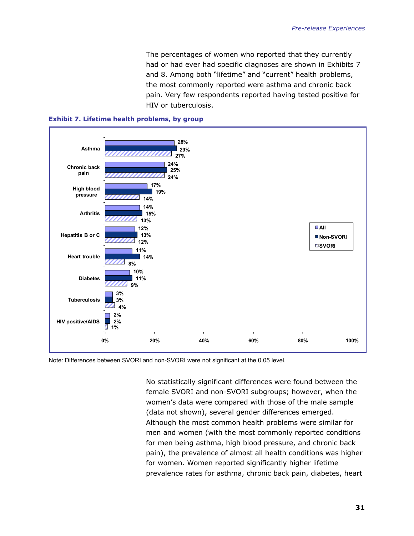The percentages of women who reported that they currently had or had ever had specific diagnoses are shown in Exhibits 7 and 8. Among both "lifetime" and "current" health problems, the most commonly reported were asthma and chronic back pain. Very few respondents reported having tested positive for HIV or tuberculosis.





Note: Differences between SVORI and non-SVORI were not significant at the 0.05 level.

No statistically significant differences were found between the female SVORI and non-SVORI subgroups; however, when the women's data were compared with those of the male sample (data not shown), several gender differences emerged. Although the most common health problems were similar for men and women (with the most commonly reported conditions for men being asthma, high blood pressure, and chronic back pain), the prevalence of almost all health conditions was higher for women. Women reported significantly higher lifetime prevalence rates for asthma, chronic back pain, diabetes, heart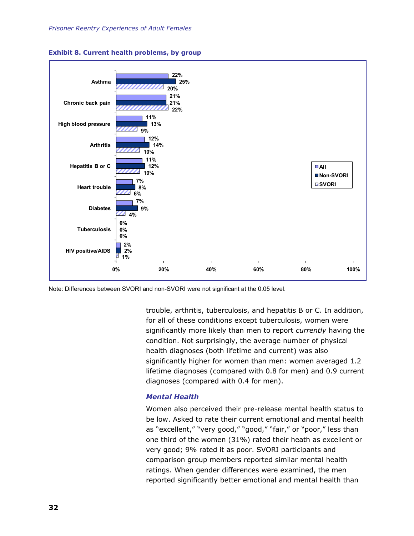



Note: Differences between SVORI and non-SVORI were not significant at the 0.05 level.

trouble, arthritis, tuberculosis, and hepatitis B or C. In addition, for all of these conditions except tuberculosis, women were significantly more likely than men to report *currently* having the condition. Not surprisingly, the average number of physical health diagnoses (both lifetime and current) was also significantly higher for women than men: women averaged 1.2 lifetime diagnoses (compared with 0.8 for men) and 0.9 current diagnoses (compared with 0.4 for men).

#### *Mental Health*

Women also perceived their pre-release mental health status to be low. Asked to rate their current emotional and mental health as "excellent," "very good," "good," "fair," or "poor," less than one third of the women (31%) rated their heath as excellent or very good; 9% rated it as poor. SVORI participants and comparison group members reported similar mental health ratings. When gender differences were examined, the men reported significantly better emotional and mental health than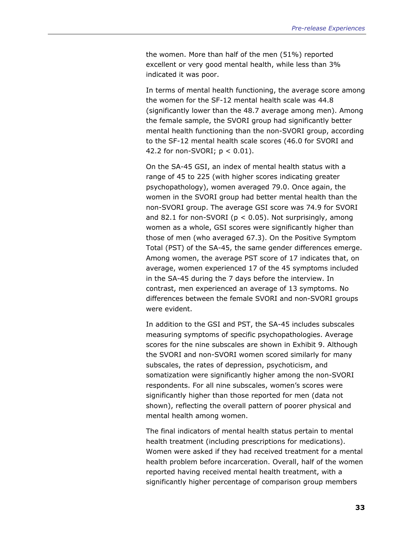the women. More than half of the men (51%) reported excellent or very good mental health, while less than 3% indicated it was poor.

In terms of mental health functioning, the average score among the women for the SF-12 mental health scale was 44.8 (significantly lower than the 48.7 average among men). Among the female sample, the SVORI group had significantly better mental health functioning than the non-SVORI group, according to the SF-12 mental health scale scores (46.0 for SVORI and 42.2 for non-SVORI;  $p < 0.01$ ).

On the SA-45 GSI, an index of mental health status with a range of 45 to 225 (with higher scores indicating greater psychopathology), women averaged 79.0. Once again, the women in the SVORI group had better mental health than the non-SVORI group. The average GSI score was 74.9 for SVORI and 82.1 for non-SVORI ( $p < 0.05$ ). Not surprisingly, among women as a whole, GSI scores were significantly higher than those of men (who averaged 67.3). On the Positive Symptom Total (PST) of the SA-45, the same gender differences emerge. Among women, the average PST score of 17 indicates that, on average, women experienced 17 of the 45 symptoms included in the SA-45 during the 7 days before the interview. In contrast, men experienced an average of 13 symptoms. No differences between the female SVORI and non-SVORI groups were evident.

In addition to the GSI and PST, the SA-45 includes subscales measuring symptoms of specific psychopathologies. Average scores for the nine subscales are shown in Exhibit 9. Although the SVORI and non-SVORI women scored similarly for many subscales, the rates of depression, psychoticism, and somatization were significantly higher among the non-SVORI respondents. For all nine subscales, women's scores were significantly higher than those reported for men (data not shown), reflecting the overall pattern of poorer physical and mental health among women.

The final indicators of mental health status pertain to mental health treatment (including prescriptions for medications). Women were asked if they had received treatment for a mental health problem before incarceration. Overall, half of the women reported having received mental health treatment, with a significantly higher percentage of comparison group members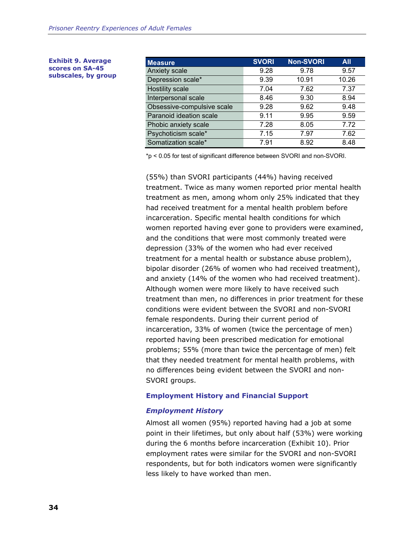| <b>Exhibit 9. Average</b> |  |  |  |  |  |
|---------------------------|--|--|--|--|--|
| scores on SA-45           |  |  |  |  |  |
| subscales, by group       |  |  |  |  |  |

| <b>Measure</b>             | <b>SVORI</b> | <b>Non-SVORI</b> | <b>All</b> |
|----------------------------|--------------|------------------|------------|
| Anxiety scale              | 9.28         | 9.78             | 9.57       |
| Depression scale*          | 9.39         | 10.91            | 10.26      |
| <b>Hostility scale</b>     | 7.04         | 7.62             | 7.37       |
| Interpersonal scale        | 8.46         | 9.30             | 8.94       |
| Obsessive-compulsive scale | 9.28         | 9.62             | 9.48       |
| Paranoid ideation scale    | 9.11         | 9.95             | 9.59       |
| Phobic anxiety scale       | 7.28         | 8.05             | 7.72       |
| Psychoticism scale*        | 7.15         | 7.97             | 7.62       |
| Somatization scale*        | 7.91         | 8.92             | 8.48       |

\*p < 0.05 for test of significant difference between SVORI and non-SVORI.

(55%) than SVORI participants (44%) having received treatment. Twice as many women reported prior mental health treatment as men, among whom only 25% indicated that they had received treatment for a mental health problem before incarceration. Specific mental health conditions for which women reported having ever gone to providers were examined, and the conditions that were most commonly treated were depression (33% of the women who had ever received treatment for a mental health or substance abuse problem), bipolar disorder (26% of women who had received treatment), and anxiety (14% of the women who had received treatment). Although women were more likely to have received such treatment than men, no differences in prior treatment for these conditions were evident between the SVORI and non-SVORI female respondents. During their current period of incarceration, 33% of women (twice the percentage of men) reported having been prescribed medication for emotional problems; 55% (more than twice the percentage of men) felt that they needed treatment for mental health problems, with no differences being evident between the SVORI and non-SVORI groups.

## **Employment History and Financial Support**

#### *Employment History*

Almost all women (95%) reported having had a job at some point in their lifetimes, but only about half (53%) were working during the 6 months before incarceration (Exhibit 10). Prior employment rates were similar for the SVORI and non-SVORI respondents, but for both indicators women were significantly less likely to have worked than men.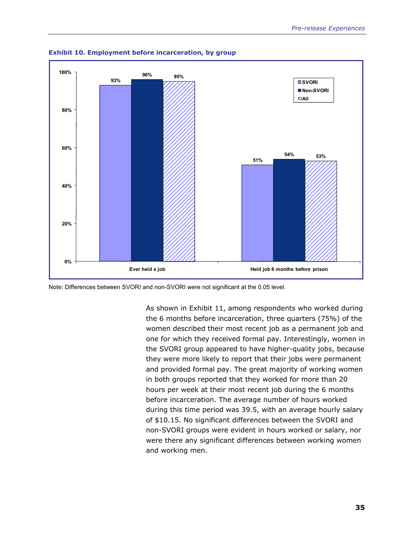

**Exhibit 10. Employment before incarceration, by group** 

Note: Differences between SVORI and non-SVORI were not significant at the 0.05 level.

As shown in Exhibit 11, among respondents who worked during the 6 months before incarceration, three quarters (75%) of the women described their most recent job as a permanent job and one for which they received formal pay. Interestingly, women in the SVORI group appeared to have higher-quality jobs, because they were more likely to report that their jobs were permanent and provided formal pay. The great majority of working women in both groups reported that they worked for more than 20 hours per week at their most recent job during the 6 months before incarceration. The average number of hours worked during this time period was 39.5, with an average hourly salary of \$10.15. No significant differences between the SVORI and non-SVORI groups were evident in hours worked or salary, nor were there any significant differences between working women and working men.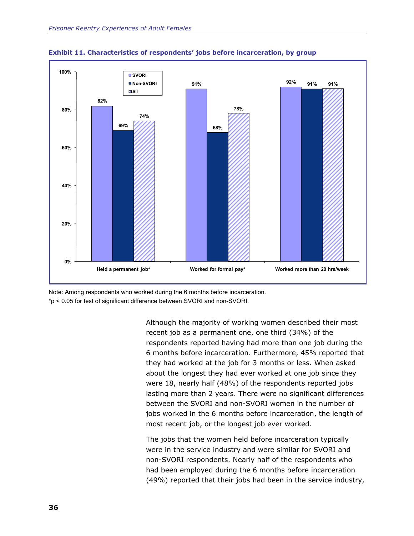



Note: Among respondents who worked during the 6 months before incarceration. \*p < 0.05 for test of significant difference between SVORI and non-SVORI.

> Although the majority of working women described their most recent job as a permanent one, one third (34%) of the respondents reported having had more than one job during the 6 months before incarceration. Furthermore, 45% reported that they had worked at the job for 3 months or less. When asked about the longest they had ever worked at one job since they were 18, nearly half (48%) of the respondents reported jobs lasting more than 2 years. There were no significant differences between the SVORI and non-SVORI women in the number of jobs worked in the 6 months before incarceration, the length of most recent job, or the longest job ever worked.

> The jobs that the women held before incarceration typically were in the service industry and were similar for SVORI and non-SVORI respondents. Nearly half of the respondents who had been employed during the 6 months before incarceration (49%) reported that their jobs had been in the service industry,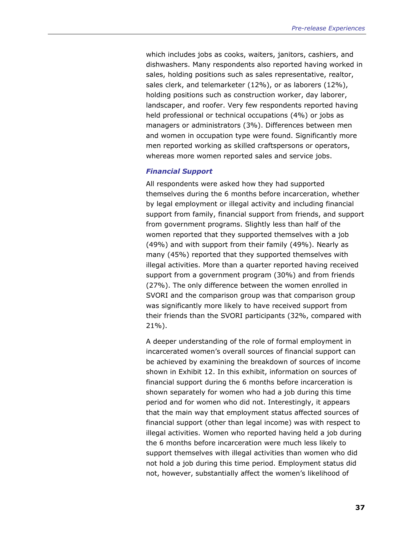which includes jobs as cooks, waiters, janitors, cashiers, and dishwashers. Many respondents also reported having worked in sales, holding positions such as sales representative, realtor, sales clerk, and telemarketer (12%), or as laborers (12%), holding positions such as construction worker, day laborer, landscaper, and roofer. Very few respondents reported having held professional or technical occupations (4%) or jobs as managers or administrators (3%). Differences between men and women in occupation type were found. Significantly more men reported working as skilled craftspersons or operators, whereas more women reported sales and service jobs.

#### *Financial Support*

All respondents were asked how they had supported themselves during the 6 months before incarceration, whether by legal employment or illegal activity and including financial support from family, financial support from friends, and support from government programs. Slightly less than half of the women reported that they supported themselves with a job (49%) and with support from their family (49%). Nearly as many (45%) reported that they supported themselves with illegal activities. More than a quarter reported having received support from a government program (30%) and from friends (27%). The only difference between the women enrolled in SVORI and the comparison group was that comparison group was significantly more likely to have received support from their friends than the SVORI participants (32%, compared with 21%).

A deeper understanding of the role of formal employment in incarcerated women's overall sources of financial support can be achieved by examining the breakdown of sources of income shown in Exhibit 12. In this exhibit, information on sources of financial support during the 6 months before incarceration is shown separately for women who had a job during this time period and for women who did not. Interestingly, it appears that the main way that employment status affected sources of financial support (other than legal income) was with respect to illegal activities. Women who reported having held a job during the 6 months before incarceration were much less likely to support themselves with illegal activities than women who did not hold a job during this time period. Employment status did not, however, substantially affect the women's likelihood of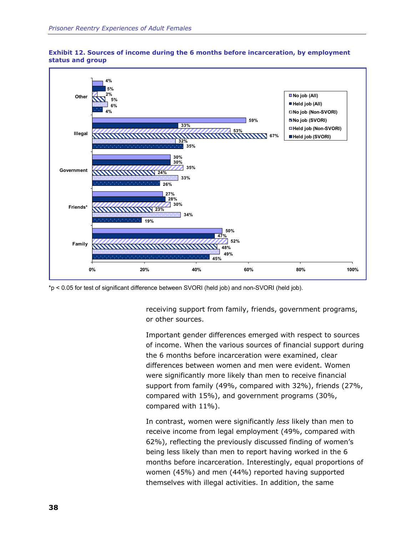



\*p < 0.05 for test of significant difference between SVORI (held job) and non-SVORI (held job).

receiving support from family, friends, government programs, or other sources.

Important gender differences emerged with respect to sources of income. When the various sources of financial support during the 6 months before incarceration were examined, clear differences between women and men were evident. Women were significantly more likely than men to receive financial support from family (49%, compared with 32%), friends (27%, compared with 15%), and government programs (30%, compared with 11%).

In contrast, women were significantly *less* likely than men to receive income from legal employment (49%, compared with 62%), reflecting the previously discussed finding of women's being less likely than men to report having worked in the 6 months before incarceration. Interestingly, equal proportions of women (45%) and men (44%) reported having supported themselves with illegal activities. In addition, the same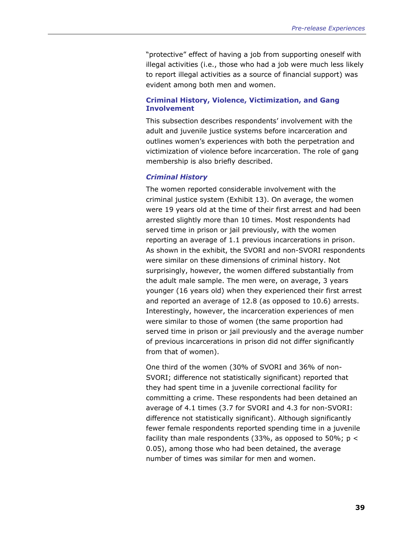"protective" effect of having a job from supporting oneself with illegal activities (i.e., those who had a job were much less likely to report illegal activities as a source of financial support) was evident among both men and women.

## **Criminal History, Violence, Victimization, and Gang Involvement**

This subsection describes respondents' involvement with the adult and juvenile justice systems before incarceration and outlines women's experiences with both the perpetration and victimization of violence before incarceration. The role of gang membership is also briefly described.

#### *Criminal History*

The women reported considerable involvement with the criminal justice system (Exhibit 13). On average, the women were 19 years old at the time of their first arrest and had been arrested slightly more than 10 times. Most respondents had served time in prison or jail previously, with the women reporting an average of 1.1 previous incarcerations in prison. As shown in the exhibit, the SVORI and non-SVORI respondents were similar on these dimensions of criminal history. Not surprisingly, however, the women differed substantially from the adult male sample. The men were, on average, 3 years younger (16 years old) when they experienced their first arrest and reported an average of 12.8 (as opposed to 10.6) arrests. Interestingly, however, the incarceration experiences of men were similar to those of women (the same proportion had served time in prison or jail previously and the average number of previous incarcerations in prison did not differ significantly from that of women).

One third of the women (30% of SVORI and 36% of non-SVORI; difference not statistically significant) reported that they had spent time in a juvenile correctional facility for committing a crime. These respondents had been detained an average of 4.1 times (3.7 for SVORI and 4.3 for non-SVORI: difference not statistically significant). Although significantly fewer female respondents reported spending time in a juvenile facility than male respondents (33%, as opposed to 50%;  $p <$ 0.05), among those who had been detained, the average number of times was similar for men and women.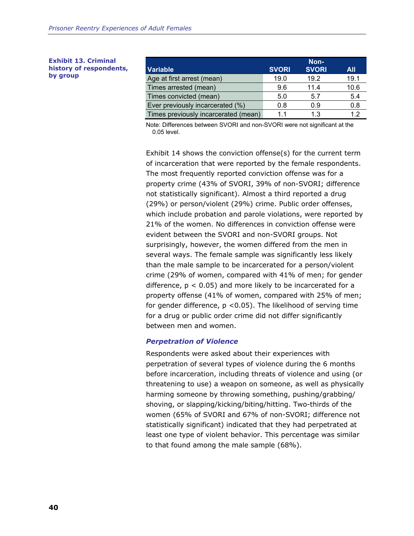**Exhibit 13. Criminal history of respondents, by group** 

|                                      | Non-         |              |      |
|--------------------------------------|--------------|--------------|------|
| <b>Variable</b>                      | <b>SVORI</b> | <b>SVORI</b> | All  |
| Age at first arrest (mean)           | 19.0         | 19.2         | 19.1 |
| Times arrested (mean)                | 9.6          | 11.4         | 10.6 |
| Times convicted (mean)               | 5.0          | 5.7          | 5.4  |
| Ever previously incarcerated (%)     | 0.8          | 0.9          | 0.8  |
| Times previously incarcerated (mean) | 11           | 1.3          | 12   |

Note: Differences between SVORI and non-SVORI were not significant at the 0.05 level.

Exhibit 14 shows the conviction offense(s) for the current term of incarceration that were reported by the female respondents. The most frequently reported conviction offense was for a property crime (43% of SVORI, 39% of non-SVORI; difference not statistically significant). Almost a third reported a drug (29%) or person/violent (29%) crime. Public order offenses, which include probation and parole violations, were reported by 21% of the women. No differences in conviction offense were evident between the SVORI and non-SVORI groups. Not surprisingly, however, the women differed from the men in several ways. The female sample was significantly less likely than the male sample to be incarcerated for a person/violent crime (29% of women, compared with 41% of men; for gender difference,  $p < 0.05$ ) and more likely to be incarcerated for a property offense (41% of women, compared with 25% of men; for gender difference,  $p$  < 0.05). The likelihood of serving time for a drug or public order crime did not differ significantly between men and women.

## *Perpetration of Violence*

Respondents were asked about their experiences with perpetration of several types of violence during the 6 months before incarceration, including threats of violence and using (or threatening to use) a weapon on someone, as well as physically harming someone by throwing something, pushing/grabbing/ shoving, or slapping/kicking/biting/hitting. Two-thirds of the women (65% of SVORI and 67% of non-SVORI; difference not statistically significant) indicated that they had perpetrated at least one type of violent behavior. This percentage was similar to that found among the male sample (68%).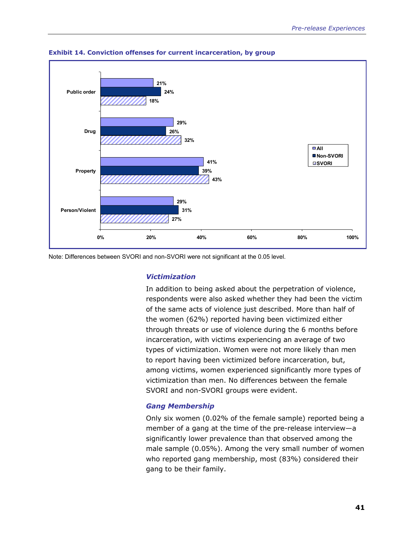

**Exhibit 14. Conviction offenses for current incarceration, by group** 

Note: Differences between SVORI and non-SVORI were not significant at the 0.05 level.

## *Victimization*

In addition to being asked about the perpetration of violence, respondents were also asked whether they had been the victim of the same acts of violence just described. More than half of the women (62%) reported having been victimized either through threats or use of violence during the 6 months before incarceration, with victims experiencing an average of two types of victimization. Women were not more likely than men to report having been victimized before incarceration, but, among victims, women experienced significantly more types of victimization than men. No differences between the female SVORI and non-SVORI groups were evident.

## *Gang Membership*

Only six women (0.02% of the female sample) reported being a member of a gang at the time of the pre-release interview—a significantly lower prevalence than that observed among the male sample (0.05%). Among the very small number of women who reported gang membership, most (83%) considered their gang to be their family.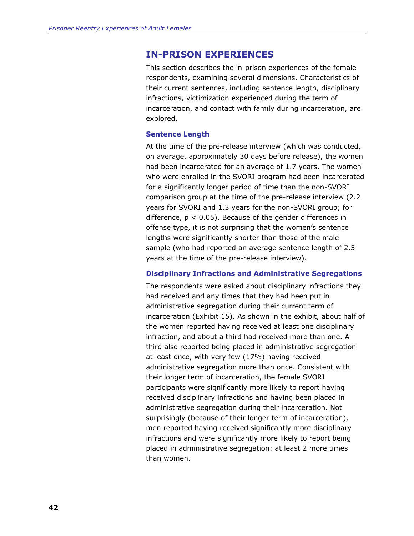# **IN-PRISON EXPERIENCES**

This section describes the in-prison experiences of the female respondents, examining several dimensions. Characteristics of their current sentences, including sentence length, disciplinary infractions, victimization experienced during the term of incarceration, and contact with family during incarceration, are explored.

#### **Sentence Length**

At the time of the pre-release interview (which was conducted, on average, approximately 30 days before release), the women had been incarcerated for an average of 1.7 years. The women who were enrolled in the SVORI program had been incarcerated for a significantly longer period of time than the non-SVORI comparison group at the time of the pre-release interview (2.2 years for SVORI and 1.3 years for the non-SVORI group; for difference,  $p < 0.05$ ). Because of the gender differences in offense type, it is not surprising that the women's sentence lengths were significantly shorter than those of the male sample (who had reported an average sentence length of 2.5 years at the time of the pre-release interview).

#### **Disciplinary Infractions and Administrative Segregations**

The respondents were asked about disciplinary infractions they had received and any times that they had been put in administrative segregation during their current term of incarceration (Exhibit 15). As shown in the exhibit, about half of the women reported having received at least one disciplinary infraction, and about a third had received more than one. A third also reported being placed in administrative segregation at least once, with very few (17%) having received administrative segregation more than once. Consistent with their longer term of incarceration, the female SVORI participants were significantly more likely to report having received disciplinary infractions and having been placed in administrative segregation during their incarceration. Not surprisingly (because of their longer term of incarceration), men reported having received significantly more disciplinary infractions and were significantly more likely to report being placed in administrative segregation: at least 2 more times than women.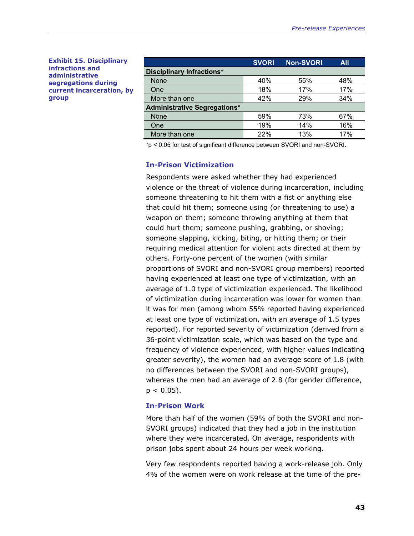**Exhibit 15. Disciplinary infractions and administrative segregations during current incarceration, by group** 

|                                     | <b>SVORI</b> | <b>Non-SVORI</b> | <b>All</b> |  |  |
|-------------------------------------|--------------|------------------|------------|--|--|
| <b>Disciplinary Infractions*</b>    |              |                  |            |  |  |
| None                                | 40%          | 55%              | 48%        |  |  |
| One                                 | 18%          | 17%              | 17%        |  |  |
| More than one                       | 42%          | 29%              | 34%        |  |  |
| <b>Administrative Segregations*</b> |              |                  |            |  |  |
| None                                | 59%          | 73%              | 67%        |  |  |
| One                                 | 19%          | 14%              | 16%        |  |  |
| More than one                       | 22%          | 13%              | 17%        |  |  |

\*p < 0.05 for test of significant difference between SVORI and non-SVORI.

#### **In-Prison Victimization**

Respondents were asked whether they had experienced violence or the threat of violence during incarceration, including someone threatening to hit them with a fist or anything else that could hit them; someone using (or threatening to use) a weapon on them; someone throwing anything at them that could hurt them; someone pushing, grabbing, or shoving; someone slapping, kicking, biting, or hitting them; or their requiring medical attention for violent acts directed at them by others. Forty-one percent of the women (with similar proportions of SVORI and non-SVORI group members) reported having experienced at least one type of victimization, with an average of 1.0 type of victimization experienced. The likelihood of victimization during incarceration was lower for women than it was for men (among whom 55% reported having experienced at least one type of victimization, with an average of 1.5 types reported). For reported severity of victimization (derived from a 36-point victimization scale, which was based on the type and frequency of violence experienced, with higher values indicating greater severity), the women had an average score of 1.8 (with no differences between the SVORI and non-SVORI groups), whereas the men had an average of 2.8 (for gender difference,  $p < 0.05$ ).

#### **In-Prison Work**

More than half of the women (59% of both the SVORI and non-SVORI groups) indicated that they had a job in the institution where they were incarcerated. On average, respondents with prison jobs spent about 24 hours per week working.

Very few respondents reported having a work-release job. Only 4% of the women were on work release at the time of the pre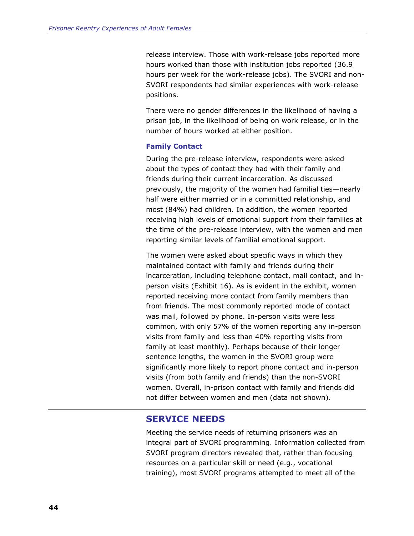release interview. Those with work-release jobs reported more hours worked than those with institution jobs reported (36.9 hours per week for the work-release jobs). The SVORI and non-SVORI respondents had similar experiences with work-release positions.

There were no gender differences in the likelihood of having a prison job, in the likelihood of being on work release, or in the number of hours worked at either position.

#### **Family Contact**

During the pre-release interview, respondents were asked about the types of contact they had with their family and friends during their current incarceration. As discussed previously, the majority of the women had familial ties—nearly half were either married or in a committed relationship, and most (84%) had children. In addition, the women reported receiving high levels of emotional support from their families at the time of the pre-release interview, with the women and men reporting similar levels of familial emotional support.

The women were asked about specific ways in which they maintained contact with family and friends during their incarceration, including telephone contact, mail contact, and inperson visits (Exhibit 16). As is evident in the exhibit, women reported receiving more contact from family members than from friends. The most commonly reported mode of contact was mail, followed by phone. In-person visits were less common, with only 57% of the women reporting any in-person visits from family and less than 40% reporting visits from family at least monthly). Perhaps because of their longer sentence lengths, the women in the SVORI group were significantly more likely to report phone contact and in-person visits (from both family and friends) than the non-SVORI women. Overall, in-prison contact with family and friends did not differ between women and men (data not shown).

# **SERVICE NEEDS**

Meeting the service needs of returning prisoners was an integral part of SVORI programming. Information collected from SVORI program directors revealed that, rather than focusing resources on a particular skill or need (e.g., vocational training), most SVORI programs attempted to meet all of the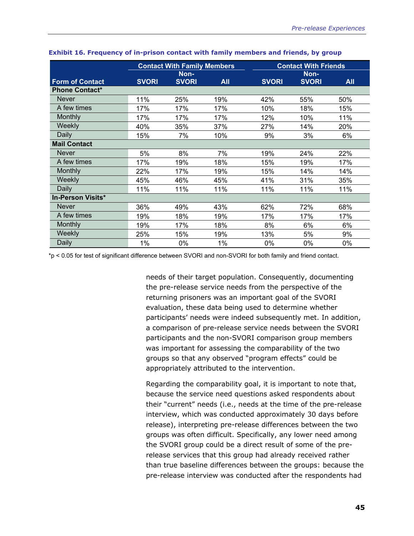|                          | <b>Contact With Family Members</b> |              |            | <b>Contact With Friends</b> |              |            |
|--------------------------|------------------------------------|--------------|------------|-----------------------------|--------------|------------|
|                          | Non-                               |              |            | Non-                        |              |            |
| <b>Form of Contact</b>   | <b>SVORI</b>                       | <b>SVORI</b> | <b>All</b> | <b>SVORI</b>                | <b>SVORI</b> | <b>All</b> |
| <b>Phone Contact*</b>    |                                    |              |            |                             |              |            |
| <b>Never</b>             | 11%                                | 25%          | 19%        | 42%                         | 55%          | 50%        |
| A few times              | 17%                                | 17%          | 17%        | 10%                         | 18%          | 15%        |
| Monthly                  | 17%                                | 17%          | 17%        | 12%                         | 10%          | 11%        |
| Weekly                   | 40%                                | 35%          | 37%        | 27%                         | 14%          | 20%        |
| Daily                    | 15%                                | 7%           | 10%        | 9%                          | 3%           | 6%         |
| <b>Mail Contact</b>      |                                    |              |            |                             |              |            |
| <b>Never</b>             | 5%                                 | 8%           | 7%         | 19%                         | 24%          | 22%        |
| A few times              | 17%                                | 19%          | 18%        | 15%                         | 19%          | 17%        |
| Monthly                  | 22%                                | 17%          | 19%        | 15%                         | 14%          | 14%        |
| Weekly                   | 45%                                | 46%          | 45%        | 41%                         | 31%          | 35%        |
| Daily                    | 11%                                | 11%          | 11%        | 11%                         | 11%          | 11%        |
| <b>In-Person Visits*</b> |                                    |              |            |                             |              |            |
| <b>Never</b>             | 36%                                | 49%          | 43%        | 62%                         | 72%          | 68%        |
| A few times              | 19%                                | 18%          | 19%        | 17%                         | 17%          | 17%        |
| Monthly                  | 19%                                | 17%          | 18%        | 8%                          | 6%           | 6%         |
| Weekly                   | 25%                                | 15%          | 19%        | 13%                         | 5%           | 9%         |
| Daily                    | 1%                                 | 0%           | 1%         | 0%                          | 0%           | 0%         |

#### **Exhibit 16. Frequency of in-prison contact with family members and friends, by group**

\*p < 0.05 for test of significant difference between SVORI and non-SVORI for both family and friend contact.

needs of their target population. Consequently, documenting the pre-release service needs from the perspective of the returning prisoners was an important goal of the SVORI evaluation, these data being used to determine whether participants' needs were indeed subsequently met. In addition, a comparison of pre-release service needs between the SVORI participants and the non-SVORI comparison group members was important for assessing the comparability of the two groups so that any observed "program effects" could be appropriately attributed to the intervention.

Regarding the comparability goal, it is important to note that, because the service need questions asked respondents about their "current" needs (i.e., needs at the time of the pre-release interview, which was conducted approximately 30 days before release), interpreting pre-release differences between the two groups was often difficult. Specifically, any lower need among the SVORI group could be a direct result of some of the prerelease services that this group had already received rather than true baseline differences between the groups: because the pre-release interview was conducted after the respondents had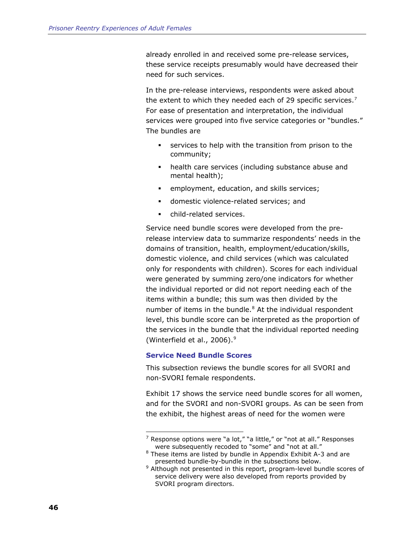<span id="page-69-0"></span>already enrolled in and received some pre-release services, these service receipts presumably would have decreased their need for such services.

In the pre-release interviews, respondents were asked about the extent to which they needed each of 29 specific services.<sup>[7](#page-69-0)</sup> For ease of presentation and interpretation, the individual services were grouped into five service categories or "bundles." The bundles are

- services to help with the transition from prison to the community;
- health care services (including substance abuse and mental health);
- employment, education, and skills services;
- **domestic violence-related services; and**
- child-related services.

Service need bundle scores were developed from the prerelease interview data to summarize respondents' needs in the domains of transition, health, employment/education/skills, domestic violence, and child services (which was calculated only for respondents with children). Scores for each individual were generated by summing zero/one indicators for whether the individual reported or did not report needing each of the items within a bundle; this sum was then divided by the number of items in the bundle. $8$  At the individual respondent level, this bundle score can be interpreted as the proportion of the services in the bundle that the individual reported needing (Winterfield et al., 2006)[.9](#page-69-0)

## **Service Need Bundle Scores**

 $\overline{a}$ 

This subsection reviews the bundle scores for all SVORI and non-SVORI female respondents.

Exhibit 17 shows the service need bundle scores for all women, and for the SVORI and non-SVORI groups. As can be seen from the exhibit, the highest areas of need for the women were

 $7$  Response options were "a lot," "a little," or "not at all." Responses were subsequently recoded to "some" and "not at all."

<sup>&</sup>lt;sup>8</sup> These items are listed by bundle in Appendix Exhibit A-3 and are presented bundle-by-bundle in the subsections below.

<sup>&</sup>lt;sup>9</sup> Although not presented in this report, program-level bundle scores of service delivery were also developed from reports provided by SVORI program directors.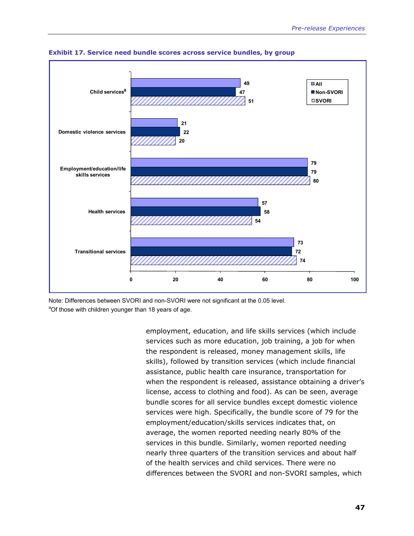

**Exhibit 17. Service need bundle scores across service bundles, by group** 

Note: Differences between SVORI and non-SVORI were not significant at the 0.05 level. <sup>a</sup>Of those with children younger than 18 years of age.

> employment, education, and life skills services (which include services such as more education, job training, a job for when the respondent is released, money management skills, life skills), followed by transition services (which include financial assistance, public health care insurance, transportation for when the respondent is released, assistance obtaining a driver's license, access to clothing and food). As can be seen, average bundle scores for all service bundles except domestic violence services were high. Specifically, the bundle score of 79 for the employment/education/skills services indicates that, on average, the women reported needing nearly 80% of the services in this bundle. Similarly, women reported needing nearly three quarters of the transition services and about half of the health services and child services. There were no differences between the SVORI and non-SVORI samples, which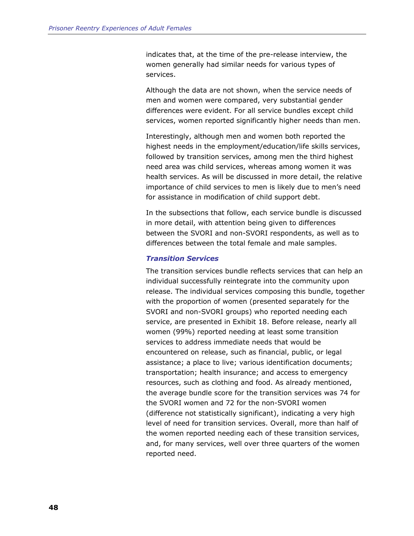indicates that, at the time of the pre-release interview, the women generally had similar needs for various types of services.

Although the data are not shown, when the service needs of men and women were compared, very substantial gender differences were evident. For all service bundles except child services, women reported significantly higher needs than men.

Interestingly, although men and women both reported the highest needs in the employment/education/life skills services, followed by transition services, among men the third highest need area was child services, whereas among women it was health services. As will be discussed in more detail, the relative importance of child services to men is likely due to men's need for assistance in modification of child support debt.

In the subsections that follow, each service bundle is discussed in more detail, with attention being given to differences between the SVORI and non-SVORI respondents, as well as to differences between the total female and male samples.

#### *Transition Services*

The transition services bundle reflects services that can help an individual successfully reintegrate into the community upon release. The individual services composing this bundle, together with the proportion of women (presented separately for the SVORI and non-SVORI groups) who reported needing each service, are presented in Exhibit 18. Before release, nearly all women (99%) reported needing at least some transition services to address immediate needs that would be encountered on release, such as financial, public, or legal assistance; a place to live; various identification documents; transportation; health insurance; and access to emergency resources, such as clothing and food. As already mentioned, the average bundle score for the transition services was 74 for the SVORI women and 72 for the non-SVORI women (difference not statistically significant), indicating a very high level of need for transition services. Overall, more than half of the women reported needing each of these transition services, and, for many services, well over three quarters of the women reported need.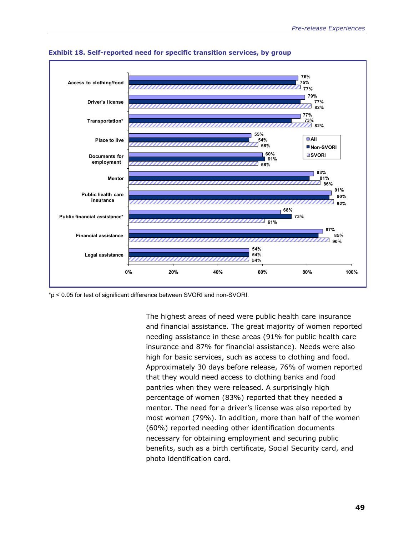

**Exhibit 18. Self-reported need for specific transition services, by group** 

\*p < 0.05 for test of significant difference between SVORI and non-SVORI.

The highest areas of need were public health care insurance and financial assistance. The great majority of women reported needing assistance in these areas (91% for public health care insurance and 87% for financial assistance). Needs were also high for basic services, such as access to clothing and food. Approximately 30 days before release, 76% of women reported that they would need access to clothing banks and food pantries when they were released. A surprisingly high percentage of women (83%) reported that they needed a mentor. The need for a driver's license was also reported by most women (79%). In addition, more than half of the women (60%) reported needing other identification documents necessary for obtaining employment and securing public benefits, such as a birth certificate, Social Security card, and photo identification card.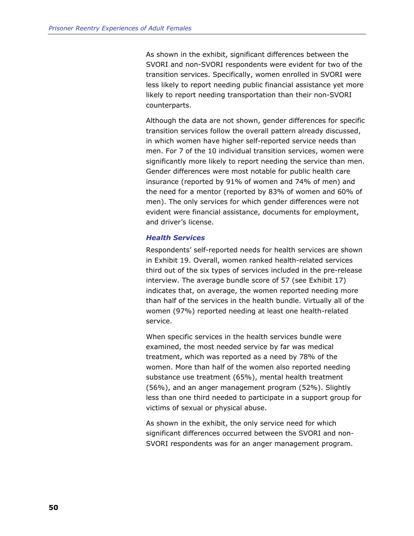As shown in the exhibit, significant differences between the SVORI and non-SVORI respondents were evident for two of the transition services. Specifically, women enrolled in SVORI were less likely to report needing public financial assistance yet more likely to report needing transportation than their non-SVORI counterparts.

Although the data are not shown, gender differences for specific transition services follow the overall pattern already discussed, in which women have higher self-reported service needs than men. For 7 of the 10 individual transition services, women were significantly more likely to report needing the service than men. Gender differences were most notable for public health care insurance (reported by 91% of women and 74% of men) and the need for a mentor (reported by 83% of women and 60% of men). The only services for which gender differences were not evident were financial assistance, documents for employment, and driver's license.

#### *Health Services*

Respondents' self-reported needs for health services are shown in Exhibit 19. Overall, women ranked health-related services third out of the six types of services included in the pre-release interview. The average bundle score of 57 (see Exhibit 17) indicates that, on average, the women reported needing more than half of the services in the health bundle. Virtually all of the women (97%) reported needing at least one health-related service.

When specific services in the health services bundle were examined, the most needed service by far was medical treatment, which was reported as a need by 78% of the women. More than half of the women also reported needing substance use treatment (65%), mental health treatment (56%), and an anger management program (52%). Slightly less than one third needed to participate in a support group for victims of sexual or physical abuse.

As shown in the exhibit, the only service need for which significant differences occurred between the SVORI and non-SVORI respondents was for an anger management program.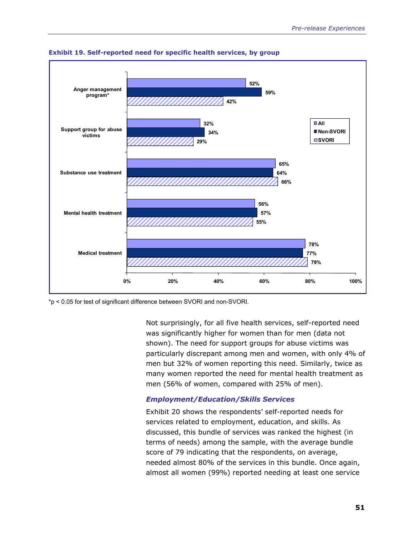

**Exhibit 19. Self-reported need for specific health services, by group** 

\*p < 0.05 for test of significant difference between SVORI and non-SVORI.

Not surprisingly, for all five health services, self-reported need was significantly higher for women than for men (data not shown). The need for support groups for abuse victims was particularly discrepant among men and women, with only 4% of men but 32% of women reporting this need. Similarly, twice as many women reported the need for mental health treatment as men (56% of women, compared with 25% of men).

# *Employment/Education/Skills Services*

Exhibit 20 shows the respondents' self-reported needs for services related to employment, education, and skills. As discussed, this bundle of services was ranked the highest (in terms of needs) among the sample, with the average bundle score of 79 indicating that the respondents, on average, needed almost 80% of the services in this bundle. Once again, almost all women (99%) reported needing at least one service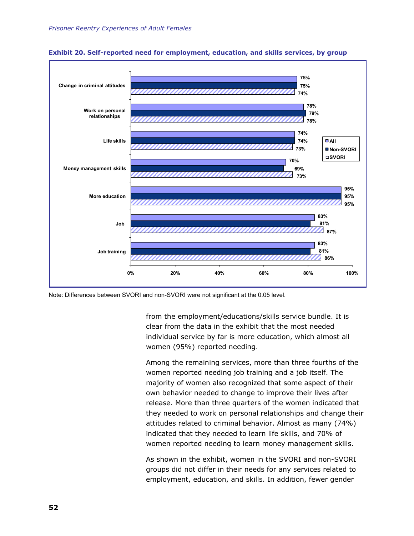

**Exhibit 20. Self-reported need for employment, education, and skills services, by group** 

Note: Differences between SVORI and non-SVORI were not significant at the 0.05 level.

from the employment/educations/skills service bundle. It is clear from the data in the exhibit that the most needed individual service by far is more education, which almost all women (95%) reported needing.

Among the remaining services, more than three fourths of the women reported needing job training and a job itself. The majority of women also recognized that some aspect of their own behavior needed to change to improve their lives after release. More than three quarters of the women indicated that they needed to work on personal relationships and change their attitudes related to criminal behavior. Almost as many (74%) indicated that they needed to learn life skills, and 70% of women reported needing to learn money management skills.

As shown in the exhibit, women in the SVORI and non-SVORI groups did not differ in their needs for any services related to employment, education, and skills. In addition, fewer gender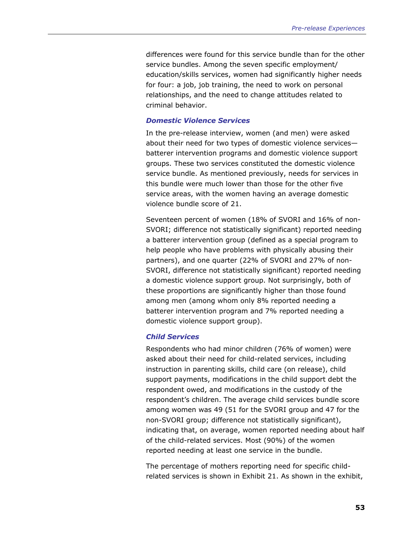differences were found for this service bundle than for the other service bundles. Among the seven specific employment/ education/skills services, women had significantly higher needs for four: a job, job training, the need to work on personal relationships, and the need to change attitudes related to criminal behavior.

## *Domestic Violence Services*

In the pre-release interview, women (and men) were asked about their need for two types of domestic violence services batterer intervention programs and domestic violence support groups. These two services constituted the domestic violence service bundle. As mentioned previously, needs for services in this bundle were much lower than those for the other five service areas, with the women having an average domestic violence bundle score of 21.

Seventeen percent of women (18% of SVORI and 16% of non-SVORI; difference not statistically significant) reported needing a batterer intervention group (defined as a special program to help people who have problems with physically abusing their partners), and one quarter (22% of SVORI and 27% of non-SVORI, difference not statistically significant) reported needing a domestic violence support group. Not surprisingly, both of these proportions are significantly higher than those found among men (among whom only 8% reported needing a batterer intervention program and 7% reported needing a domestic violence support group).

## *Child Services*

Respondents who had minor children (76% of women) were asked about their need for child-related services, including instruction in parenting skills, child care (on release), child support payments, modifications in the child support debt the respondent owed, and modifications in the custody of the respondent's children. The average child services bundle score among women was 49 (51 for the SVORI group and 47 for the non-SVORI group; difference not statistically significant), indicating that, on average, women reported needing about half of the child-related services. Most (90%) of the women reported needing at least one service in the bundle.

The percentage of mothers reporting need for specific childrelated services is shown in Exhibit 21. As shown in the exhibit,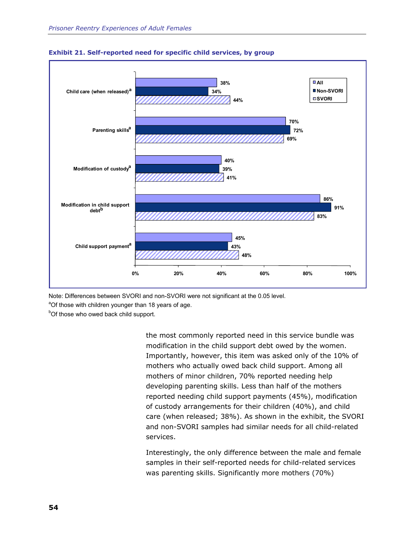



Note: Differences between SVORI and non-SVORI were not significant at the 0.05 level.

<sup>a</sup>Of those with children younger than 18 years of age.

<sup>b</sup>Of those who owed back child support.

the most commonly reported need in this service bundle was modification in the child support debt owed by the women. Importantly, however, this item was asked only of the 10% of mothers who actually owed back child support. Among all mothers of minor children, 70% reported needing help developing parenting skills. Less than half of the mothers reported needing child support payments (45%), modification of custody arrangements for their children (40%), and child care (when released; 38%). As shown in the exhibit, the SVORI and non-SVORI samples had similar needs for all child-related services.

Interestingly, the only difference between the male and female samples in their self-reported needs for child-related services was parenting skills. Significantly more mothers (70%)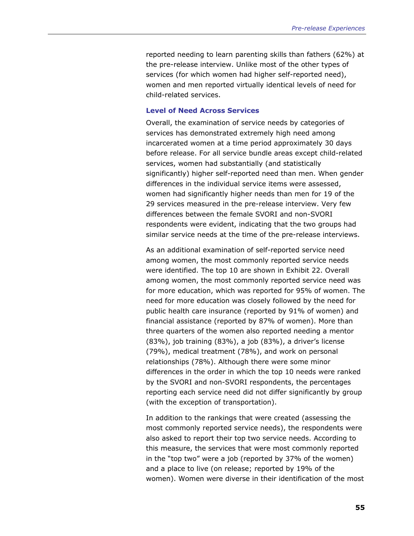reported needing to learn parenting skills than fathers (62%) at the pre-release interview. Unlike most of the other types of services (for which women had higher self-reported need), women and men reported virtually identical levels of need for child-related services.

#### **Level of Need Across Services**

Overall, the examination of service needs by categories of services has demonstrated extremely high need among incarcerated women at a time period approximately 30 days before release. For all service bundle areas except child-related services, women had substantially (and statistically significantly) higher self-reported need than men. When gender differences in the individual service items were assessed, women had significantly higher needs than men for 19 of the 29 services measured in the pre-release interview. Very few differences between the female SVORI and non-SVORI respondents were evident, indicating that the two groups had similar service needs at the time of the pre-release interviews.

As an additional examination of self-reported service need among women, the most commonly reported service needs were identified. The top 10 are shown in Exhibit 22. Overall among women, the most commonly reported service need was for more education, which was reported for 95% of women. The need for more education was closely followed by the need for public health care insurance (reported by 91% of women) and financial assistance (reported by 87% of women). More than three quarters of the women also reported needing a mentor (83%), job training (83%), a job (83%), a driver's license (79%), medical treatment (78%), and work on personal relationships (78%). Although there were some minor differences in the order in which the top 10 needs were ranked by the SVORI and non-SVORI respondents, the percentages reporting each service need did not differ significantly by group (with the exception of transportation).

In addition to the rankings that were created (assessing the most commonly reported service needs), the respondents were also asked to report their top two service needs. According to this measure, the services that were most commonly reported in the "top two" were a job (reported by 37% of the women) and a place to live (on release; reported by 19% of the women). Women were diverse in their identification of the most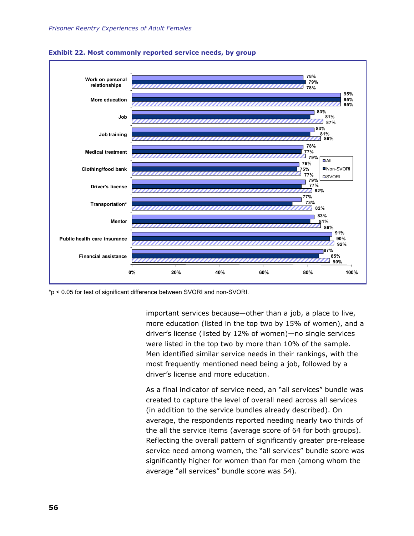



\*p < 0.05 for test of significant difference between SVORI and non-SVORI.

important services because—other than a job, a place to live, more education (listed in the top two by 15% of women), and a driver's license (listed by 12% of women)—no single services were listed in the top two by more than 10% of the sample. Men identified similar service needs in their rankings, with the most frequently mentioned need being a job, followed by a driver's license and more education.

As a final indicator of service need, an "all services" bundle was created to capture the level of overall need across all services (in addition to the service bundles already described). On average, the respondents reported needing nearly two thirds of the all the service items (average score of 64 for both groups). Reflecting the overall pattern of significantly greater pre-release service need among women, the "all services" bundle score was significantly higher for women than for men (among whom the average "all services" bundle score was 54).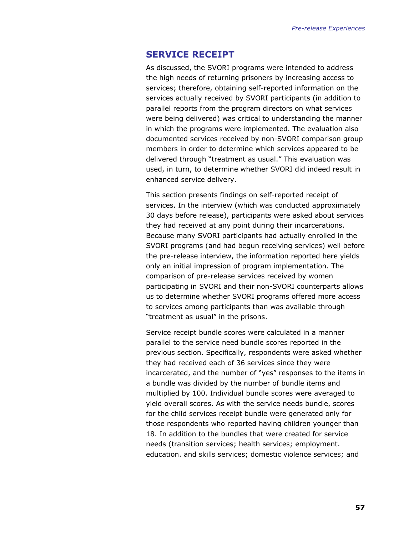# **SERVICE RECEIPT**

As discussed, the SVORI programs were intended to address the high needs of returning prisoners by increasing access to services; therefore, obtaining self-reported information on the services actually received by SVORI participants (in addition to parallel reports from the program directors on what services were being delivered) was critical to understanding the manner in which the programs were implemented. The evaluation also documented services received by non-SVORI comparison group members in order to determine which services appeared to be delivered through "treatment as usual." This evaluation was used, in turn, to determine whether SVORI did indeed result in enhanced service delivery.

This section presents findings on self-reported receipt of services. In the interview (which was conducted approximately 30 days before release), participants were asked about services they had received at any point during their incarcerations. Because many SVORI participants had actually enrolled in the SVORI programs (and had begun receiving services) well before the pre-release interview, the information reported here yields only an initial impression of program implementation. The comparison of pre-release services received by women participating in SVORI and their non-SVORI counterparts allows us to determine whether SVORI programs offered more access to services among participants than was available through "treatment as usual" in the prisons.

Service receipt bundle scores were calculated in a manner parallel to the service need bundle scores reported in the previous section. Specifically, respondents were asked whether they had received each of 36 services since they were incarcerated, and the number of "yes" responses to the items in a bundle was divided by the number of bundle items and multiplied by 100. Individual bundle scores were averaged to yield overall scores. As with the service needs bundle, scores for the child services receipt bundle were generated only for those respondents who reported having children younger than 18. In addition to the bundles that were created for service needs (transition services; health services; employment. education. and skills services; domestic violence services; and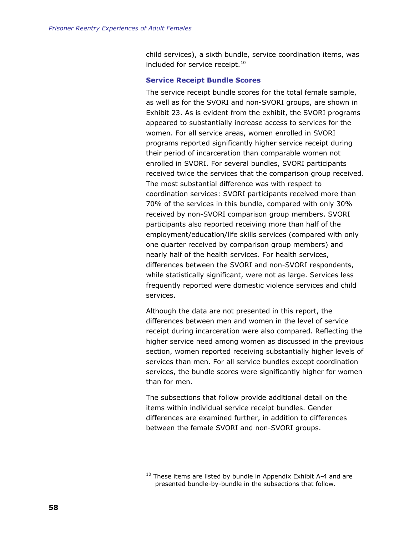<span id="page-81-0"></span>child services), a sixth bundle, service coordination items, was included for service receipt.<sup>[10](#page-81-0)</sup>

#### **Service Receipt Bundle Scores**

The service receipt bundle scores for the total female sample, as well as for the SVORI and non-SVORI groups, are shown in Exhibit 23. As is evident from the exhibit, the SVORI programs appeared to substantially increase access to services for the women. For all service areas, women enrolled in SVORI programs reported significantly higher service receipt during their period of incarceration than comparable women not enrolled in SVORI. For several bundles, SVORI participants received twice the services that the comparison group received. The most substantial difference was with respect to coordination services: SVORI participants received more than 70% of the services in this bundle, compared with only 30% received by non-SVORI comparison group members. SVORI participants also reported receiving more than half of the employment/education/life skills services (compared with only one quarter received by comparison group members) and nearly half of the health services. For health services, differences between the SVORI and non-SVORI respondents, while statistically significant, were not as large. Services less frequently reported were domestic violence services and child services.

Although the data are not presented in this report, the differences between men and women in the level of service receipt during incarceration were also compared. Reflecting the higher service need among women as discussed in the previous section, women reported receiving substantially higher levels of services than men. For all service bundles except coordination services, the bundle scores were significantly higher for women than for men.

The subsections that follow provide additional detail on the items within individual service receipt bundles. Gender differences are examined further, in addition to differences between the female SVORI and non-SVORI groups.

-

 $10$  These items are listed by bundle in Appendix Exhibit A-4 and are presented bundle-by-bundle in the subsections that follow.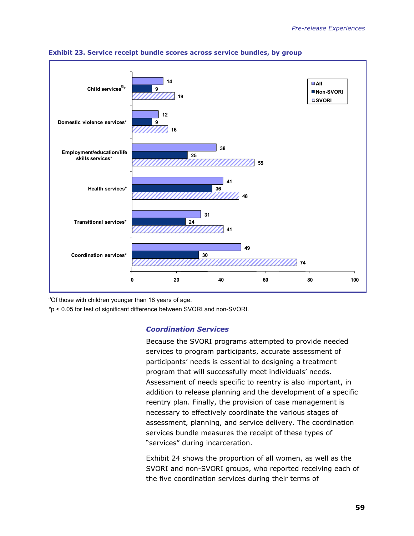



<sup>a</sup>Of those with children younger than 18 years of age.

\*p < 0.05 for test of significant difference between SVORI and non-SVORI.

# *Coordination Services*

Because the SVORI programs attempted to provide needed services to program participants, accurate assessment of participants' needs is essential to designing a treatment program that will successfully meet individuals' needs. Assessment of needs specific to reentry is also important, in addition to release planning and the development of a specific reentry plan. Finally, the provision of case management is necessary to effectively coordinate the various stages of assessment, planning, and service delivery. The coordination services bundle measures the receipt of these types of "services" during incarceration.

Exhibit 24 shows the proportion of all women, as well as the SVORI and non-SVORI groups, who reported receiving each of the five coordination services during their terms of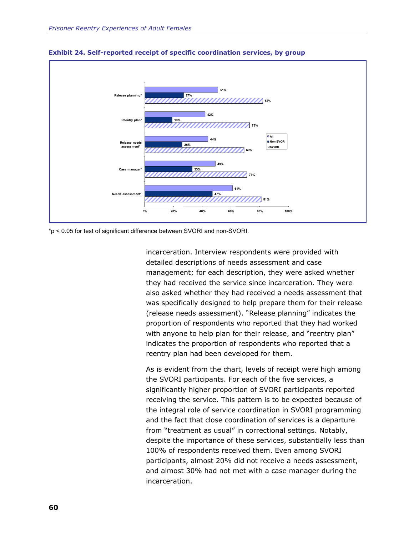

**Exhibit 24. Self-reported receipt of specific coordination services, by group** 

\*p < 0.05 for test of significant difference between SVORI and non-SVORI.

incarceration. Interview respondents were provided with detailed descriptions of needs assessment and case management; for each description, they were asked whether they had received the service since incarceration. They were also asked whether they had received a needs assessment that was specifically designed to help prepare them for their release (release needs assessment). "Release planning" indicates the proportion of respondents who reported that they had worked with anyone to help plan for their release, and "reentry plan" indicates the proportion of respondents who reported that a reentry plan had been developed for them.

As is evident from the chart, levels of receipt were high among the SVORI participants. For each of the five services, a significantly higher proportion of SVORI participants reported receiving the service. This pattern is to be expected because of the integral role of service coordination in SVORI programming and the fact that close coordination of services is a departure from "treatment as usual" in correctional settings. Notably, despite the importance of these services, substantially less than 100% of respondents received them. Even among SVORI participants, almost 20% did not receive a needs assessment, and almost 30% had not met with a case manager during the incarceration.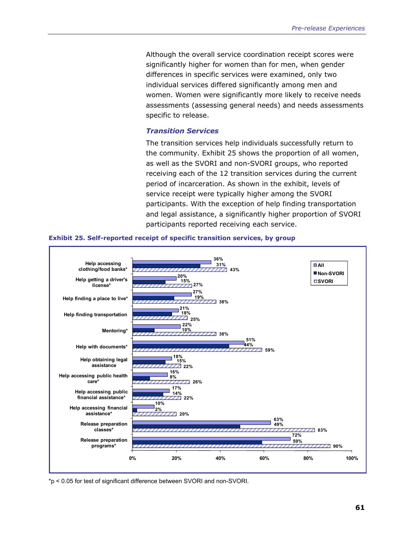Although the overall service coordination receipt scores were significantly higher for women than for men, when gender differences in specific services were examined, only two individual services differed significantly among men and women. Women were significantly more likely to receive needs assessments (assessing general needs) and needs assessments specific to release.

#### *Transition Services*

The transition services help individuals successfully return to the community. Exhibit 25 shows the proportion of all women, as well as the SVORI and non-SVORI groups, who reported receiving each of the 12 transition services during the current period of incarceration. As shown in the exhibit, levels of service receipt were typically higher among the SVORI participants. With the exception of help finding transportation and legal assistance, a significantly higher proportion of SVORI participants reported receiving each service.



#### **Exhibit 25. Self-reported receipt of specific transition services, by group**

\*p < 0.05 for test of significant difference between SVORI and non-SVORI.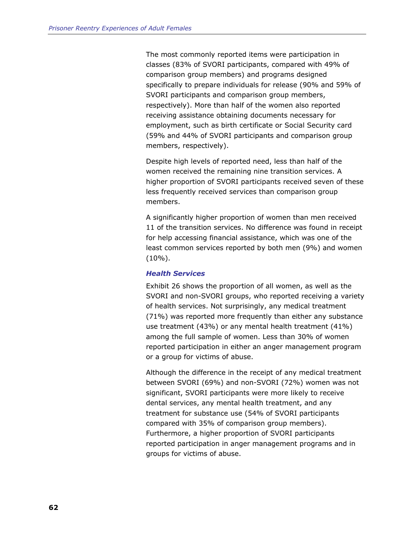The most commonly reported items were participation in classes (83% of SVORI participants, compared with 49% of comparison group members) and programs designed specifically to prepare individuals for release (90% and 59% of SVORI participants and comparison group members, respectively). More than half of the women also reported receiving assistance obtaining documents necessary for employment, such as birth certificate or Social Security card (59% and 44% of SVORI participants and comparison group members, respectively).

Despite high levels of reported need, less than half of the women received the remaining nine transition services. A higher proportion of SVORI participants received seven of these less frequently received services than comparison group members.

A significantly higher proportion of women than men received 11 of the transition services. No difference was found in receipt for help accessing financial assistance, which was one of the least common services reported by both men (9%) and women (10%).

#### *Health Services*

Exhibit 26 shows the proportion of all women, as well as the SVORI and non-SVORI groups, who reported receiving a variety of health services. Not surprisingly, any medical treatment (71%) was reported more frequently than either any substance use treatment (43%) or any mental health treatment (41%) among the full sample of women. Less than 30% of women reported participation in either an anger management program or a group for victims of abuse.

Although the difference in the receipt of any medical treatment between SVORI (69%) and non-SVORI (72%) women was not significant, SVORI participants were more likely to receive dental services, any mental health treatment, and any treatment for substance use (54% of SVORI participants compared with 35% of comparison group members). Furthermore, a higher proportion of SVORI participants reported participation in anger management programs and in groups for victims of abuse.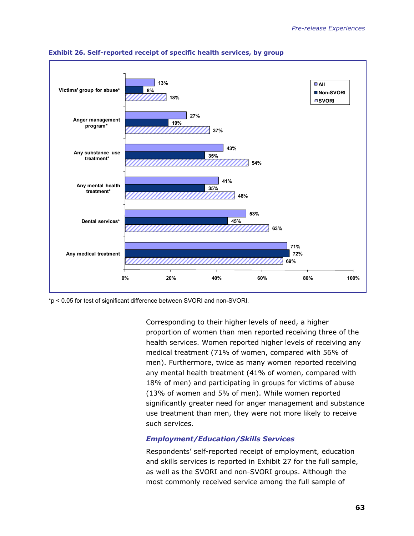

**Exhibit 26. Self-reported receipt of specific health services, by group** 

\*p < 0.05 for test of significant difference between SVORI and non-SVORI.

Corresponding to their higher levels of need, a higher proportion of women than men reported receiving three of the health services. Women reported higher levels of receiving any medical treatment (71% of women, compared with 56% of men). Furthermore, twice as many women reported receiving any mental health treatment (41% of women, compared with 18% of men) and participating in groups for victims of abuse (13% of women and 5% of men). While women reported significantly greater need for anger management and substance use treatment than men, they were not more likely to receive such services.

# *Employment/Education/Skills Services*

Respondents' self-reported receipt of employment, education and skills services is reported in Exhibit 27 for the full sample, as well as the SVORI and non-SVORI groups. Although the most commonly received service among the full sample of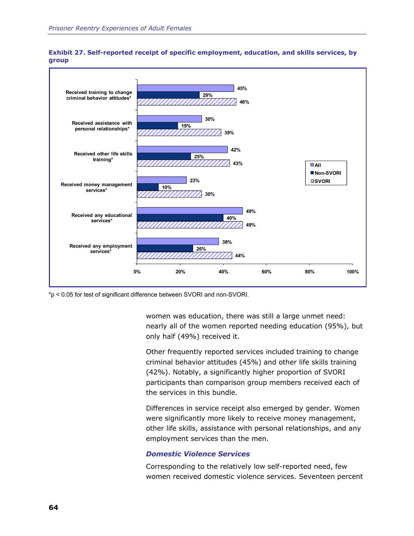



\*p < 0.05 for test of significant difference between SVORI and non-SVORI.

women was education, there was still a large unmet need: nearly all of the women reported needing education (95%), but only half (49%) received it.

Other frequently reported services included training to change criminal behavior attitudes (45%) and other life skills training (42%). Notably, a significantly higher proportion of SVORI participants than comparison group members received each of the services in this bundle.

Differences in service receipt also emerged by gender. Women were significantly more likely to receive money management, other life skills, assistance with personal relationships, and any employment services than the men.

#### *Domestic Violence Services*

Corresponding to the relatively low self-reported need, few women received domestic violence services. Seventeen percent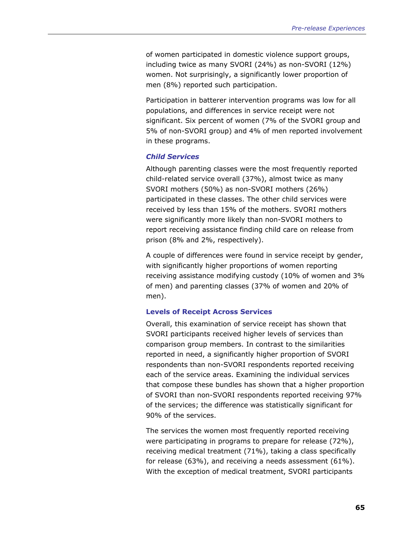of women participated in domestic violence support groups, including twice as many SVORI (24%) as non-SVORI (12%) women. Not surprisingly, a significantly lower proportion of men (8%) reported such participation.

Participation in batterer intervention programs was low for all populations, and differences in service receipt were not significant. Six percent of women (7% of the SVORI group and 5% of non-SVORI group) and 4% of men reported involvement in these programs.

## *Child Services*

Although parenting classes were the most frequently reported child-related service overall (37%), almost twice as many SVORI mothers (50%) as non-SVORI mothers (26%) participated in these classes. The other child services were received by less than 15% of the mothers. SVORI mothers were significantly more likely than non-SVORI mothers to report receiving assistance finding child care on release from prison (8% and 2%, respectively).

A couple of differences were found in service receipt by gender, with significantly higher proportions of women reporting receiving assistance modifying custody (10% of women and 3% of men) and parenting classes (37% of women and 20% of men).

#### **Levels of Receipt Across Services**

Overall, this examination of service receipt has shown that SVORI participants received higher levels of services than comparison group members. In contrast to the similarities reported in need, a significantly higher proportion of SVORI respondents than non-SVORI respondents reported receiving each of the service areas. Examining the individual services that compose these bundles has shown that a higher proportion of SVORI than non-SVORI respondents reported receiving 97% of the services; the difference was statistically significant for 90% of the services.

The services the women most frequently reported receiving were participating in programs to prepare for release (72%), receiving medical treatment (71%), taking a class specifically for release (63%), and receiving a needs assessment (61%). With the exception of medical treatment, SVORI participants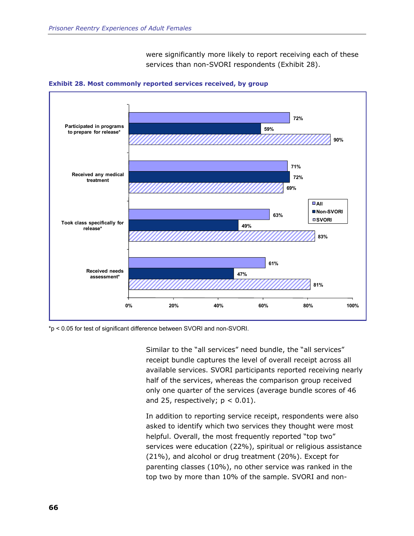were significantly more likely to report receiving each of these services than non-SVORI respondents (Exhibit 28).



**Exhibit 28. Most commonly reported services received, by group** 

\*p < 0.05 for test of significant difference between SVORI and non-SVORI.

Similar to the "all services" need bundle, the "all services" receipt bundle captures the level of overall receipt across all available services. SVORI participants reported receiving nearly half of the services, whereas the comparison group received only one quarter of the services (average bundle scores of 46 and 25, respectively;  $p < 0.01$ ).

In addition to reporting service receipt, respondents were also asked to identify which two services they thought were most helpful. Overall, the most frequently reported "top two" services were education (22%), spiritual or religious assistance (21%), and alcohol or drug treatment (20%). Except for parenting classes (10%), no other service was ranked in the top two by more than 10% of the sample. SVORI and non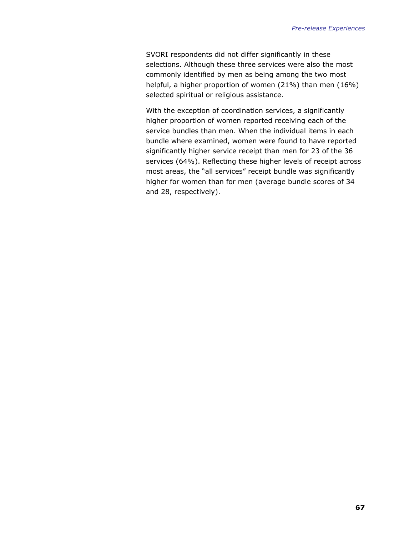SVORI respondents did not differ significantly in these selections. Although these three services were also the most commonly identified by men as being among the two most helpful, a higher proportion of women (21%) than men (16%) selected spiritual or religious assistance.

With the exception of coordination services, a significantly higher proportion of women reported receiving each of the service bundles than men. When the individual items in each bundle where examined, women were found to have reported significantly higher service receipt than men for 23 of the 36 services (64%). Reflecting these higher levels of receipt across most areas, the "all services" receipt bundle was significantly higher for women than for men (average bundle scores of 34 and 28, respectively).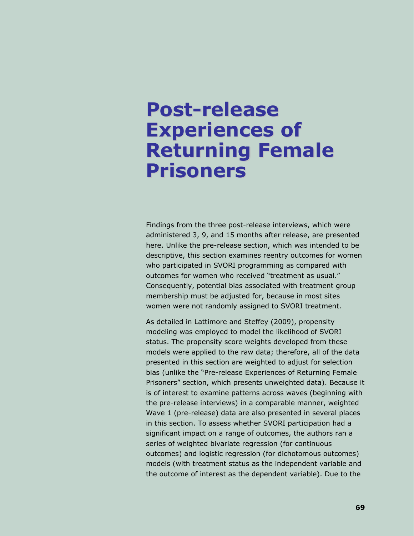# **Post-release Experiences of Returning Female Prisoners**

Findings from the three post-release interviews, which were administered 3, 9, and 15 months after release, are presented here. Unlike the pre-release section, which was intended to be descriptive, this section examines reentry outcomes for women who participated in SVORI programming as compared with outcomes for women who received "treatment as usual." Consequently, potential bias associated with treatment group membership must be adjusted for, because in most sites women were not randomly assigned to SVORI treatment.

As detailed in Lattimore and Steffey (2009), propensity modeling was employed to model the likelihood of SVORI status. The propensity score weights developed from these models were applied to the raw data; therefore, all of the data presented in this section are weighted to adjust for selection bias (unlike the "Pre-release Experiences of Returning Female Prisoners" section, which presents unweighted data). Because it is of interest to examine patterns across waves (beginning with the pre-release interviews) in a comparable manner, weighted Wave 1 (pre-release) data are also presented in several places in this section. To assess whether SVORI participation had a significant impact on a range of outcomes, the authors ran a series of weighted bivariate regression (for continuous outcomes) and logistic regression (for dichotomous outcomes) models (with treatment status as the independent variable and the outcome of interest as the dependent variable). Due to the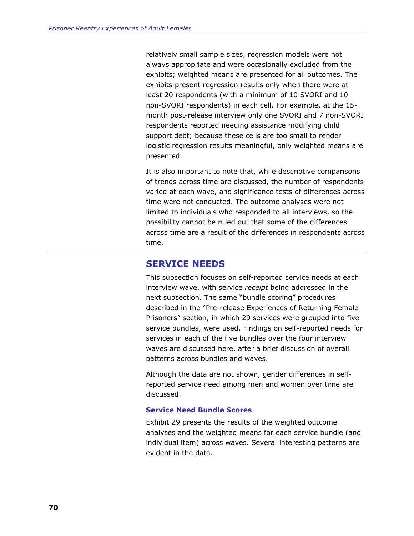relatively small sample sizes, regression models were not always appropriate and were occasionally excluded from the exhibits; weighted means are presented for all outcomes. The exhibits present regression results only when there were at least 20 respondents (with a minimum of 10 SVORI and 10 non-SVORI respondents) in each cell. For example, at the 15 month post-release interview only one SVORI and 7 non-SVORI respondents reported needing assistance modifying child support debt; because these cells are too small to render logistic regression results meaningful, only weighted means are presented.

It is also important to note that, while descriptive comparisons of trends across time are discussed, the number of respondents varied at each wave, and significance tests of differences across time were not conducted. The outcome analyses were not limited to individuals who responded to all interviews, so the possibility cannot be ruled out that some of the differences across time are a result of the differences in respondents across time.

# **SERVICE NEEDS**

This subsection focuses on self-reported service needs at each interview wave, with service *receipt* being addressed in the next subsection. The same "bundle scoring" procedures described in the "Pre-release Experiences of Returning Female Prisoners" section, in which 29 services were grouped into five service bundles, were used. Findings on self-reported needs for services in each of the five bundles over the four interview waves are discussed here, after a brief discussion of overall patterns across bundles and waves.

Although the data are not shown, gender differences in selfreported service need among men and women over time are discussed.

## **Service Need Bundle Scores**

Exhibit 29 presents the results of the weighted outcome analyses and the weighted means for each service bundle (and individual item) across waves. Several interesting patterns are evident in the data.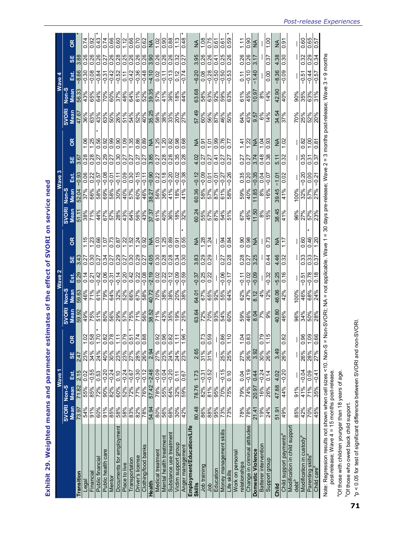|                                                                                                          |                             |                                   | Wave <sub>M</sub> |                             |               |                                                        |                                                       |                            |                                                |                                          |                          |                                               |                                                         |                         |                    |                                                                                      |                                             |                           |                                             |                 |
|----------------------------------------------------------------------------------------------------------|-----------------------------|-----------------------------------|-------------------|-----------------------------|---------------|--------------------------------------------------------|-------------------------------------------------------|----------------------------|------------------------------------------------|------------------------------------------|--------------------------|-----------------------------------------------|---------------------------------------------------------|-------------------------|--------------------|--------------------------------------------------------------------------------------|---------------------------------------------|---------------------------|---------------------------------------------|-----------------|
|                                                                                                          |                             |                                   |                   |                             |               |                                                        |                                                       | Wave 2                     |                                                |                                          |                          |                                               | Wave 3                                                  |                         |                    |                                                                                      |                                             | Wave 4                    |                                             |                 |
|                                                                                                          | <b>SVORI</b><br><b>Mean</b> | Non-S<br>Mean                     | Est.              | 56                          | 8             | SVORI                                                  | Non-S<br>Mean                                         | Est.                       | $\frac{1}{3}$                                  | 8                                        | SVORI                    | Non-S<br><b>Mean</b>                          | Est.                                                    | $\overline{\mathbf{5}}$ | 8                  | SVORI<br>Mean                                                                        | Non-S<br>Mean                               | Est.                      | <b>SE</b>                                   | 8               |
| <b>ransition</b>                                                                                         | 73.97                       | 71.82                             | 2.15              | 2.47                        |               | <b>Mean</b><br>59.92                                   | 59.63                                                 |                            | 3.43                                           |                                          |                          | 52.04                                         | $-0.93$                                                 | 3.67                    |                    | 47.67                                                                                | 56.33                                       | 8.66                      | 3.88                                        |                 |
| Legal                                                                                                    | 54%                         | 55%                               | 0.02              | 23%                         | 1.02          |                                                        | 46%                                                   | 0.14                       | 0.27                                           | 1.15                                     | 38%                      | 37%                                           | 0.06                                                    | 0.28                    | 1.06               | 36%                                                                                  | 43%                                         | $-0.30$                   | 0.26                                        | 0.74            |
| Financial                                                                                                | 91%                         | 85%                               | $-0.55$           | 34%                         | 0.58          | 49%<br>75%                                             | 71%                                                   | $\overline{0.21}$          | 0.30                                           | 1.23                                     | 71%                      | 9699                                          |                                                         | 0.28                    | 1.25               |                                                                                      | 65%                                         | $-0.08$                   | 0.26                                        | 0.92            |
| Public financia                                                                                          | 80%<br>91%                  | 72%                               | 0.53              | 24%                         | 1.70          | <u>zimesista 1988.</u><br>2009 - 1988.<br>2009 - 1988. |                                                       | $\frac{42}{0.06}$          | <u>ျေဒျိုင်ခြင်းခြင်း</u><br> အမြင့်ခြင်းခြင်း | $rac{66}{1.07}$                          |                          |                                               | $\begin{array}{r} \hline 22 \\ 0 \\ 0 \\ 9 \end{array}$ | $\frac{0.27}{0.29}$     | 0.56               | ႞ၜၟ႞ၜၟ႞ၜၟ႞ၜၟ႞ၜၟ႞ၜၟ႞ၜၟ႞ၛၟၜ<br>႞ၜၟ႞ၣၟၜၟ႞ၜၟ႞ၜၟ႞ၜၟ႞ၜၟ႞ၛၟၣၜ<br>ႜႜႜႜႜႜႜႜႜႜႜႜႜႜႜႜႜႜၟ႞ၟၟၣၛၟၜ | 8 8 8 8 8 8<br>8 8 8 8 9 8 8<br>8 8 9 8 9 8 | $\frac{-0.84}{-0.31}$     | 0.26                                        | 0.43            |
| Public health care                                                                                       |                             |                                   | $-0.20$           | 40%                         | 0.82          |                                                        |                                                       |                            |                                                |                                          |                          |                                               |                                                         |                         |                    |                                                                                      |                                             |                           | 0.27                                        |                 |
| Mentor                                                                                                   | $\frac{888}{88000}$         | $\frac{82\% -0.24}{60\% -0.10}$   |                   | $\frac{\log  x }{\log  x }$ | 0.78          |                                                        |                                                       | $\frac{-0.31}{-0.14}$      |                                                | 0.73                                     |                          |                                               | $rac{5}{9}$                                             | $\frac{55}{25}$         |                    |                                                                                      |                                             | $\frac{-0.42}{-0.52}$     | $\frac{0.26}{0.28}$                         | 0.66            |
| Documents for employment                                                                                 |                             |                                   |                   |                             | $\frac{1}{1}$ |                                                        |                                                       |                            |                                                |                                          |                          |                                               |                                                         |                         |                    |                                                                                      |                                             |                           |                                             | 0.60            |
| Place to live                                                                                            |                             | $\frac{22\% - 0.24}{72\% - 0.67}$ |                   |                             | 0.79          |                                                        |                                                       |                            |                                                |                                          |                          |                                               |                                                         |                         |                    |                                                                                      |                                             | $\frac{1}{2}$             | $\frac{0.25}{0.26}$                         | $\frac{12}{12}$ |
| Transportation                                                                                           |                             |                                   |                   |                             | 0.51          |                                                        |                                                       |                            |                                                |                                          |                          |                                               | $\frac{0.09}{0.30}$                                     |                         |                    |                                                                                      |                                             |                           |                                             | 0.66            |
| Driver's license                                                                                         | 82%<br>78%                  | 02.0- %22                         |                   | 28%<br>26%                  | 0.74          |                                                        | <u>န္တုန္တုန္တုန္တုန္တုန္တုန္</u><br>အေနျဖဴ အေနျဖဴ အေ | 001310<br> 001210<br> 0010 |                                                | $\frac{122}{1.52}$<br>$\frac{122}{1.52}$ | 4888888888<br>4678888888 | 60%<br>46%                                    | $-0.15$                                                 | 0.27                    |                    |                                                                                      | 61%<br>52%<br>39.35                         | $\frac{8+0-0}{95.0-}$     | $\begin{array}{c}\n8888 \\ 60\n\end{array}$ | 0.70            |
| Clothing/food banks                                                                                      |                             | 76% -0.12                         |                   |                             | 0.88          |                                                        |                                                       |                            |                                                |                                          |                          |                                               | $-0.11$                                                 | 0.27                    |                    |                                                                                      |                                             |                           |                                             | 0.62            |
| Health                                                                                                   | 54.94                       | $57.42 - 2.48$                    |                   | 2.94                        |               |                                                        | 40.72                                                 |                            | 4.05                                           |                                          |                          |                                               | $\frac{-0.90}{0.22}$                                    | $\frac{3.85}{0.27}$     | $\frac{NA}{1.25}$  |                                                                                      |                                             | $-4.10$                   |                                             |                 |
| Medical treatment                                                                                        | 80%                         | 60.0- %82                         |                   | 27%                         | 0.92          |                                                        | 70%                                                   | $\frac{-2.19}{0.02}$       | $\frac{0.30}{2}$                               | $\frac{103}{1}$                          | 37.37<br>61%             | 38.27                                         |                                                         |                         |                    |                                                                                      | 9649                                        | 0.02                      |                                             | $\frac{8}{1}$   |
| Mental health treatment                                                                                  | 56%                         | 25% - 0.04                        |                   | 23%                         | 960           |                                                        | 38%                                                   | 0.22                       | 0.28                                           | 1.25                                     | 40%                      | 36%                                           | 0.18                                                    | 0.28                    | 1.20               |                                                                                      | 41%                                         | $-0.11$                   | 0.26                                        | 060             |
| Substance use treatment                                                                                  | 68%                         | 64%                               | $-0.20$           | 24%                         | 0.82          |                                                        |                                                       | $-0.12$                    | 0.28                                           | 0.89                                     |                          | 41%                                           | $-0.20$                                                 | 0.28                    | 0.82               |                                                                                      | 36%                                         | $-0.13$                   | 0.26                                        | 0.88            |
| Victim support group                                                                                     | 30%                         | 32%                               | 0.11              | 24%                         | 1.1           | -<br> အိုနဲ့ နွူနီ                                     | 20%                                                   | $-0.09$                    | 0.34                                           | 0.91                                     | 36%<br>18%               | 18%                                           | $\frac{-0.02}{-0.38}$                                   | 0.35                    | 0.98               | 33%<br>20%                                                                           | 18%                                         | 0.12                      | 0.32                                        |                 |
| Anger management                                                                                         | 42%                         | 59%                               | 0.67              | 23%                         | 1.96          |                                                        | 38%                                                   | $-0.59$                    | 0.30                                           | 0.55                                     | 32%                      | 41%                                           |                                                         | 0.28                    | 0.68               | 27%                                                                                  | 44%                                         | $-0.74$                   | 0.27                                        | 0.48            |
| Employment/Education/Life                                                                                |                             |                                   |                   |                             |               |                                                        |                                                       |                            |                                                |                                          |                          |                                               |                                                         |                         |                    |                                                                                      |                                             |                           |                                             |                 |
| <b>Skills</b>                                                                                            | 80.48                       | 78.76 1.73                        |                   | 2.65                        |               |                                                        | 64.01                                                 | $-0.37$                    | 3.83                                           | $\frac{4}{2}$                            | 60.24                    | 60.36                                         | $-0.12$<br>$-0.09$                                      | 4.02                    | ≸                  |                                                                                      | $\frac{63.68}{58\%}$                        | $-6.20$                   | 3.95                                        | ≸               |
| Job training                                                                                             | 86%                         | 82%                               | $-0.31$           | 31%                         | 0.73          | 63.64<br>72%<br>70%                                    | 67%                                                   | 0.25                       | 0.29                                           | <b>1.28</b>                              |                          | 58%<br>57%                                    |                                                         | 0.27                    | $\overline{9}$     | $rac{57.49}{60\%}$                                                                   |                                             | 0.08                      | 0.26                                        | 1.08            |
| gol                                                                                                      | 88%                         | 81%                               | $-0.52$           | 31%                         | 0.59          |                                                        | 65%                                                   | 0.22                       | 0.29                                           | 1.24                                     | 57%                      |                                               | 0.01                                                    | 0.27                    | LO: L              |                                                                                      | 63%                                         | $-0.28$                   | 0.26                                        | 0.75            |
| Education                                                                                                | 95%                         | 95%                               |                   |                             |               | 93%                                                    | 92%                                                   |                            |                                                |                                          | 87%                      | 87%                                           | $-0.01$                                                 | 0.41                    | 0.99               | 87%                                                                                  |                                             | $-0.50$                   | 0.41                                        | 0.61            |
| Money management skills                                                                                  | 73%                         | $\frac{70\%}{-0.15}$              |                   | 25%                         | 0.86          | 54%<br>60%                                             | 55%<br>64%                                            | $-0.06$                    | 0.27                                           | $\frac{10}{94}$                          | $\frac{268}{248}$        | 61%                                           |                                                         | 0.27                    | 0.76               | 46%                                                                                  | $\frac{8}{300}$                             | <u>ရွ</u> ေ<br> ၁ ၁<br> ၁ | $\frac{0.25}{0.26}$                         | 0.61            |
| Life skills                                                                                              |                             | 75%                               | 0.10              | 25%                         | 1.10          |                                                        |                                                       | $-0.17$                    | 0.28                                           |                                          |                          |                                               | $-0.27$<br>$-0.26$                                      | 0.27                    | 0.77               |                                                                                      |                                             |                           |                                             | 0.59            |
| Work on personal                                                                                         |                             |                                   |                   |                             |               |                                                        |                                                       |                            |                                                |                                          |                          |                                               |                                                         |                         |                    |                                                                                      |                                             |                           |                                             |                 |
| relationships                                                                                            | 78%                         | 79%                               | 0.04              | 27%                         | 1.04          |                                                        | 62%<br>47%                                            | $-0.11$                    | 0.28                                           | 0.90                                     | 67%                      |                                               | 0.35                                                    | 0.27                    | 1.41               | 64%<br>43%                                                                           | 61%                                         | 0.11                      | 0.26                                        | $\tilde{=}$     |
| Change in criminal attitudes                                                                             | 78%                         | $74% -0.19$                       |                   | 26%<br>3.92                 | 0.83          | $rac{59%}{46%}$                                        |                                                       | $-0.02$                    | 0.27                                           | 86.0                                     | 45%                      | $\frac{8\%}{40\%}\frac{18\%}{18\%}\approx 10$ | 0.20                                                    | 0.27                    | 1.22               |                                                                                      | 45%                                         | $-0.10$                   | 0.26                                        | 0.90            |
| Domestic Violence                                                                                        | 21.41                       | <b>Z0.97</b>                      | 0.44              |                             |               |                                                        | 8.12                                                  | $-0.09$                    | 3.25                                           | <b>AN</b>                                | 11.50                    |                                               | $-0.35$                                                 | 3.74                    | <b>AN</b>          | 9.57                                                                                 | 10.97                                       | $-1.40$                   | 3.17                                        | $\frac{4}{2}$   |
| <b>Batterer intervention</b>                                                                             | 19%<br>24%                  | 16%<br>26%                        | $-0.24$           | 30%<br>26%                  | 0.79          | $\frac{66}{26}$                                        | 4%<br>12%                                             |                            |                                                |                                          | $\frac{96}{15\%}$        |                                               | 동 <mark>)</mark><br>이후                                  | $\frac{48}{0.38}$       | $\frac{104}{0.93}$ | 14%<br>14%                                                                           | $8\%$                                       |                           |                                             |                 |
| Support group                                                                                            |                             |                                   | 0.14              |                             | 1.15          |                                                        |                                                       | $-0.32$                    | 0.44                                           | 0.73                                     |                          |                                               |                                                         |                         |                    |                                                                                      | 14%                                         | 0.00                      | 0.37                                        | 1.00            |
| Child                                                                                                    | 51.91                       | 47.88                             | 4.02              | 3.49                        |               | 40.80                                                  |                                                       | $\frac{5.25}{0.16}$        |                                                | $\frac{4}{2}$                            |                          | 39.45                                         | $\frac{5}{100}$                                         | 5.11                    | $\frac{4}{10}$     | $\frac{34.54}{37\%}$                                                                 |                                             | $-8.36$                   | $\frac{4.38}{0.30}$                         | ≸               |
| Child support payments <sup>ª</sup>                                                                      | 49%                         | 44%                               | $-0.20$           | 26%                         | 0.82          | 46%                                                    | 46.06                                                 |                            | $\frac{4.46}{0.32}$                            | 1.17                                     | $\frac{38.45}{41\%}$     | 41%                                           |                                                         | 0.32                    |                    |                                                                                      | $\frac{42.90}{40\%}$                        | $-0.09$                   |                                             | 5<br>031        |
| Modification in child support<br>$debt^b$                                                                | 85%                         | 91%                               |                   |                             |               | 96%                                                    | 100%                                                  |                            |                                                |                                          |                          | 100%                                          |                                                         |                         |                    | 70%                                                                                  | 90%                                         |                           |                                             |                 |
| Modification in custody                                                                                  | 42%                         | 41%                               | $-0.04$           | 26%                         | 0.96          | 34%<br>50%                                             | 46%                                                   | $-0.57$                    | 0.33                                           | 0.60                                     | $\frac{88}{27\%}$        | $\frac{32%}{57%}$                             | $-0.20$                                                 | $\frac{0.35}{0.31}$     | 0.82               | 25%<br>52%                                                                           | 35%                                         | $-0.51$                   | 0.32                                        | 0.60            |
| Parenting skills <sup>a</sup>                                                                            | 70%                         | 71%                               | 0.09              | 28%                         | 1.09          |                                                        |                                                       | $-0.78$                    | 0.33                                           | 0.46                                     |                          |                                               | 0.00                                                    |                         | 00 L               |                                                                                      | 63%                                         | $-0.44$                   | 0.29                                        | 0.65            |
| Child care <sup>a</sup>                                                                                  | 45%                         | 35%                               | $-0.41$           | 27%                         | 0.66          | 28%                                                    | 24%                                                   | 0.18                       | 57<br>$\circ$                                  | $\overline{\mathcal{S}}$                 | 23%                      | 27%                                           | $-0.21$                                                 | 57                      | 18.0               | 20%                                                                                  | 31%                                         | $\overline{57}$<br>Ģ      | 34<br>ö                                     | 57              |
| Note: Regression results not shown when cell sizes <10. Non-S = Non-SVORI; NA = not applicable. Wave 1 = |                             |                                   |                   |                             |               |                                                        |                                                       |                            |                                                |                                          |                          |                                               |                                                         |                         |                    | 30 days pre-release; Wave $2 = 3$ months post-release; Wave $3 = 9$ months           |                                             |                           |                                             |                 |

**Exhibit 29. Weighted means and parameter estimates of the effect of SVORI on service need**  Exhibit 29. Weighted means and parameter estimates of the effect of SVORI on service need Note: Regression results not shown when cell sizes <10. Wen-SVORI; NA = not applicable. Wave 1 = 30 days pre-release; Wave 2 = 3 months post-release; Wave 3 = 9 months 5. sker Уij. ò s<br>S ν, ş S post-release; Wave 4 = 15 months post-release. ∷ Regression resurs not snown when ceil szes <<br>post-release; Wave 4 = 15 months post-release.

aOf those with children younger than 18 years of age. <sup>a</sup>Of those with children younger than 18 years of age.

<sup>b</sup>Of those who owed back child support. bOf those who owed back child support.

**71**

\*p < 0.05 for test of significant difference between SVORI and non-SVORI. \*p < 0.05 for test of significant difference between SVORI and non-SVORI.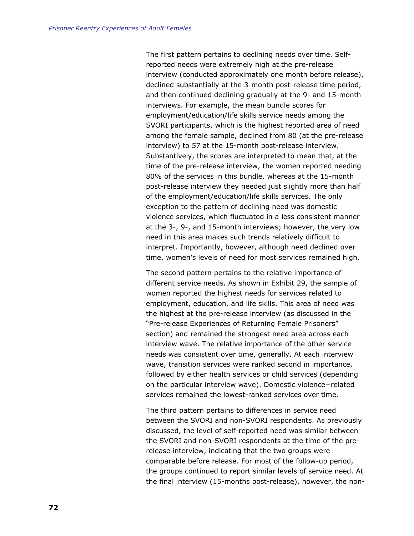The first pattern pertains to declining needs over time. Selfreported needs were extremely high at the pre-release interview (conducted approximately one month before release), declined substantially at the 3-month post-release time period, and then continued declining gradually at the 9- and 15-month interviews. For example, the mean bundle scores for employment/education/life skills service needs among the SVORI participants, which is the highest reported area of need among the female sample, declined from 80 (at the pre-release interview) to 57 at the 15-month post-release interview. Substantively, the scores are interpreted to mean that, at the time of the pre-release interview, the women reported needing 80% of the services in this bundle, whereas at the 15-month post-release interview they needed just slightly more than half of the employment/education/life skills services. The only exception to the pattern of declining need was domestic violence services, which fluctuated in a less consistent manner at the 3-, 9-, and 15-month interviews; however, the very low need in this area makes such trends relatively difficult to interpret. Importantly, however, although need declined over time, women's levels of need for most services remained high.

The second pattern pertains to the relative importance of different service needs. As shown in Exhibit 29, the sample of women reported the highest needs for services related to employment, education, and life skills. This area of need was the highest at the pre-release interview (as discussed in the "Pre-release Experiences of Returning Female Prisoners" section) and remained the strongest need area across each interview wave. The relative importance of the other service needs was consistent over time, generally. At each interview wave, transition services were ranked second in importance, followed by either health services or child services (depending on the particular interview wave). Domestic violence−related services remained the lowest-ranked services over time.

The third pattern pertains to differences in service need between the SVORI and non-SVORI respondents. As previously discussed, the level of self-reported need was similar between the SVORI and non-SVORI respondents at the time of the prerelease interview, indicating that the two groups were comparable before release. For most of the follow-up period, the groups continued to report similar levels of service need. At the final interview (15-months post-release), however, the non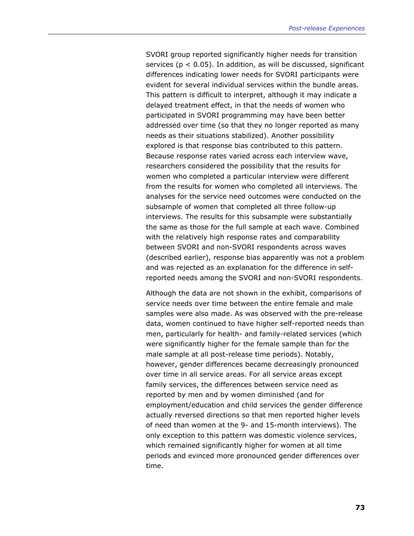SVORI group reported significantly higher needs for transition services ( $p < 0.05$ ). In addition, as will be discussed, significant differences indicating lower needs for SVORI participants were evident for several individual services within the bundle areas. This pattern is difficult to interpret, although it may indicate a delayed treatment effect, in that the needs of women who participated in SVORI programming may have been better addressed over time (so that they no longer reported as many needs as their situations stabilized). Another possibility explored is that response bias contributed to this pattern. Because response rates varied across each interview wave, researchers considered the possibility that the results for women who completed a particular interview were different from the results for women who completed all interviews. The analyses for the service need outcomes were conducted on the subsample of women that completed all three follow-up interviews. The results for this subsample were substantially the same as those for the full sample at each wave. Combined with the relatively high response rates and comparability between SVORI and non-SVORI respondents across waves (described earlier), response bias apparently was not a problem and was rejected as an explanation for the difference in selfreported needs among the SVORI and non-SVORI respondents.

Although the data are not shown in the exhibit, comparisons of service needs over time between the entire female and male samples were also made. As was observed with the pre-release data, women continued to have higher self-reported needs than men, particularly for health- and family-related services (which were significantly higher for the female sample than for the male sample at all post-release time periods). Notably, however, gender differences became decreasingly pronounced over time in all service areas. For all service areas except family services, the differences between service need as reported by men and by women diminished (and for employment/education and child services the gender difference actually reversed directions so that men reported higher levels of need than women at the 9- and 15-month interviews). The only exception to this pattern was domestic violence services, which remained significantly higher for women at all time periods and evinced more pronounced gender differences over time.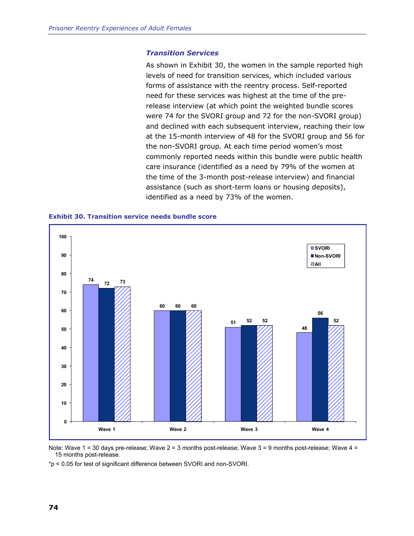#### *Transition Services*

As shown in Exhibit 30, the women in the sample reported high levels of need for transition services, which included various forms of assistance with the reentry process. Self-reported need for these services was highest at the time of the prerelease interview (at which point the weighted bundle scores were 74 for the SVORI group and 72 for the non-SVORI group) and declined with each subsequent interview, reaching their low at the 15-month interview of 48 for the SVORI group and 56 for the non-SVORI group. At each time period women's most commonly reported needs within this bundle were public health care insurance (identified as a need by 79% of the women at the time of the 3-month post-release interview) and financial assistance (such as short-term loans or housing deposits), identified as a need by 73% of the women.





Note: Wave 1 = 30 days pre-release; Wave 2 = 3 months post-release; Wave 3 = 9 months post-release; Wave 4 = 15 months post-release.

\*p < 0.05 for test of significant difference between SVORI and non-SVORI.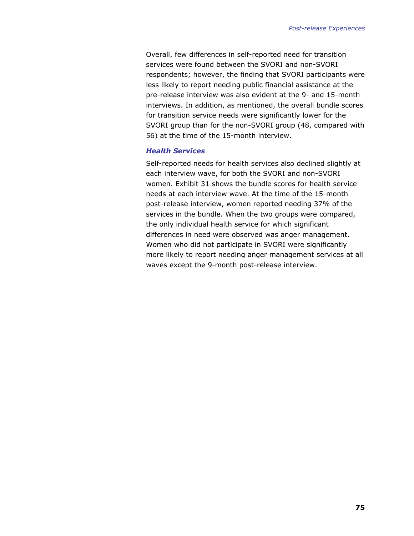Overall, few differences in self-reported need for transition services were found between the SVORI and non-SVORI respondents; however, the finding that SVORI participants were less likely to report needing public financial assistance at the pre-release interview was also evident at the 9- and 15-month interviews. In addition, as mentioned, the overall bundle scores for transition service needs were significantly lower for the SVORI group than for the non-SVORI group (48, compared with 56) at the time of the 15-month interview.

#### *Health Services*

Self-reported needs for health services also declined slightly at each interview wave, for both the SVORI and non-SVORI women. Exhibit 31 shows the bundle scores for health service needs at each interview wave. At the time of the 15-month post-release interview, women reported needing 37% of the services in the bundle. When the two groups were compared, the only individual health service for which significant differences in need were observed was anger management. Women who did not participate in SVORI were significantly more likely to report needing anger management services at all waves except the 9-month post-release interview.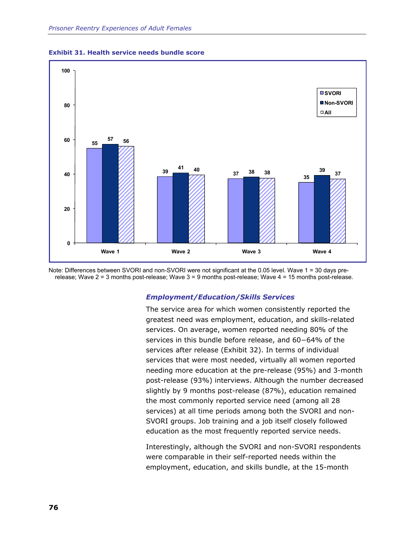

**Exhibit 31. Health service needs bundle score** 

Note: Differences between SVORI and non-SVORI were not significant at the 0.05 level. Wave 1 = 30 days prerelease; Wave 2 = 3 months post-release; Wave 3 = 9 months post-release; Wave 4 = 15 months post-release.

#### *Employment/Education/Skills Services*

The service area for which women consistently reported the greatest need was employment, education, and skills-related services. On average, women reported needing 80% of the services in this bundle before release, and 60−64% of the services after release (Exhibit 32). In terms of individual services that were most needed, virtually all women reported needing more education at the pre-release (95%) and 3-month post-release (93%) interviews. Although the number decreased slightly by 9 months post-release (87%), education remained the most commonly reported service need (among all 28 services) at all time periods among both the SVORI and non-SVORI groups. Job training and a job itself closely followed education as the most frequently reported service needs.

Interestingly, although the SVORI and non-SVORI respondents were comparable in their self-reported needs within the employment, education, and skills bundle, at the 15-month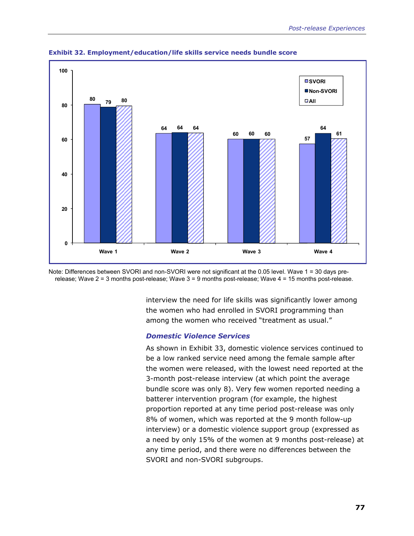

**Exhibit 32. Employment/education/life skills service needs bundle score** 

Note: Differences between SVORI and non-SVORI were not significant at the 0.05 level. Wave 1 = 30 days prerelease; Wave 2 = 3 months post-release; Wave 3 = 9 months post-release; Wave 4 = 15 months post-release.

> interview the need for life skills was significantly lower among the women who had enrolled in SVORI programming than among the women who received "treatment as usual."

#### *Domestic Violence Services*

As shown in Exhibit 33, domestic violence services continued to be a low ranked service need among the female sample after the women were released, with the lowest need reported at the 3-month post-release interview (at which point the average bundle score was only 8). Very few women reported needing a batterer intervention program (for example, the highest proportion reported at any time period post-release was only 8% of women, which was reported at the 9 month follow-up interview) or a domestic violence support group (expressed as a need by only 15% of the women at 9 months post-release) at any time period, and there were no differences between the SVORI and non-SVORI subgroups.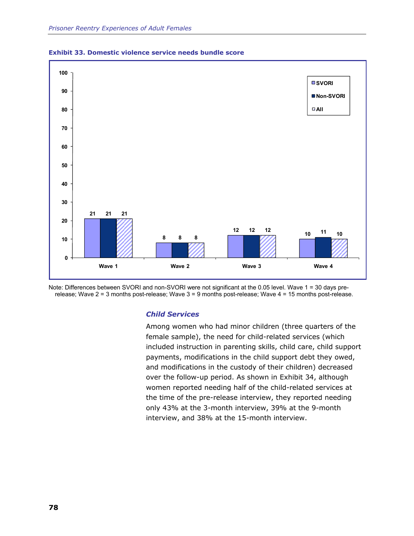



Note: Differences between SVORI and non-SVORI were not significant at the 0.05 level. Wave 1 = 30 days prerelease; Wave 2 = 3 months post-release; Wave 3 = 9 months post-release; Wave 4 = 15 months post-release.

#### *Child Services*

Among women who had minor children (three quarters of the female sample), the need for child-related services (which included instruction in parenting skills, child care, child support payments, modifications in the child support debt they owed, and modifications in the custody of their children) decreased over the follow-up period. As shown in Exhibit 34, although women reported needing half of the child-related services at the time of the pre-release interview, they reported needing only 43% at the 3-month interview, 39% at the 9-month interview, and 38% at the 15-month interview.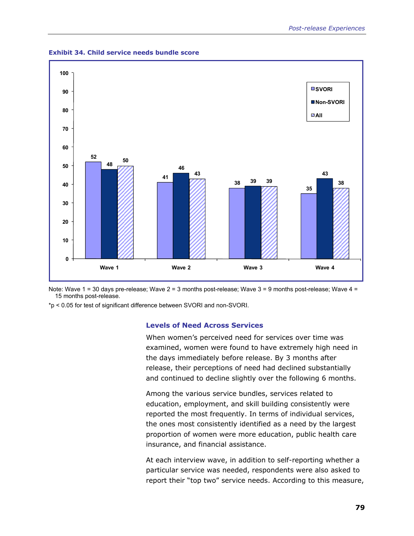

**Exhibit 34. Child service needs bundle score** 

Note: Wave 1 = 30 days pre-release; Wave 2 = 3 months post-release; Wave 3 = 9 months post-release; Wave 4 = 15 months post-release.

\*p < 0.05 for test of significant difference between SVORI and non-SVORI.

# **Levels of Need Across Services**

When women's perceived need for services over time was examined, women were found to have extremely high need in the days immediately before release. By 3 months after release, their perceptions of need had declined substantially and continued to decline slightly over the following 6 months.

Among the various service bundles, services related to education, employment, and skill building consistently were reported the most frequently. In terms of individual services, the ones most consistently identified as a need by the largest proportion of women were more education, public health care insurance, and financial assistance.

At each interview wave, in addition to self-reporting whether a particular service was needed, respondents were also asked to report their "top two" service needs. According to this measure,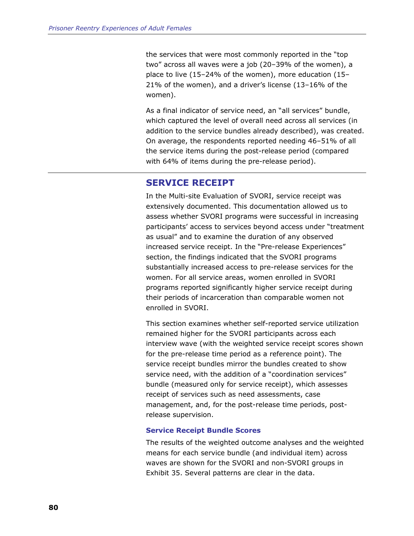the services that were most commonly reported in the "top two" across all waves were a job (20–39% of the women), a place to live (15–24% of the women), more education (15– 21% of the women), and a driver's license (13–16% of the women).

As a final indicator of service need, an "all services" bundle, which captured the level of overall need across all services (in addition to the service bundles already described), was created. On average, the respondents reported needing 46–51% of all the service items during the post-release period (compared with 64% of items during the pre-release period).

# **SERVICE RECEIPT**

In the Multi-site Evaluation of SVORI, service receipt was extensively documented. This documentation allowed us to assess whether SVORI programs were successful in increasing participants' access to services beyond access under "treatment as usual" and to examine the duration of any observed increased service receipt. In the "Pre-release Experiences" section, the findings indicated that the SVORI programs substantially increased access to pre-release services for the women. For all service areas, women enrolled in SVORI programs reported significantly higher service receipt during their periods of incarceration than comparable women not enrolled in SVORI.

This section examines whether self-reported service utilization remained higher for the SVORI participants across each interview wave (with the weighted service receipt scores shown for the pre-release time period as a reference point). The service receipt bundles mirror the bundles created to show service need, with the addition of a "coordination services" bundle (measured only for service receipt), which assesses receipt of services such as need assessments, case management, and, for the post-release time periods, postrelease supervision.

#### **Service Receipt Bundle Scores**

The results of the weighted outcome analyses and the weighted means for each service bundle (and individual item) across waves are shown for the SVORI and non-SVORI groups in Exhibit 35. Several patterns are clear in the data.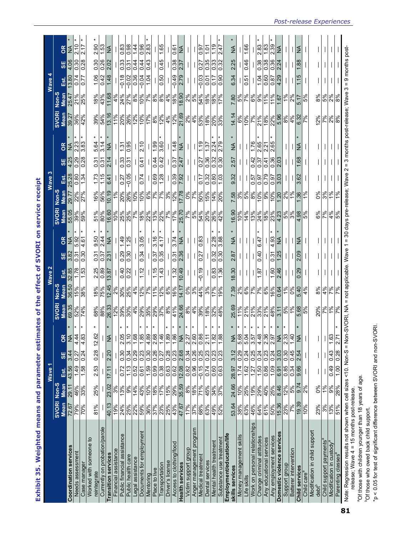Exhibit 35. Weighted means and parameter estimates of the effect of SVORI on service receipt **Exhibit 35. Weighted means and parameter estimates of the effect of SVORI on service receipt** 

|                                                                                                                |                       |                   | Wave 1              |                     |                  |                                      |                       | Wave 2            |                   |           |                                                                                                 |                                                                                                                 | Wave 3                      |      |                     |                                 |                   | Wave 4                   |                  |               |
|----------------------------------------------------------------------------------------------------------------|-----------------------|-------------------|---------------------|---------------------|------------------|--------------------------------------|-----------------------|-------------------|-------------------|-----------|-------------------------------------------------------------------------------------------------|-----------------------------------------------------------------------------------------------------------------|-----------------------------|------|---------------------|---------------------------------|-------------------|--------------------------|------------------|---------------|
|                                                                                                                | <b>SVORI</b>          | Non-S             |                     |                     |                  | SVORI                                | Non-3                 |                   |                   |           | SVORI                                                                                           | Non-S                                                                                                           |                             |      |                     | <b>SVORI</b>                    | Non-S             |                          |                  |               |
|                                                                                                                | Mean                  | <b>Mean</b>       | Est.                | <b>SE</b>           | ō                | Mean                                 | Mean                  | Est.              | <b>SE</b>         | g         | Mean                                                                                            | Mean                                                                                                            | Est                         | SΕ   | δR                  | Mean                            | Mean              | غة.<br>Est               | 95               | <b>B</b>      |
| <b>Coordination services</b>                                                                                   | 72.67                 | 29.11             | 43.56               | 3.44                | ž                | 69.35                                | 36.50                 | 32.85             | 3.82              | ≸         | 55.05                                                                                           | 29.77                                                                                                           | 25.28                       | 4.25 | ≨                   | 39.27                           | 25.47             | 13.80                    | 4.06             | ≨             |
| Needs assessment                                                                                               | 79%                   | 46%               | 149                 | 0.27                | $\frac{4}{4}$    | 52%                                  | 15%                   | 1.78              | 0.31              | 5.92      | 39%                                                                                             | 22%                                                                                                             | 0.80                        | 67.0 | 2.23                | 36%                             | 21%               | 0.74                     | 0.30             | 2.10          |
| Case manager                                                                                                   | 70%                   | 33%               | 891                 | 0.24                | $\frac{8}{4}$    | 74%                                  | 38%                   | 1.53              | 0.30              | 4.61      | 59%                                                                                             | 27%                                                                                                             | 1.34                        | 0.28 | 3.83                | 42%                             | 25%               | 0.77                     | 0.28             | 2.17          |
| Worked with someone to<br>reintegrate                                                                          | 81%                   | 25%               | 2.53                | 0.28                | 12.6             | 68%                                  | 18%                   | 2.25              | 0.31              | 9.50      | 51%                                                                                             | 16%                                                                                                             | 1.73                        | 0.31 | 5.64                | 39%                             | 18%               | 1.06                     | 0.30             | 2.90          |
| Currently on probation/parole                                                                                  |                       |                   |                     |                     |                  | 88%                                  | 75%                   | 0.89              | 0.37              | 2.44      | 80%                                                                                             | 56%                                                                                                             | 1.15                        | 0.31 | 3.14                | 54%                             | 43%               | 0.42                     | 0.26             | 1.53          |
| <b>Transition services</b>                                                                                     | 40.13                 | 23.02             | 17.11               | 2.20                | ķΝ               | 26.33                                | 12.45                 | 3.87              | 2.31              | <b>AN</b> | 16.60                                                                                           | 10.19                                                                                                           | 6.41                        | 2.14 | <b>AN</b>           | 13.16                           | 11.68             | 1.48                     | 2.02             | <b>AN</b>     |
| Financial assistance                                                                                           | 19%                   | 3%                |                     |                     |                  | 12%                                  |                       |                   |                   |           |                                                                                                 | 1%                                                                                                              |                             |      |                     | 11%                             | 4%                |                          |                  |               |
| Public financial assistance                                                                                    | 24%                   | 13%               | 0.72                | 0.30                | $\frac{0}{2}$    | 39%                                  | 2%<br>30%             | 0.40              | 0.29              | 67.1      | 10%<br>25%                                                                                      | 20%                                                                                                             | 0.27                        | 0.33 | 1.31                | 20%                             | 24%               | $-0.18$                  | 0.33             | 0.83          |
| Public health care                                                                                             | 25%                   | 9%                | 1.13                | 0.34                | 3.1              | 30%                                  | 25%                   | 0.22              | 0.30              | 1.25      | 25%                                                                                             | 26%                                                                                                             | $-0.05$                     | 0.31 | 0.95                |                                 | 27%               | $-0.02$                  | 0.31             | 0.98          |
| Legal assistance                                                                                               | 22%                   | 14%               | 0.52                | 0.29                | $\frac{6}{1}$    | 4%                                   | 4%                    |                   |                   |           | %7                                                                                              | 10%                                                                                                             |                             |      |                     | $\frac{\mathbb{Z}}{\mathbb{Z}}$ | 8%                | 0.36                     | 0.44             | 1,44          |
| Documents for employment                                                                                       | 59%                   | 43%               | 0.61                | 0.23                | $\frac{8}{1}$    | 29%                                  |                       | 1.12              | 0.34              | 3.05      | 18%                                                                                             | 10%                                                                                                             | 0.74                        | 0.41 | 210                 |                                 | 10%               | $-0.04$                  | 0.44             | 0.96          |
| Mentoring                                                                                                      | 36%                   | 10%               | 1.59                | 0.30                | $\frac{8}{4}$    | 35%                                  | $\frac{362}{12}$      |                   |                   |           | 22%                                                                                             | 969                                                                                                             |                             |      |                     |                                 | $\frac{9}{6}$     | 10.1                     | 0.43             | 2.83          |
| Place to live                                                                                                  | 37%                   | 968               | 66.0                | 0.26                | 2.6              | 29%                                  | 961                   | 1.15              | 15.0              | 3.16      |                                                                                                 |                                                                                                                 | 0.69                        | 0.44 | 1.99                | 968                             | 9%8               |                          |                  |               |
| Transportation                                                                                                 | 23%                   | $\frac{47%}{15%}$ | $\frac{0.38}{0.63}$ | 0.27                | $\frac{4}{1}$    | $\frac{37\%}{8\%}$                   | $\frac{12%}{6%}$      | 1.43              | 0.35              | 4.17      | $\frac{\frac{1}{8}}{\frac{1}{8}}\frac{\frac{1}{8}}{\frac{1}{8}}\frac{\frac{1}{8}}{\frac{1}{8}}$ | $\frac{8}{100}$                                                                                                 | 1.28                        | 0.42 | 3.60                | $\frac{12\%}{4\%}$              | $\frac{8\%}{4\%}$ | 0.50                     | 0.45             | 1.65          |
| Driver's license                                                                                               | 25%                   |                   |                     | 0.28                | $\frac{80}{1}$   |                                      |                       |                   |                   |           |                                                                                                 |                                                                                                                 |                             |      |                     |                                 |                   |                          |                  |               |
| Access to clothing/food                                                                                        | 43%                   |                   | 0.62                | 0.23                | $\frac{8}{1}$    | 41%                                  |                       | 1.32              | 0.31              | 3.74      |                                                                                                 | 12%                                                                                                             | 0.39                        | 0.37 | 1.48                |                                 |                   | $-0.49$                  | 0.38             | 0.61          |
| <b>Health services</b>                                                                                         | 47.67                 | 29%<br>35.59      | 12.08               | 2.68                | ž                | 24.66                                | 14.17                 | 10.49             | 2.36              | ≸         | 25.70                                                                                           | 7.78                                                                                                            | 7.92                        | 2.47 | ≨                   | 21.69                           | 18.90             | 2.79                     | 2.37             | ≨             |
| Victim support group                                                                                           | 17%                   |                   | 0.82                | 0.34                | 2.2              | 8%                                   | 0%                    |                   |                   |           |                                                                                                 |                                                                                                                 |                             |      |                     | 2%                              |                   |                          |                  |               |
| Anger management program                                                                                       | 37%                   | 8%<br>18%         | 0.96                | 0.26                | 2.6              | 4%                                   | 3%                    |                   |                   |           | $\frac{28}{5}$                                                                                  | $\frac{8}{2}$                                                                                                   |                             |      |                     | 4%                              | $\frac{8}{5}$     |                          |                  |               |
| Medical treatment                                                                                              | 68%                   | 71%               | $-0.15$             | 0.25                | $\frac{8}{2}$    | 39%                                  | 44%                   | $-0.19$           | 0.27              | 0.83      | 54%                                                                                             | 50%                                                                                                             | 0.17                        | 0.27 | 1.19                | 53%                             | 54%               | $-0.03$                  | 0.27             | 0.97          |
| Dental services                                                                                                |                       |                   |                     | 0.23                | $\overline{2.1}$ |                                      |                       |                   |                   |           |                                                                                                 |                                                                                                                 |                             | 0.36 | 1.37                |                                 |                   | 0.01                     |                  | $\frac{5}{1}$ |
| Mental health treatment                                                                                        | 63%<br>49%            | 45%<br>34%        | $\frac{0.00}{74}$   | $\frac{0.23}{0.23}$ | $\frac{8}{1}$    | $\frac{88}{228}$                     | 3%<br>17%             | $\frac{83}{1.36}$ | $\frac{32}{0.30}$ | 2.28      | $\frac{88}{89}$                                                                                 | $\frac{15%}{14%}$                                                                                               | 여명 <br> 성 <mark>명 </mark> 승 | 0.32 | $\frac{2.24}{ }$    | နဲ့<br>မြန်မြန်                 | $\frac{88}{180}$  | 0.17                     | 8883             | 1.19          |
| Substance use treatment                                                                                        | 52%                   | 37%               | 0.63                |                     | $\frac{8}{1}$    |                                      | 19%                   |                   |                   | 3.88      |                                                                                                 |                                                                                                                 |                             |      | 2.79                |                                 |                   | 0.90                     |                  | 2.47          |
| Employment/education/life                                                                                      |                       |                   |                     |                     |                  |                                      |                       |                   |                   |           |                                                                                                 |                                                                                                                 |                             |      |                     |                                 |                   |                          |                  |               |
| skills services                                                                                                | 53.64                 | 24.66             | 28.97               | 3.12                | ż                | 25.69                                | 7.39                  | 18.30             | 2.87              | ≸         | 16.90                                                                                           | 7.58                                                                                                            | 9.32                        | 2.57 | $\frac{4}{2}$       | 14.14                           | 7.80              | 6.34                     | 2.25             | $\frac{4}{2}$ |
| Money management skills                                                                                        | 38%                   | 10%               | 1.74                | 0.29                | 6<br>5           | 11%                                  |                       |                   |                   |           | 10%                                                                                             | 3%                                                                                                              |                             |      |                     |                                 | 5%                |                          |                  |               |
| Life skills                                                                                                    | 63%                   | 25%<br>19%        | 1.62                | 0.24                | 0.5              | 21%                                  | ಷ <mark>್ಣ</mark> ್ರೀ |                   |                   |           | 14%                                                                                             | 5%                                                                                                              |                             |      |                     | 10%                             | 7%                | 0.51                     | 0.46             | 1.66          |
| Work on personal relationships                                                                                 | 46%                   |                   | 1.27                | 0.25                | 3.5              | 21%                                  |                       |                   |                   |           | 13%                                                                                             | 8%                                                                                                              | 0.57                        | 0.42 | 97.1                | 7%                              | 6%                |                          |                  |               |
| Change criminal attitudes                                                                                      | 64%                   | 29%               | 1.50                | 0.24                | 4.4              | 33%                                  | 7%                    | 181               | 0.40              | 6.47      | 24%                                                                                             | 10%                                                                                                             | 0.97                        | 0.37 | 2.65                | 21%                             | 9%                | 1.04                     | 0.38             | 2.83          |
| Any educational services                                                                                       | 61%                   | 40%               | $\frac{60}{109}$    | 0.23                | 2.3              | 21%                                  | 6%                    |                   |                   |           | <u>ေနေတြ အိုး</u>                                                                               | $ \frac{1}{\sqrt{2}}\frac{1}{\sqrt{2}}\frac{1}{\sqrt{2}}\frac{1}{\sqrt{2}}\frac{1}{\sqrt{2}}\frac{1}{\sqrt{2}}$ | 0.79                        | 0.41 | $\frac{2.21}{2.65}$ | $\frac{88}{228}$                | 11%               | 0.60                     | 0.38             | 1.83          |
| Any employment services                                                                                        | $\frac{50\%}{15.36}$  | 25%               |                     | 0.24                | $\frac{5}{2}$    | 48%                                  | 16%                   | 09.1              | 15.0              | 4.93      |                                                                                                 |                                                                                                                 | 0.97                        | 0.36 |                     |                                 | 11%               | 6.0                      | 0.36             | 2.39          |
| Domestic violence services                                                                                     |                       | 8.46              | $\frac{6.91}{0.85}$ | 3.03                | ž                | $\frac{3.11}{5\%}$                   | 0.64                  | 2.46              | 1.25              | $\leq$    |                                                                                                 |                                                                                                                 | 3.03                        | 2.03 |                     |                                 | 18.1              | 4.29                     | 2.24             | ≨             |
| Support group                                                                                                  | 23%                   |                   |                     | 0.30                | 2.3              |                                      | 10 <sub>6</sub>       |                   |                   |           |                                                                                                 |                                                                                                                 |                             |      |                     |                                 | $\frac{5}{6}$     |                          |                  |               |
| Batterer intervention                                                                                          | $\frac{66.61}{10.30}$ | $rac{5%}{9.74}$   | 0.34                | 0.45                | न्               | $\frac{1\%}{5.68}$                   | 0%                    |                   |                   |           |                                                                                                 |                                                                                                                 |                             |      |                     |                                 | 2%                | $\overline{\phantom{a}}$ |                  |               |
| <b>Child services</b>                                                                                          |                       |                   | 9.66                | 2.54                | ž                |                                      | 5.40                  | 0.29              | 2.09              | $\leq$    | 4.98                                                                                            |                                                                                                                 | 3.62                        | 1.68 | IZ                  | $\frac{4\%}{6.32}$              | 5.17              | 1.15                     | $\frac{1.88}{ }$ | MA            |
| Child care <sup>a</sup>                                                                                        | 10%                   | $\frac{8}{2}$     |                     |                     |                  | 969                                  | $4\%$                 |                   |                   |           | 5%                                                                                              | $\frac{9}{6}$                                                                                                   |                             |      |                     |                                 | 5%                |                          |                  |               |
| Modification in child support                                                                                  |                       |                   |                     |                     |                  |                                      |                       |                   |                   |           |                                                                                                 |                                                                                                                 |                             |      |                     |                                 |                   |                          |                  |               |
| $debt^b$                                                                                                       | 23%                   | $\delta$          |                     |                     |                  | 20%                                  | $8\%$                 |                   |                   |           | 6%                                                                                              | 0%                                                                                                              |                             |      |                     | 12%                             | 8%                |                          |                  |               |
| Child support payments'                                                                                        | 3%                    | 1%                |                     |                     |                  | $rac{261}{100}$                      | $\frac{4\%}{7\%}$     |                   |                   |           | $\frac{5}{6}$                                                                                   | $rac{3\%}{1\%}$                                                                                                 |                             |      |                     | $\frac{2\%}{2\%}$               | $\frac{5\%}{2\%}$ |                          |                  |               |
| Modification in custody                                                                                        | 13%                   | 9%                | 0.49                | 0.43                | $\frac{6}{1}$    |                                      |                       |                   |                   |           |                                                                                                 |                                                                                                                 |                             |      |                     |                                 |                   |                          |                  |               |
| Parenting classes <sup>a</sup>                                                                                 | 51%                   | 28%               | 00.1                | 0.28                | 27               | 7%                                   | 7%                    |                   |                   |           | 5%                                                                                              | 1%                                                                                                              |                             |      |                     | 8%                              | 8%                |                          |                  |               |
| Note: Regression results not shown when cell sizes <10. Non-S = No<br>elease; Wave 4 = 15 months post-release. |                       |                   |                     |                     |                  | n-SVORI, NA = not applicable. Wave 1 |                       |                   |                   |           | = 30 days pre-release; Wave 2                                                                   |                                                                                                                 |                             |      |                     | = 3 months post-release; Wave 3 |                   | $= 9$ months post-       |                  |               |
|                                                                                                                |                       |                   |                     |                     |                  |                                      |                       |                   |                   |           |                                                                                                 |                                                                                                                 |                             |      |                     |                                 |                   |                          |                  |               |

release; Wave 4 = 15 months post-release. aOf those with children younger than 18 years of age.

<sup>9</sup>Of those with children younger than 18 years of age.

<sup>o</sup>Of those who owed back child support.

<sup>b</sup>Of those who owed back child support.

\*p < 0.05 for test of significant difference between SVORI and non-SVORI.

\*p < 0.05 for test of significant difference between SVORI and non-SVORI.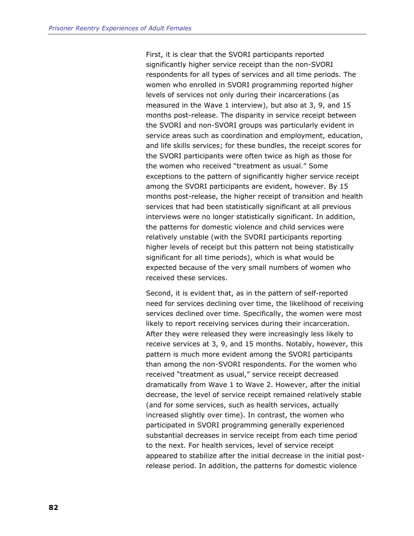First, it is clear that the SVORI participants reported significantly higher service receipt than the non-SVORI respondents for all types of services and all time periods. The women who enrolled in SVORI programming reported higher levels of services not only during their incarcerations (as measured in the Wave 1 interview), but also at 3, 9, and 15 months post-release. The disparity in service receipt between the SVORI and non-SVORI groups was particularly evident in service areas such as coordination and employment, education, and life skills services; for these bundles, the receipt scores for the SVORI participants were often twice as high as those for the women who received "treatment as usual." Some exceptions to the pattern of significantly higher service receipt among the SVORI participants are evident, however. By 15 months post-release, the higher receipt of transition and health services that had been statistically significant at all previous interviews were no longer statistically significant. In addition, the patterns for domestic violence and child services were relatively unstable (with the SVORI participants reporting higher levels of receipt but this pattern not being statistically significant for all time periods), which is what would be expected because of the very small numbers of women who received these services.

Second, it is evident that, as in the pattern of self-reported need for services declining over time, the likelihood of receiving services declined over time. Specifically, the women were most likely to report receiving services during their incarceration. After they were released they were increasingly less likely to receive services at 3, 9, and 15 months. Notably, however, this pattern is much more evident among the SVORI participants than among the non-SVORI respondents. For the women who received "treatment as usual," service receipt decreased dramatically from Wave 1 to Wave 2. However, after the initial decrease, the level of service receipt remained relatively stable (and for some services, such as health services, actually increased slightly over time). In contrast, the women who participated in SVORI programming generally experienced substantial decreases in service receipt from each time period to the next. For health services, level of service receipt appeared to stabilize after the initial decrease in the initial postrelease period. In addition, the patterns for domestic violence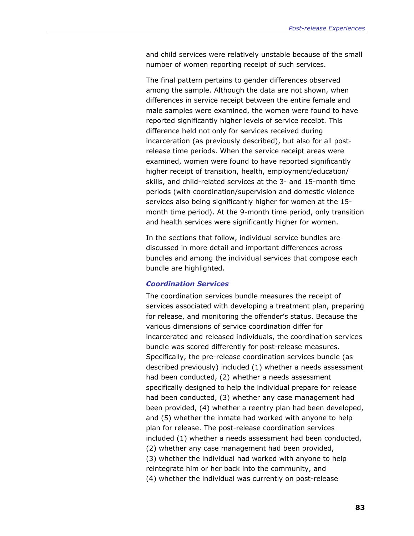and child services were relatively unstable because of the small number of women reporting receipt of such services.

The final pattern pertains to gender differences observed among the sample. Although the data are not shown, when differences in service receipt between the entire female and male samples were examined, the women were found to have reported significantly higher levels of service receipt. This difference held not only for services received during incarceration (as previously described), but also for all postrelease time periods. When the service receipt areas were examined, women were found to have reported significantly higher receipt of transition, health, employment/education/ skills, and child-related services at the 3- and 15-month time periods (with coordination/supervision and domestic violence services also being significantly higher for women at the 15 month time period). At the 9-month time period, only transition and health services were significantly higher for women.

In the sections that follow, individual service bundles are discussed in more detail and important differences across bundles and among the individual services that compose each bundle are highlighted.

#### *Coordination Services*

The coordination services bundle measures the receipt of services associated with developing a treatment plan, preparing for release, and monitoring the offender's status. Because the various dimensions of service coordination differ for incarcerated and released individuals, the coordination services bundle was scored differently for post-release measures. Specifically, the pre-release coordination services bundle (as described previously) included (1) whether a needs assessment had been conducted, (2) whether a needs assessment specifically designed to help the individual prepare for release had been conducted, (3) whether any case management had been provided, (4) whether a reentry plan had been developed, and (5) whether the inmate had worked with anyone to help plan for release. The post-release coordination services included (1) whether a needs assessment had been conducted, (2) whether any case management had been provided, (3) whether the individual had worked with anyone to help reintegrate him or her back into the community, and (4) whether the individual was currently on post-release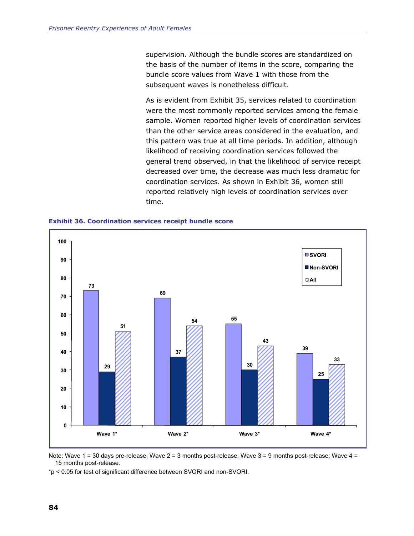supervision. Although the bundle scores are standardized on the basis of the number of items in the score, comparing the bundle score values from Wave 1 with those from the subsequent waves is nonetheless difficult.

As is evident from Exhibit 35, services related to coordination were the most commonly reported services among the female sample. Women reported higher levels of coordination services than the other service areas considered in the evaluation, and this pattern was true at all time periods. In addition, although likelihood of receiving coordination services followed the general trend observed, in that the likelihood of service receipt decreased over time, the decrease was much less dramatic for coordination services. As shown in Exhibit 36, women still reported relatively high levels of coordination services over time.



**Exhibit 36. Coordination services receipt bundle score** 

Note: Wave 1 = 30 days pre-release; Wave 2 = 3 months post-release; Wave 3 = 9 months post-release; Wave 4 = 15 months post-release.

\*p < 0.05 for test of significant difference between SVORI and non-SVORI.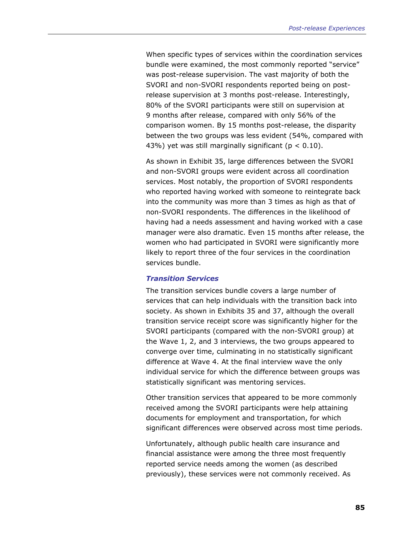When specific types of services within the coordination services bundle were examined, the most commonly reported "service" was post-release supervision. The vast majority of both the SVORI and non-SVORI respondents reported being on postrelease supervision at 3 months post-release. Interestingly, 80% of the SVORI participants were still on supervision at 9 months after release, compared with only 56% of the comparison women. By 15 months post-release, the disparity between the two groups was less evident (54%, compared with 43%) yet was still marginally significant ( $p < 0.10$ ).

As shown in Exhibit 35, large differences between the SVORI and non-SVORI groups were evident across all coordination services. Most notably, the proportion of SVORI respondents who reported having worked with someone to reintegrate back into the community was more than 3 times as high as that of non-SVORI respondents. The differences in the likelihood of having had a needs assessment and having worked with a case manager were also dramatic. Even 15 months after release, the women who had participated in SVORI were significantly more likely to report three of the four services in the coordination services bundle.

#### *Transition Services*

The transition services bundle covers a large number of services that can help individuals with the transition back into society. As shown in Exhibits 35 and 37, although the overall transition service receipt score was significantly higher for the SVORI participants (compared with the non-SVORI group) at the Wave 1, 2, and 3 interviews, the two groups appeared to converge over time, culminating in no statistically significant difference at Wave 4. At the final interview wave the only individual service for which the difference between groups was statistically significant was mentoring services.

Other transition services that appeared to be more commonly received among the SVORI participants were help attaining documents for employment and transportation, for which significant differences were observed across most time periods.

Unfortunately, although public health care insurance and financial assistance were among the three most frequently reported service needs among the women (as described previously), these services were not commonly received. As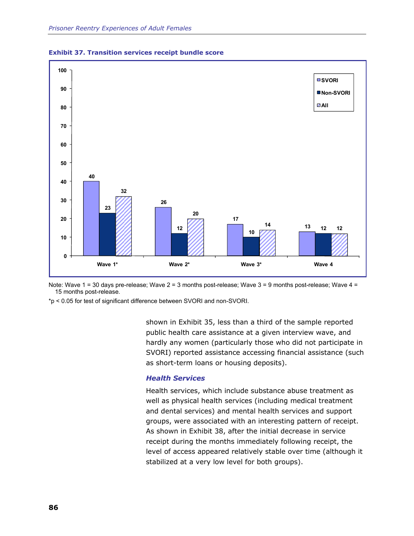



\*p < 0.05 for test of significant difference between SVORI and non-SVORI.

shown in Exhibit 35, less than a third of the sample reported public health care assistance at a given interview wave, and hardly any women (particularly those who did not participate in SVORI) reported assistance accessing financial assistance (such as short-term loans or housing deposits).

## *Health Services*

Health services, which include substance abuse treatment as well as physical health services (including medical treatment and dental services) and mental health services and support groups, were associated with an interesting pattern of receipt. As shown in Exhibit 38, after the initial decrease in service receipt during the months immediately following receipt, the level of access appeared relatively stable over time (although it stabilized at a very low level for both groups).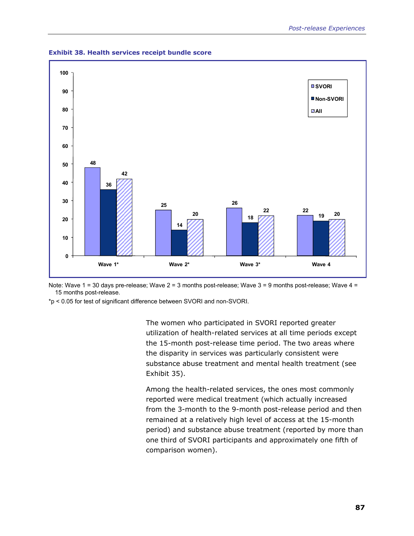

**Exhibit 38. Health services receipt bundle score** 

\*p < 0.05 for test of significant difference between SVORI and non-SVORI.

The women who participated in SVORI reported greater utilization of health-related services at all time periods except the 15-month post-release time period. The two areas where the disparity in services was particularly consistent were substance abuse treatment and mental health treatment (see Exhibit 35).

Among the health-related services, the ones most commonly reported were medical treatment (which actually increased from the 3-month to the 9-month post-release period and then remained at a relatively high level of access at the 15-month period) and substance abuse treatment (reported by more than one third of SVORI participants and approximately one fifth of comparison women).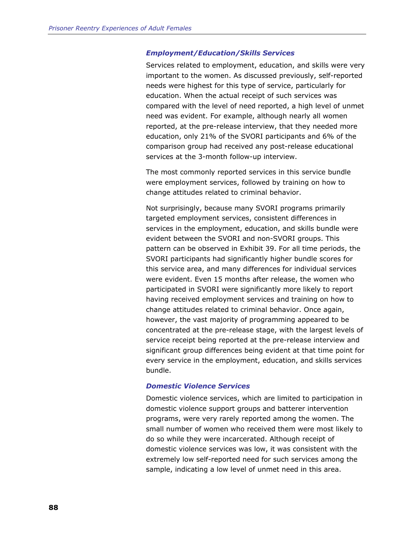#### *Employment/Education/Skills Services*

Services related to employment, education, and skills were very important to the women. As discussed previously, self-reported needs were highest for this type of service, particularly for education. When the actual receipt of such services was compared with the level of need reported, a high level of unmet need was evident. For example, although nearly all women reported, at the pre-release interview, that they needed more education, only 21% of the SVORI participants and 6% of the comparison group had received any post-release educational services at the 3-month follow-up interview.

The most commonly reported services in this service bundle were employment services, followed by training on how to change attitudes related to criminal behavior.

Not surprisingly, because many SVORI programs primarily targeted employment services, consistent differences in services in the employment, education, and skills bundle were evident between the SVORI and non-SVORI groups. This pattern can be observed in Exhibit 39. For all time periods, the SVORI participants had significantly higher bundle scores for this service area, and many differences for individual services were evident. Even 15 months after release, the women who participated in SVORI were significantly more likely to report having received employment services and training on how to change attitudes related to criminal behavior. Once again, however, the vast majority of programming appeared to be concentrated at the pre-release stage, with the largest levels of service receipt being reported at the pre-release interview and significant group differences being evident at that time point for every service in the employment, education, and skills services bundle.

#### *Domestic Violence Services*

Domestic violence services, which are limited to participation in domestic violence support groups and batterer intervention programs, were very rarely reported among the women. The small number of women who received them were most likely to do so while they were incarcerated. Although receipt of domestic violence services was low, it was consistent with the extremely low self-reported need for such services among the sample, indicating a low level of unmet need in this area.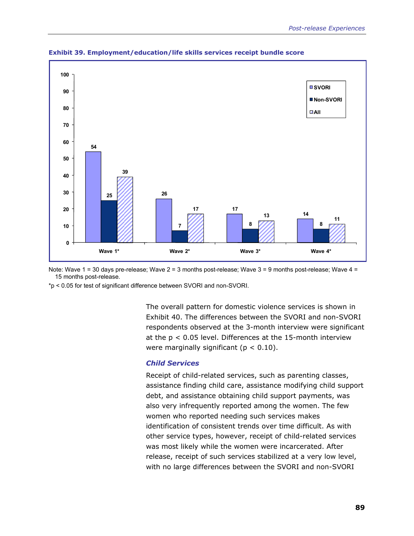

**Exhibit 39. Employment/education/life skills services receipt bundle score** 

\*p < 0.05 for test of significant difference between SVORI and non-SVORI.

The overall pattern for domestic violence services is shown in Exhibit 40. The differences between the SVORI and non-SVORI respondents observed at the 3-month interview were significant at the  $p < 0.05$  level. Differences at the 15-month interview were marginally significant ( $p < 0.10$ ).

#### *Child Services*

Receipt of child-related services, such as parenting classes, assistance finding child care, assistance modifying child support debt, and assistance obtaining child support payments, was also very infrequently reported among the women. The few women who reported needing such services makes identification of consistent trends over time difficult. As with other service types, however, receipt of child-related services was most likely while the women were incarcerated. After release, receipt of such services stabilized at a very low level, with no large differences between the SVORI and non-SVORI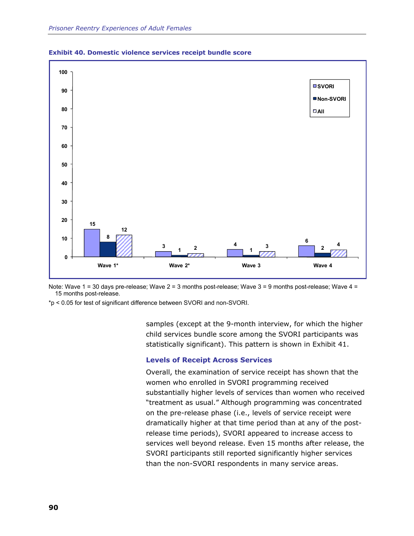



\*p < 0.05 for test of significant difference between SVORI and non-SVORI.

samples (except at the 9-month interview, for which the higher child services bundle score among the SVORI participants was statistically significant). This pattern is shown in Exhibit 41.

#### **Levels of Receipt Across Services**

Overall, the examination of service receipt has shown that the women who enrolled in SVORI programming received substantially higher levels of services than women who received "treatment as usual." Although programming was concentrated on the pre-release phase (i.e., levels of service receipt were dramatically higher at that time period than at any of the postrelease time periods), SVORI appeared to increase access to services well beyond release. Even 15 months after release, the SVORI participants still reported significantly higher services than the non-SVORI respondents in many service areas.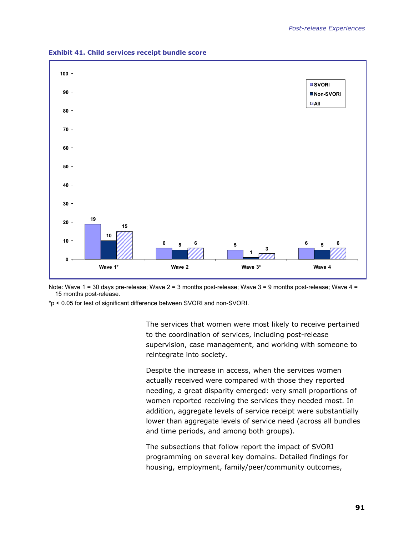

**Exhibit 41. Child services receipt bundle score**

\*p < 0.05 for test of significant difference between SVORI and non-SVORI.

The services that women were most likely to receive pertained to the coordination of services, including post-release supervision, case management, and working with someone to reintegrate into society.

Despite the increase in access, when the services women actually received were compared with those they reported needing, a great disparity emerged: very small proportions of women reported receiving the services they needed most. In addition, aggregate levels of service receipt were substantially lower than aggregate levels of service need (across all bundles and time periods, and among both groups).

The subsections that follow report the impact of SVORI programming on several key domains. Detailed findings for housing, employment, family/peer/community outcomes,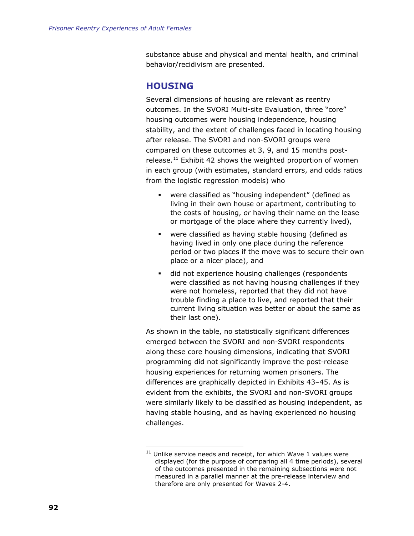<span id="page-115-0"></span>substance abuse and physical and mental health, and criminal behavior/recidivism are presented.

## **HOUSING**

-

Several dimensions of housing are relevant as reentry outcomes. In the SVORI Multi-site Evaluation, three "core" housing outcomes were housing independence, housing stability, and the extent of challenges faced in locating housing after release. The SVORI and non-SVORI groups were compared on these outcomes at 3, 9, and 15 months postrelease.<sup>11</sup> Exhibit 42 shows the weighted proportion of women in each group (with estimates, standard errors, and odds ratios from the logistic regression models) who

- were classified as "housing independent" (defined as living in their own house or apartment, contributing to the costs of housing, *or* having their name on the lease or mortgage of the place where they currently lived),
- were classified as having stable housing (defined as having lived in only one place during the reference period or two places if the move was to secure their own place or a nicer place), and
- did not experience housing challenges (respondents were classified as not having housing challenges if they were not homeless, reported that they did not have trouble finding a place to live, and reported that their current living situation was better or about the same as their last one).

As shown in the table, no statistically significant differences emerged between the SVORI and non-SVORI respondents along these core housing dimensions, indicating that SVORI programming did not significantly improve the post-release housing experiences for returning women prisoners. The differences are graphically depicted in Exhibits 43–45. As is evident from the exhibits, the SVORI and non-SVORI groups were similarly likely to be classified as housing independent, as having stable housing, and as having experienced no housing challenges.

 $11$  Unlike service needs and receipt, for which Wave 1 values were displayed (for the purpose of comparing all 4 time periods), several of the outcomes presented in the remaining subsections were not measured in a parallel manner at the pre-release interview and therefore are only presented for Waves 2-4.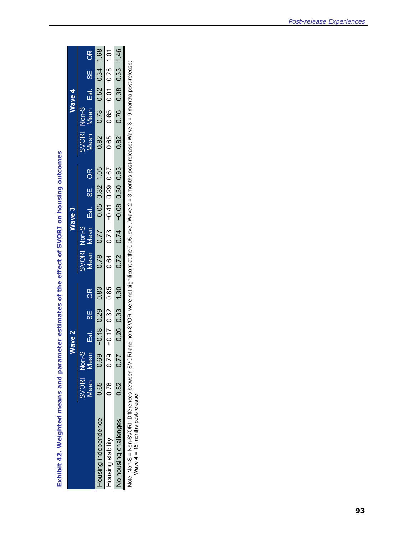Exhibit 42. Weighted means and parameter estimates of the effect of SVORI on housing outcomes **Exhibit 42. Weighted means and parameter estimates of the effect of SVORI on housing outcomes** 

|                       |             |             | lave <sub>2</sub> |                      |      |       |             | Wave 3                  |    |      |              |       | Wave 4     |          |      |
|-----------------------|-------------|-------------|-------------------|----------------------|------|-------|-------------|-------------------------|----|------|--------------|-------|------------|----------|------|
|                       | SVORI Non-S |             |                   |                      |      | SVORI | $Non-S$     |                         |    |      | <b>SVORI</b> | Non-S |            |          |      |
|                       | Vlean       | <b>Aean</b> | Est.              | —<br> <br> }         | OR   | Mean  | <b>Mean</b> | Est.                    | 99 | 8Q   | Mean         | Mean  | Est.       | <u>မ</u> | OR   |
| lousing independence  | 0.65 0.69   |             | $-0.18$           | 0.29                 | 0.83 | 0.78  | 0.77        | 0.05 0.32               |    | 1.05 | 0.82         | 0.73  | 0.52       | 0.34     | 1.68 |
| Housing stability     | 0.76 0.79   |             | $-0.17$           | 0.32                 | 0.85 | 0.64  |             | $0.73 - 0.41$ 0.29 0.67 |    |      | 0.65         | 0.65  | ن<br>10.01 | 0.28     | 1.01 |
| lo housing challenges | 0.82        | 0.77        |                   | $0.26$ $0.33$ $1.30$ |      | 0.72  | 0.74        | $-0.08$ 0.30 0.93       |    |      | 0.82         | 0.76  | 0.38 0.33  |          | 1.46 |

Note: Non-S = Non-SVORI. Differences between SVORI and non-SVORI were not significant at the 0.05 level. Wave 2 = 3 months post-release; Wave 3 = 9 months post-release;<br>Wave 4 = 15 months post-release. Note: Non-SVORI. Differences between SVORI and not significant at the 0.05 level. Wave 2 = 3 months post-release; Wave 3 = 9 months post-release; Wave 4 = 15 months post-release.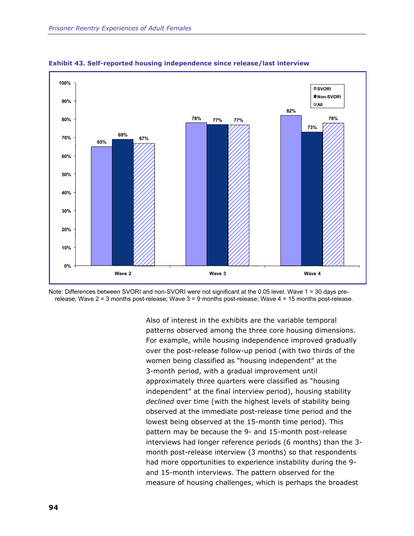



Note: Differences between SVORI and non-SVORI were not significant at the 0.05 level. Wave 1 = 30 days prerelease; Wave 2 = 3 months post-release; Wave 3 = 9 months post-release; Wave 4 = 15 months post-release.

> Also of interest in the exhibits are the variable temporal patterns observed among the three core housing dimensions. For example, while housing independence improved gradually over the post-release follow-up period (with two thirds of the women being classified as "housing independent" at the 3-month period, with a gradual improvement until approximately three quarters were classified as "housing independent" at the final interview period), housing stability *declined* over time (with the highest levels of stability being observed at the immediate post-release time period and the lowest being observed at the 15-month time period). This pattern may be because the 9- and 15-month post-release interviews had longer reference periods (6 months) than the 3 month post-release interview (3 months) so that respondents had more opportunities to experience instability during the 9 and 15-month interviews. The pattern observed for the measure of housing challenges, which is perhaps the broadest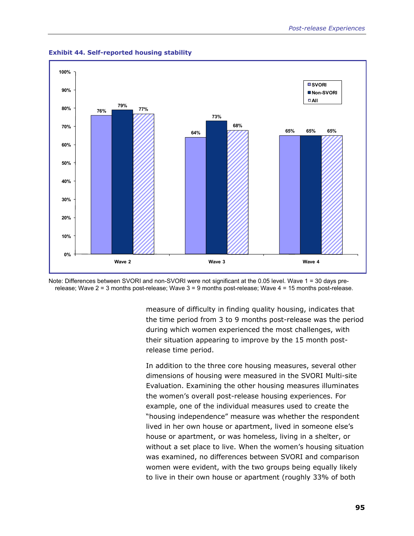

**Exhibit 44. Self-reported housing stability** 



measure of difficulty in finding quality housing, indicates that the time period from 3 to 9 months post-release was the period during which women experienced the most challenges, with their situation appearing to improve by the 15 month postrelease time period.

In addition to the three core housing measures, several other dimensions of housing were measured in the SVORI Multi-site Evaluation. Examining the other housing measures illuminates the women's overall post-release housing experiences. For example, one of the individual measures used to create the "housing independence" measure was whether the respondent lived in her own house or apartment, lived in someone else's house or apartment, or was homeless, living in a shelter, or without a set place to live. When the women's housing situation was examined, no differences between SVORI and comparison women were evident, with the two groups being equally likely to live in their own house or apartment (roughly 33% of both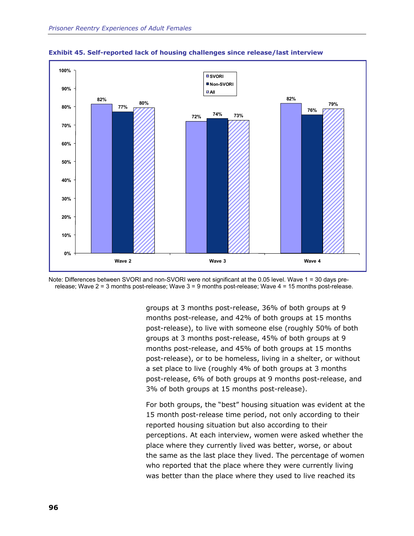



Note: Differences between SVORI and non-SVORI were not significant at the 0.05 level. Wave 1 = 30 days prerelease; Wave 2 = 3 months post-release; Wave 3 = 9 months post-release; Wave 4 = 15 months post-release.

> groups at 3 months post-release, 36% of both groups at 9 months post-release, and 42% of both groups at 15 months post-release), to live with someone else (roughly 50% of both groups at 3 months post-release, 45% of both groups at 9 months post-release, and 45% of both groups at 15 months post-release), or to be homeless, living in a shelter, or without a set place to live (roughly 4% of both groups at 3 months post-release, 6% of both groups at 9 months post-release, and 3% of both groups at 15 months post-release).

For both groups, the "best" housing situation was evident at the 15 month post-release time period, not only according to their reported housing situation but also according to their perceptions. At each interview, women were asked whether the place where they currently lived was better, worse, or about the same as the last place they lived. The percentage of women who reported that the place where they were currently living was better than the place where they used to live reached its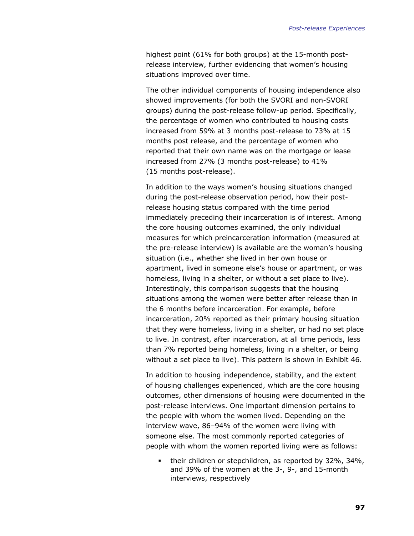highest point (61% for both groups) at the 15-month postrelease interview, further evidencing that women's housing situations improved over time.

The other individual components of housing independence also showed improvements (for both the SVORI and non-SVORI groups) during the post-release follow-up period. Specifically, the percentage of women who contributed to housing costs increased from 59% at 3 months post-release to 73% at 15 months post release, and the percentage of women who reported that their own name was on the mortgage or lease increased from 27% (3 months post-release) to 41% (15 months post-release).

In addition to the ways women's housing situations changed during the post-release observation period, how their postrelease housing status compared with the time period immediately preceding their incarceration is of interest. Among the core housing outcomes examined, the only individual measures for which preincarceration information (measured at the pre-release interview) is available are the woman's housing situation (i.e., whether she lived in her own house or apartment, lived in someone else's house or apartment, or was homeless, living in a shelter, or without a set place to live). Interestingly, this comparison suggests that the housing situations among the women were better after release than in the 6 months before incarceration. For example, before incarceration, 20% reported as their primary housing situation that they were homeless, living in a shelter, or had no set place to live. In contrast, after incarceration, at all time periods, less than 7% reported being homeless, living in a shelter, or being without a set place to live). This pattern is shown in Exhibit 46.

In addition to housing independence, stability, and the extent of housing challenges experienced, which are the core housing outcomes, other dimensions of housing were documented in the post-release interviews. One important dimension pertains to the people with whom the women lived. Depending on the interview wave, 86–94% of the women were living with someone else. The most commonly reported categories of people with whom the women reported living were as follows:

 their children or stepchildren, as reported by 32%, 34%, and 39% of the women at the 3-, 9-, and 15-month interviews, respectively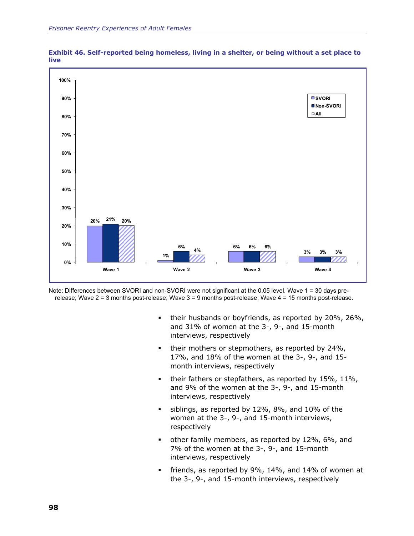



Note: Differences between SVORI and non-SVORI were not significant at the 0.05 level. Wave 1 = 30 days prerelease; Wave 2 = 3 months post-release; Wave 3 = 9 months post-release; Wave 4 = 15 months post-release.

- **their husbands or boyfriends, as reported by 20%, 26%,** and 31% of women at the 3-, 9-, and 15-month interviews, respectively
- their mothers or stepmothers, as reported by 24%, 17%, and 18% of the women at the 3-, 9-, and 15 month interviews, respectively
- $\bullet$  their fathers or stepfathers, as reported by 15%, 11%, and 9% of the women at the 3-, 9-, and 15-month interviews, respectively
- siblings, as reported by 12%, 8%, and 10% of the women at the 3-, 9-, and 15-month interviews, respectively
- other family members, as reported by 12%, 6%, and 7% of the women at the 3-, 9-, and 15-month interviews, respectively
- friends, as reported by 9%, 14%, and 14% of women at the 3-, 9-, and 15-month interviews, respectively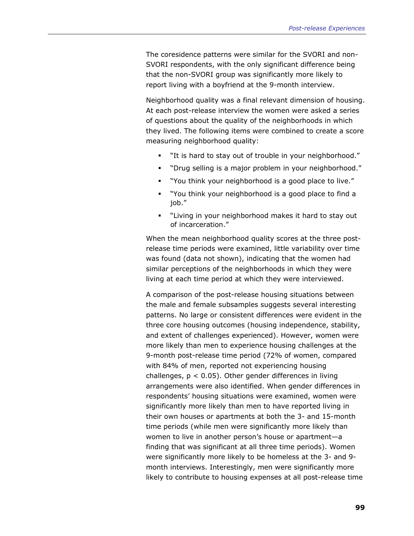The coresidence patterns were similar for the SVORI and non-SVORI respondents, with the only significant difference being that the non-SVORI group was significantly more likely to report living with a boyfriend at the 9-month interview.

Neighborhood quality was a final relevant dimension of housing. At each post-release interview the women were asked a series of questions about the quality of the neighborhoods in which they lived. The following items were combined to create a score measuring neighborhood quality:

- "It is hard to stay out of trouble in your neighborhood."
- "Drug selling is a major problem in your neighborhood."
- "You think your neighborhood is a good place to live."
- "You think your neighborhood is a good place to find a job."
- "Living in your neighborhood makes it hard to stay out of incarceration."

When the mean neighborhood quality scores at the three postrelease time periods were examined, little variability over time was found (data not shown), indicating that the women had similar perceptions of the neighborhoods in which they were living at each time period at which they were interviewed.

A comparison of the post-release housing situations between the male and female subsamples suggests several interesting patterns. No large or consistent differences were evident in the three core housing outcomes (housing independence, stability, and extent of challenges experienced). However, women were more likely than men to experience housing challenges at the 9-month post-release time period (72% of women, compared with 84% of men, reported not experiencing housing challenges,  $p < 0.05$ ). Other gender differences in living arrangements were also identified. When gender differences in respondents' housing situations were examined, women were significantly more likely than men to have reported living in their own houses or apartments at both the 3- and 15-month time periods (while men were significantly more likely than women to live in another person's house or apartment—a finding that was significant at all three time periods). Women were significantly more likely to be homeless at the 3- and 9 month interviews. Interestingly, men were significantly more likely to contribute to housing expenses at all post-release time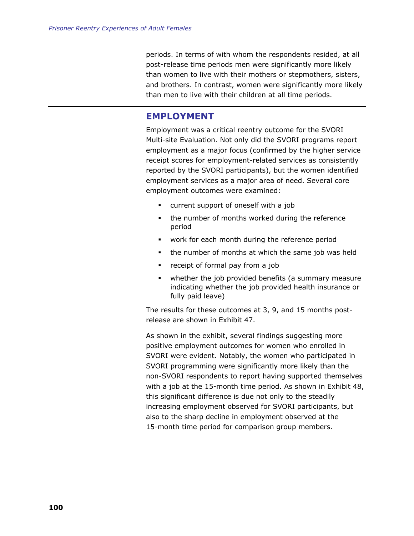periods. In terms of with whom the respondents resided, at all post-release time periods men were significantly more likely than women to live with their mothers or stepmothers, sisters, and brothers. In contrast, women were significantly more likely than men to live with their children at all time periods.

## **EMPLOYMENT**

Employment was a critical reentry outcome for the SVORI Multi-site Evaluation. Not only did the SVORI programs report employment as a major focus (confirmed by the higher service receipt scores for employment-related services as consistently reported by the SVORI participants), but the women identified employment services as a major area of need. Several core employment outcomes were examined:

- current support of oneself with a job
- the number of months worked during the reference period
- work for each month during the reference period
- the number of months at which the same job was held
- **•** receipt of formal pay from a job
- whether the job provided benefits (a summary measure indicating whether the job provided health insurance or fully paid leave)

The results for these outcomes at 3, 9, and 15 months postrelease are shown in Exhibit 47.

As shown in the exhibit, several findings suggesting more positive employment outcomes for women who enrolled in SVORI were evident. Notably, the women who participated in SVORI programming were significantly more likely than the non-SVORI respondents to report having supported themselves with a job at the 15-month time period. As shown in Exhibit 48, this significant difference is due not only to the steadily increasing employment observed for SVORI participants, but also to the sharp decline in employment observed at the 15-month time period for comparison group members.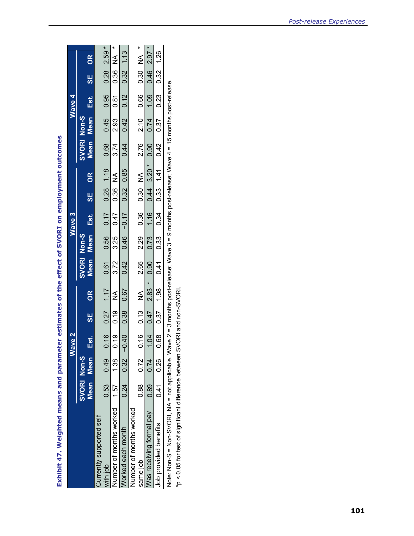Exhibit 47. Weighted means and parameter estimates of the effect of SVORI on employment outcomes **Exhibit 47. Weighted means and parameter estimates of the effect of SVORI on employment outcomes** 

|                                                                                                                                        |               |                 | Wave 2 |            |                                                                                                     |                      | Wave 3 |  |                    |                | Wave 4 |       |  |
|----------------------------------------------------------------------------------------------------------------------------------------|---------------|-----------------|--------|------------|-----------------------------------------------------------------------------------------------------|----------------------|--------|--|--------------------|----------------|--------|-------|--|
|                                                                                                                                        | SVORI Non-S   |                 |        |            | SVORI Non-S                                                                                         |                      |        |  | <b>SVORI Non-S</b> |                |        |       |  |
|                                                                                                                                        | Mean Mean     |                 |        | Est. SE OR |                                                                                                     | Mean Mean Est. SE OR |        |  |                    | Mean Mean Est. |        | SE OR |  |
| Currently supported self                                                                                                               |               |                 |        |            |                                                                                                     |                      |        |  |                    |                |        |       |  |
| vith job                                                                                                                               | $0.53$ $0.49$ |                 |        |            | $0.16$ $0.27$ $1.17$ $0.61$ $0.56$ $0.17$ $0.28$ $1.18$ $0.68$ $0.45$ $0.95$ $0.95$ $0.28$ $2.59$ * |                      |        |  |                    |                |        |       |  |
| lumber of months worked 1.57                                                                                                           |               | 1.38            |        |            | $0.19$ 0.19 NA 3.72 3.25 0.47 0.36 NA 3.74 2.93 0.81 0.86 NA *                                      |                      |        |  |                    |                |        |       |  |
| Vorked each month                                                                                                                      |               | $-10.24$ $0.32$ |        |            | $0.40$ $0.38$ $0.67$ $0.42$ $0.46$ $-0.17$ $0.32$ $0.85$ $0.44$ $0.42$ $0.12$ $0.32$ $1.13$         |                      |        |  |                    |                |        |       |  |
| Jumber of months worked                                                                                                                |               |                 |        |            |                                                                                                     |                      |        |  |                    |                |        |       |  |
| same job                                                                                                                               | 0.88 0.72     |                 |        |            | $0.16$ $0.13$ NA $2.65$ $2.29$ $0.36$ $0.30$ NA $2.76$ $2.10$ $0.66$ $0.30$ NA $^*$                 |                      |        |  |                    |                |        |       |  |
| Vas receiving formal pay                                                                                                               | $0.89$ $0.74$ |                 |        |            | $1.04$ 0.47 2.83 * 0.90 0.73 1.16 0.44 3.20 * 0.90 0.74 1.09 0.46 2.97 *                            |                      |        |  |                    |                |        |       |  |
| Job provided benefits                                                                                                                  | 0.41          | 0.26            |        |            | $0.68$ $0.37$ $1.98$ $0.41$ $0.33$ $0.34$ $0.33$ $1.41$ $0.42$ $0.37$ $0.23$ $0.32$ $1.26$          |                      |        |  |                    |                |        |       |  |
| Note: Non-SVORI, NA = not applicable. Wave 2 = 3 months post-release: Wave 3 = 9 months post-release: Wave 4 = 15 months post-release. |               |                 |        |            |                                                                                                     |                      |        |  |                    |                |        |       |  |

Note: Non-S = Non-SVORI, NA = not applicable. Wave 2 = 3 months post-release; Wave 3 = 9 months post-release; Wave 4 = 15 months post-release.

\*p < 0.05 for test of significant difference between SVORI and non-SVORI. The Construction of the Significant difference between SVORI and non-SVORI.<br>\*p < 0.05 for test of significant difference between SVORI and non-SVORI.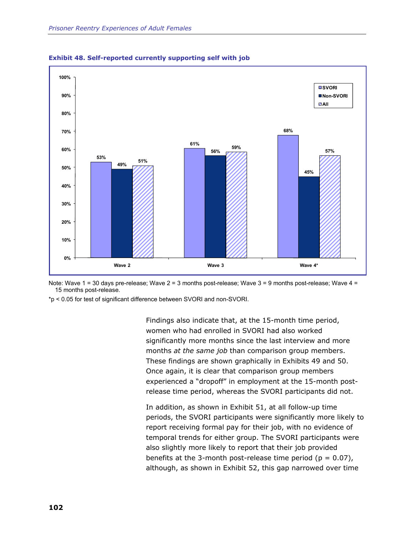



\*p < 0.05 for test of significant difference between SVORI and non-SVORI.

Findings also indicate that, at the 15-month time period, women who had enrolled in SVORI had also worked significantly more months since the last interview and more months *at the same job* than comparison group members. These findings are shown graphically in Exhibits 49 and 50. Once again, it is clear that comparison group members experienced a "dropoff" in employment at the 15-month postrelease time period, whereas the SVORI participants did not.

In addition, as shown in Exhibit 51, at all follow-up time periods, the SVORI participants were significantly more likely to report receiving formal pay for their job, with no evidence of temporal trends for either group. The SVORI participants were also slightly more likely to report that their job provided benefits at the 3-month post-release time period ( $p = 0.07$ ), although, as shown in Exhibit 52, this gap narrowed over time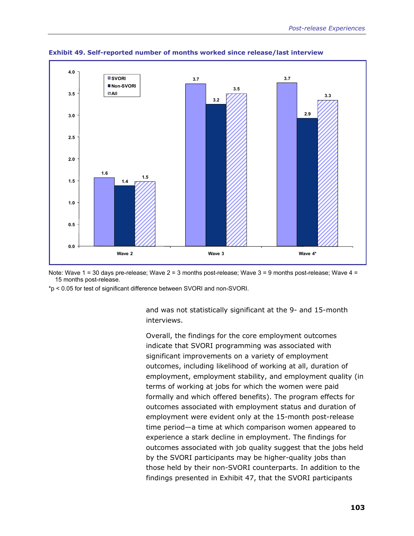

**Exhibit 49. Self-reported number of months worked since release/last interview** 

\*p < 0.05 for test of significant difference between SVORI and non-SVORI.

and was not statistically significant at the 9- and 15-month interviews.

Overall, the findings for the core employment outcomes indicate that SVORI programming was associated with significant improvements on a variety of employment outcomes, including likelihood of working at all, duration of employment, employment stability, and employment quality (in terms of working at jobs for which the women were paid formally and which offered benefits). The program effects for outcomes associated with employment status and duration of employment were evident only at the 15-month post-release time period—a time at which comparison women appeared to experience a stark decline in employment. The findings for outcomes associated with job quality suggest that the jobs held by the SVORI participants may be higher-quality jobs than those held by their non-SVORI counterparts. In addition to the findings presented in Exhibit 47, that the SVORI participants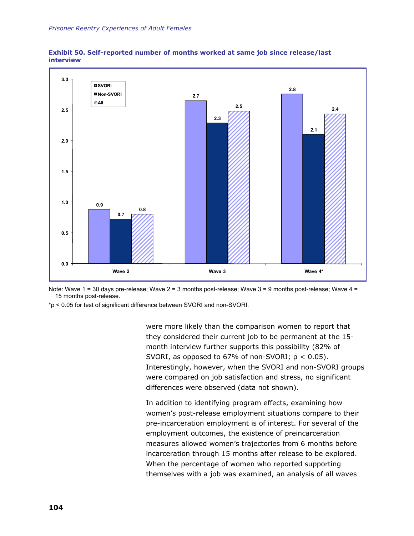



\*p < 0.05 for test of significant difference between SVORI and non-SVORI.

were more likely than the comparison women to report that they considered their current job to be permanent at the 15 month interview further supports this possibility (82% of SVORI, as opposed to 67% of non-SVORI;  $p < 0.05$ ). Interestingly, however, when the SVORI and non-SVORI groups were compared on job satisfaction and stress, no significant differences were observed (data not shown).

In addition to identifying program effects, examining how women's post-release employment situations compare to their pre-incarceration employment is of interest. For several of the employment outcomes, the existence of preincarceration measures allowed women's trajectories from 6 months before incarceration through 15 months after release to be explored. When the percentage of women who reported supporting themselves with a job was examined, an analysis of all waves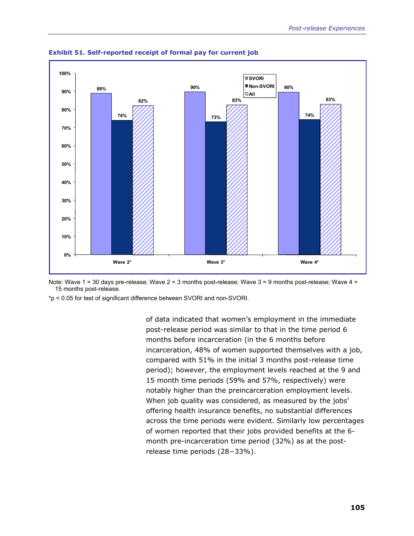

**Exhibit 51. Self-reported receipt of formal pay for current job** 

\*p < 0.05 for test of significant difference between SVORI and non-SVORI.

of data indicated that women's employment in the immediate post-release period was similar to that in the time period 6 months before incarceration (in the 6 months before incarceration, 48% of women supported themselves with a job, compared with 51% in the initial 3 months post-release time period); however, the employment levels reached at the 9 and 15 month time periods (59% and 57%, respectively) were notably higher than the preincarceration employment levels. When job quality was considered, as measured by the jobs' offering health insurance benefits, no substantial differences across the time periods were evident. Similarly low percentages of women reported that their jobs provided benefits at the 6 month pre-incarceration time period (32%) as at the postrelease time periods (28−33%).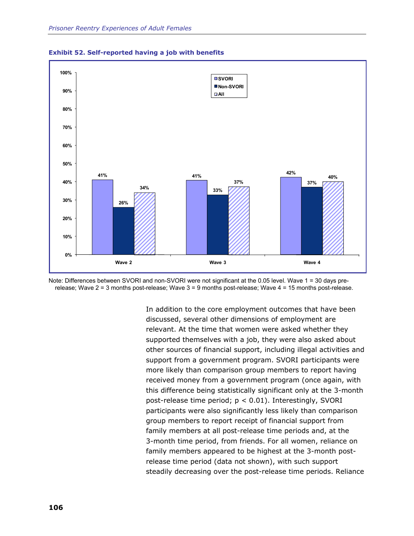



Note: Differences between SVORI and non-SVORI were not significant at the 0.05 level. Wave 1 = 30 days prerelease; Wave 2 = 3 months post-release; Wave 3 = 9 months post-release; Wave 4 = 15 months post-release.

> In addition to the core employment outcomes that have been discussed, several other dimensions of employment are relevant. At the time that women were asked whether they supported themselves with a job, they were also asked about other sources of financial support, including illegal activities and support from a government program. SVORI participants were more likely than comparison group members to report having received money from a government program (once again, with this difference being statistically significant only at the 3-month post-release time period; p < 0.01). Interestingly, SVORI participants were also significantly less likely than comparison group members to report receipt of financial support from family members at all post-release time periods and, at the 3-month time period, from friends. For all women, reliance on family members appeared to be highest at the 3-month postrelease time period (data not shown), with such support steadily decreasing over the post-release time periods. Reliance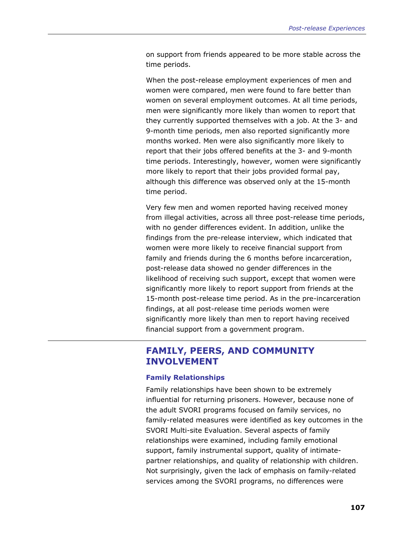on support from friends appeared to be more stable across the time periods.

When the post-release employment experiences of men and women were compared, men were found to fare better than women on several employment outcomes. At all time periods, men were significantly more likely than women to report that they currently supported themselves with a job. At the 3- and 9-month time periods, men also reported significantly more months worked. Men were also significantly more likely to report that their jobs offered benefits at the 3- and 9-month time periods. Interestingly, however, women were significantly more likely to report that their jobs provided formal pay, although this difference was observed only at the 15-month time period.

Very few men and women reported having received money from illegal activities, across all three post-release time periods, with no gender differences evident. In addition, unlike the findings from the pre-release interview, which indicated that women were more likely to receive financial support from family and friends during the 6 months before incarceration, post-release data showed no gender differences in the likelihood of receiving such support, except that women were significantly more likely to report support from friends at the 15-month post-release time period. As in the pre-incarceration findings, at all post-release time periods women were significantly more likely than men to report having received financial support from a government program.

# **FAMILY, PEERS, AND COMMUNITY INVOLVEMENT**

#### **Family Relationships**

Family relationships have been shown to be extremely influential for returning prisoners. However, because none of the adult SVORI programs focused on family services, no family-related measures were identified as key outcomes in the SVORI Multi-site Evaluation. Several aspects of family relationships were examined, including family emotional support, family instrumental support, quality of intimatepartner relationships, and quality of relationship with children. Not surprisingly, given the lack of emphasis on family-related services among the SVORI programs, no differences were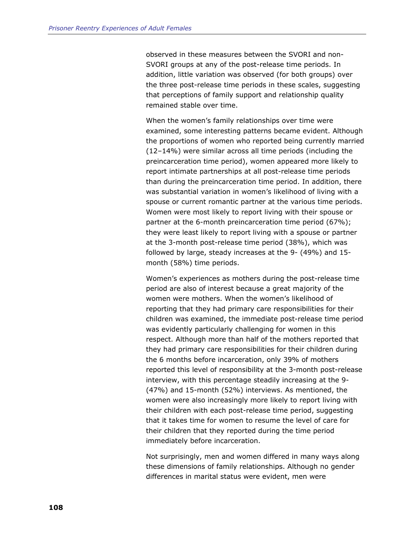observed in these measures between the SVORI and non-SVORI groups at any of the post-release time periods. In addition, little variation was observed (for both groups) over the three post-release time periods in these scales, suggesting that perceptions of family support and relationship quality remained stable over time.

When the women's family relationships over time were examined, some interesting patterns became evident. Although the proportions of women who reported being currently married (12–14%) were similar across all time periods (including the preincarceration time period), women appeared more likely to report intimate partnerships at all post-release time periods than during the preincarceration time period. In addition, there was substantial variation in women's likelihood of living with a spouse or current romantic partner at the various time periods. Women were most likely to report living with their spouse or partner at the 6-month preincarceration time period (67%); they were least likely to report living with a spouse or partner at the 3-month post-release time period (38%), which was followed by large, steady increases at the 9- (49%) and 15 month (58%) time periods.

Women's experiences as mothers during the post-release time period are also of interest because a great majority of the women were mothers. When the women's likelihood of reporting that they had primary care responsibilities for their children was examined, the immediate post-release time period was evidently particularly challenging for women in this respect. Although more than half of the mothers reported that they had primary care responsibilities for their children during the 6 months before incarceration, only 39% of mothers reported this level of responsibility at the 3-month post-release interview, with this percentage steadily increasing at the 9- (47%) and 15-month (52%) interviews. As mentioned, the women were also increasingly more likely to report living with their children with each post-release time period, suggesting that it takes time for women to resume the level of care for their children that they reported during the time period immediately before incarceration.

Not surprisingly, men and women differed in many ways along these dimensions of family relationships. Although no gender differences in marital status were evident, men were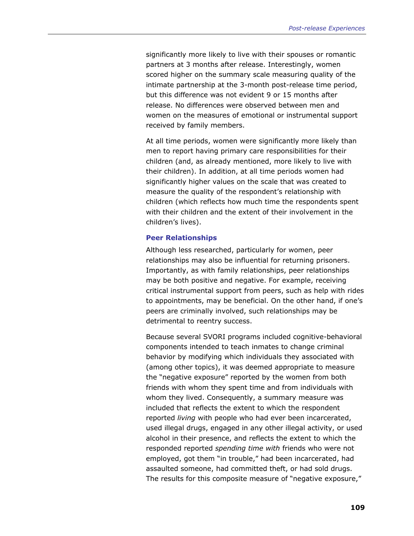significantly more likely to live with their spouses or romantic partners at 3 months after release. Interestingly, women scored higher on the summary scale measuring quality of the intimate partnership at the 3-month post-release time period, but this difference was not evident 9 or 15 months after release. No differences were observed between men and women on the measures of emotional or instrumental support received by family members.

At all time periods, women were significantly more likely than men to report having primary care responsibilities for their children (and, as already mentioned, more likely to live with their children). In addition, at all time periods women had significantly higher values on the scale that was created to measure the quality of the respondent's relationship with children (which reflects how much time the respondents spent with their children and the extent of their involvement in the children's lives).

#### **Peer Relationships**

Although less researched, particularly for women, peer relationships may also be influential for returning prisoners. Importantly, as with family relationships, peer relationships may be both positive and negative. For example, receiving critical instrumental support from peers, such as help with rides to appointments, may be beneficial. On the other hand, if one's peers are criminally involved, such relationships may be detrimental to reentry success.

Because several SVORI programs included cognitive-behavioral components intended to teach inmates to change criminal behavior by modifying which individuals they associated with (among other topics), it was deemed appropriate to measure the "negative exposure" reported by the women from both friends with whom they spent time and from individuals with whom they lived. Consequently, a summary measure was included that reflects the extent to which the respondent reported *living* with people who had ever been incarcerated, used illegal drugs, engaged in any other illegal activity, or used alcohol in their presence, and reflects the extent to which the responded reported *spending time with* friends who were not employed, got them "in trouble," had been incarcerated, had assaulted someone, had committed theft, or had sold drugs. The results for this composite measure of "negative exposure,"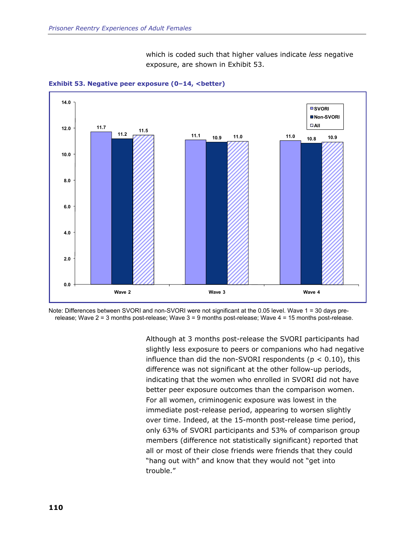which is coded such that higher values indicate *less* negative exposure, are shown in Exhibit 53.





Note: Differences between SVORI and non-SVORI were not significant at the 0.05 level. Wave 1 = 30 days prerelease; Wave 2 = 3 months post-release; Wave 3 = 9 months post-release; Wave 4 = 15 months post-release.

> Although at 3 months post-release the SVORI participants had slightly less exposure to peers or companions who had negative influence than did the non-SVORI respondents ( $p < 0.10$ ), this difference was not significant at the other follow-up periods, indicating that the women who enrolled in SVORI did not have better peer exposure outcomes than the comparison women. For all women, criminogenic exposure was lowest in the immediate post-release period, appearing to worsen slightly over time. Indeed, at the 15-month post-release time period, only 63% of SVORI participants and 53% of comparison group members (difference not statistically significant) reported that all or most of their close friends were friends that they could "hang out with" and know that they would not "get into trouble."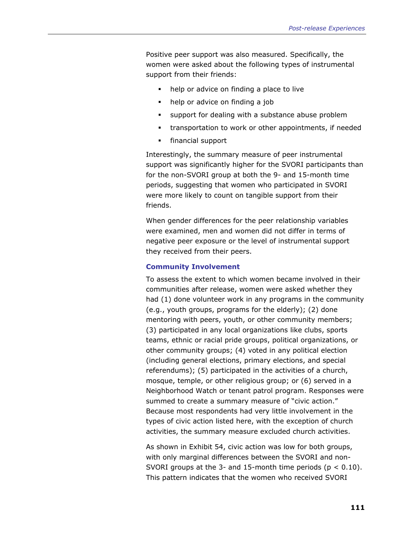Positive peer support was also measured. Specifically, the women were asked about the following types of instrumental support from their friends:

- help or advice on finding a place to live
- help or advice on finding a job
- **support for dealing with a substance abuse problem**
- **transportation to work or other appointments, if needed**
- **financial support**

Interestingly, the summary measure of peer instrumental support was significantly higher for the SVORI participants than for the non-SVORI group at both the 9- and 15-month time periods, suggesting that women who participated in SVORI were more likely to count on tangible support from their friends.

When gender differences for the peer relationship variables were examined, men and women did not differ in terms of negative peer exposure or the level of instrumental support they received from their peers.

#### **Community Involvement**

To assess the extent to which women became involved in their communities after release, women were asked whether they had (1) done volunteer work in any programs in the community (e.g., youth groups, programs for the elderly); (2) done mentoring with peers, youth, or other community members; (3) participated in any local organizations like clubs, sports teams, ethnic or racial pride groups, political organizations, or other community groups; (4) voted in any political election (including general elections, primary elections, and special referendums); (5) participated in the activities of a church, mosque, temple, or other religious group; or (6) served in a Neighborhood Watch or tenant patrol program. Responses were summed to create a summary measure of "civic action." Because most respondents had very little involvement in the types of civic action listed here, with the exception of church activities, the summary measure excluded church activities.

As shown in Exhibit 54, civic action was low for both groups, with only marginal differences between the SVORI and non-SVORI groups at the 3- and 15-month time periods ( $p < 0.10$ ). This pattern indicates that the women who received SVORI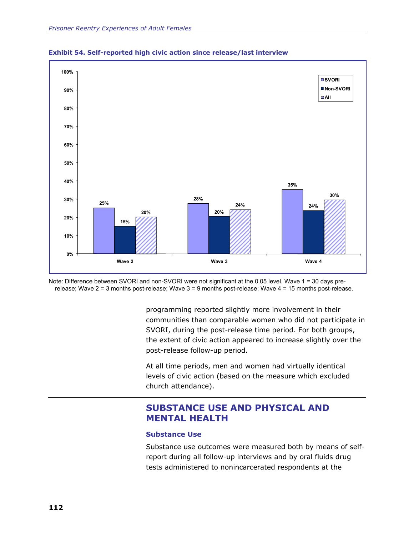



Note: Difference between SVORI and non-SVORI were not significant at the 0.05 level. Wave 1 = 30 days prerelease; Wave 2 = 3 months post-release; Wave 3 = 9 months post-release; Wave 4 = 15 months post-release.

> programming reported slightly more involvement in their communities than comparable women who did not participate in SVORI, during the post-release time period. For both groups, the extent of civic action appeared to increase slightly over the post-release follow-up period.

At all time periods, men and women had virtually identical levels of civic action (based on the measure which excluded church attendance).

# **SUBSTANCE USE AND PHYSICAL AND MENTAL HEALTH**

## **Substance Use**

Substance use outcomes were measured both by means of selfreport during all follow-up interviews and by oral fluids drug tests administered to nonincarcerated respondents at the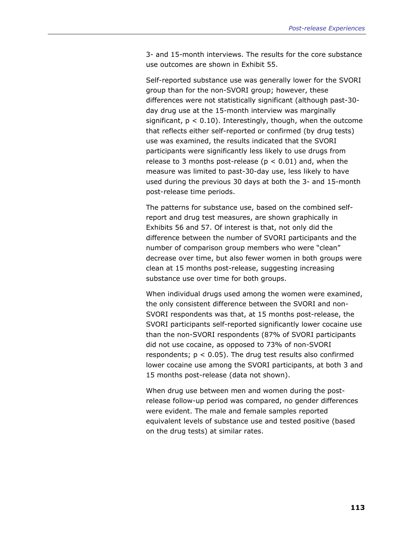3- and 15-month interviews. The results for the core substance use outcomes are shown in Exhibit 55.

Self-reported substance use was generally lower for the SVORI group than for the non-SVORI group; however, these differences were not statistically significant (although past-30 day drug use at the 15-month interview was marginally significant,  $p < 0.10$ ). Interestingly, though, when the outcome that reflects either self-reported or confirmed (by drug tests) use was examined, the results indicated that the SVORI participants were significantly less likely to use drugs from release to 3 months post-release ( $p < 0.01$ ) and, when the measure was limited to past-30-day use, less likely to have used during the previous 30 days at both the 3- and 15-month post-release time periods.

The patterns for substance use, based on the combined selfreport and drug test measures, are shown graphically in Exhibits 56 and 57. Of interest is that, not only did the difference between the number of SVORI participants and the number of comparison group members who were "clean" decrease over time, but also fewer women in both groups were clean at 15 months post-release, suggesting increasing substance use over time for both groups.

When individual drugs used among the women were examined, the only consistent difference between the SVORI and non-SVORI respondents was that, at 15 months post-release, the SVORI participants self-reported significantly lower cocaine use than the non-SVORI respondents (87% of SVORI participants did not use cocaine, as opposed to 73% of non-SVORI respondents;  $p < 0.05$ ). The drug test results also confirmed lower cocaine use among the SVORI participants, at both 3 and 15 months post-release (data not shown).

When drug use between men and women during the postrelease follow-up period was compared, no gender differences were evident. The male and female samples reported equivalent levels of substance use and tested positive (based on the drug tests) at similar rates.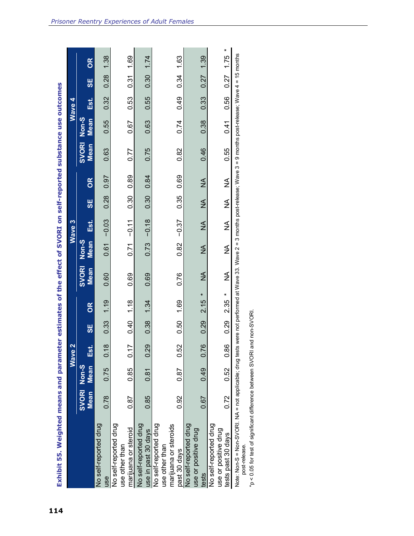| Exhibit 55. Weighted means and parameter estimates of the effect of SVORI on self-reported substance use outcomes                                                                           |                     |             |                                  |      |           |               |                      |               |          |               |                      |               |        |           |           |
|---------------------------------------------------------------------------------------------------------------------------------------------------------------------------------------------|---------------------|-------------|----------------------------------|------|-----------|---------------|----------------------|---------------|----------|---------------|----------------------|---------------|--------|-----------|-----------|
|                                                                                                                                                                                             |                     |             | $\mathbf{\Omega}$<br><b>Wave</b> |      |           |               |                      | Wave 3        |          |               |                      |               | Wave 4 |           |           |
|                                                                                                                                                                                             | SVORI Non-S<br>Mean | <b>Mean</b> | $\overline{\mathbf{S}}$          | 50   | <b>OK</b> | SVORI<br>Mean | Non-S<br><b>Mean</b> | Est.          | <u>ყ</u> | 8             | <b>SVORI</b><br>Mean | Non-S<br>Mean | Est.   | 58        | <b>OK</b> |
| No self-reported drug<br>use                                                                                                                                                                | 0.78                | 0.75        | 0.18                             | 0.33 | 1.19      | 0.60          | 0.61                 | $-0.03$       | 0.28     | 0.97          | 0.63                 | 0.55          | 0.32   | 0.28      | 1.38      |
| No self-reported drug<br>marijuana or steroid<br>use other than                                                                                                                             | 0.87                | 0.85        | Ľ<br>უ<br>თ                      | 0.40 | 1.18      | 0.69          | 0.71                 | $-0.11$       | 0.30     | 0.89          | 0.77                 | 0.67          | 0.53   | 0.31      | 1.69      |
| No self-reported drug<br>use in past 30 days                                                                                                                                                | 0.85                | 0.81        | 0.29                             | 0.38 | 1.34      | 0.69          | 0.73                 | $-0.18$       | 0.30     | 0.84          | 0.75                 | 0.63          | 0.55   | 0.30      | 1.74      |
| No self-reported drug<br>marijuana or steroids<br>use other than<br>past 30 days                                                                                                            | 0.92                | 0.87        | 0.52                             | 0.50 | 1.69      | 0.76          | 0.82                 | $-0.37$       | 0.35     | 0.69          | 0.82                 | 0.74          | 0.49   | 0.34      | 1.63      |
| No self-reported drug<br>use or positive drug<br>tests                                                                                                                                      | 0.67                | 0.49        | 0.76                             | 0.29 | ×<br>2.15 | $\frac{1}{2}$ | $\frac{1}{2}$        | $\frac{1}{2}$ | ≸        | $\frac{1}{2}$ | 0.46                 | 0.38          | 0.33   | 0.27      | 1.39      |
| No self-reported drug<br>use or positive drug<br>tests past 30 days                                                                                                                         | 0.72                | 0.52        | 0.86                             | 0.29 | ×<br>2.35 | ≸             | ≸                    | ≸             | ≸        | ≸             | 0.55                 | 0.41          | 0.56   | 0.27 1.75 | ×         |
| Note: Non-S-9 Non-SVORI. NA = not applicable; drug tests were not performed at Wave 33. Wave 2 = 3 months post-release; Wave 3 = 9 months post-release; Wave 4 = 15 months<br>post-release. |                     |             |                                  |      |           |               |                      |               |          |               |                      |               |        |           |           |

\*p < 0.05 for test of significant difference between SVORI and non-SVORI. \*p < 0.05 for test of significant difference between SVORI and non-SVORI.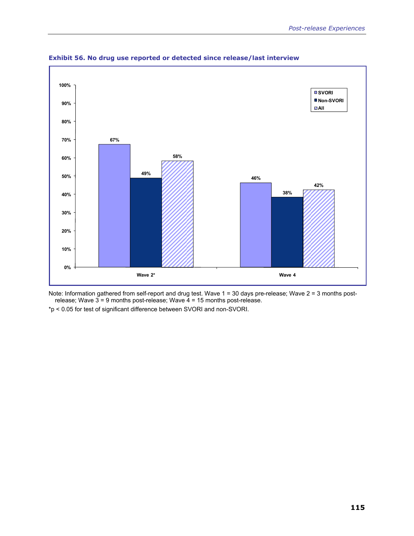



Note: Information gathered from self-report and drug test. Wave 1 = 30 days pre-release; Wave 2 = 3 months postrelease; Wave  $3 = 9$  months post-release; Wave  $4 = 15$  months post-release.

\*p < 0.05 for test of significant difference between SVORI and non-SVORI.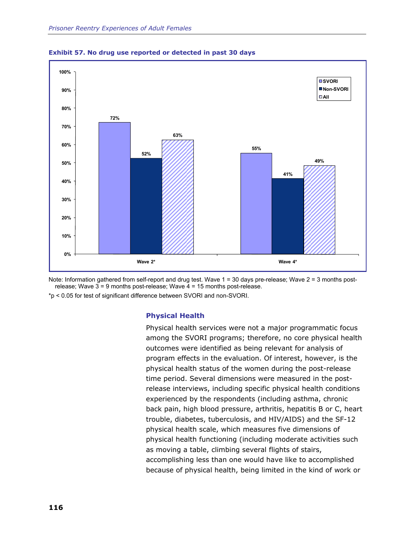



Note: Information gathered from self-report and drug test. Wave 1 = 30 days pre-release; Wave 2 = 3 months postrelease; Wave 3 = 9 months post-release; Wave 4 = 15 months post-release.

\*p < 0.05 for test of significant difference between SVORI and non-SVORI.

## **Physical Health**

Physical health services were not a major programmatic focus among the SVORI programs; therefore, no core physical health outcomes were identified as being relevant for analysis of program effects in the evaluation. Of interest, however, is the physical health status of the women during the post-release time period. Several dimensions were measured in the postrelease interviews, including specific physical health conditions experienced by the respondents (including asthma, chronic back pain, high blood pressure, arthritis, hepatitis B or C, heart trouble, diabetes, tuberculosis, and HIV/AIDS) and the SF-12 physical health scale, which measures five dimensions of physical health functioning (including moderate activities such as moving a table, climbing several flights of stairs, accomplishing less than one would have like to accomplished because of physical health, being limited in the kind of work or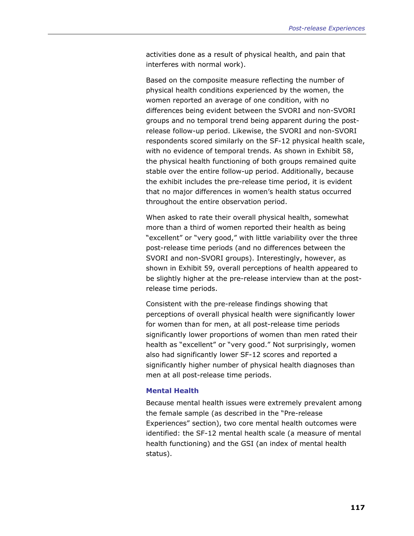activities done as a result of physical health, and pain that interferes with normal work).

Based on the composite measure reflecting the number of physical health conditions experienced by the women, the women reported an average of one condition, with no differences being evident between the SVORI and non-SVORI groups and no temporal trend being apparent during the postrelease follow-up period. Likewise, the SVORI and non-SVORI respondents scored similarly on the SF-12 physical health scale, with no evidence of temporal trends. As shown in Exhibit 58, the physical health functioning of both groups remained quite stable over the entire follow-up period. Additionally, because the exhibit includes the pre-release time period, it is evident that no major differences in women's health status occurred throughout the entire observation period.

When asked to rate their overall physical health, somewhat more than a third of women reported their health as being "excellent" or "very good," with little variability over the three post-release time periods (and no differences between the SVORI and non-SVORI groups). Interestingly, however, as shown in Exhibit 59, overall perceptions of health appeared to be slightly higher at the pre-release interview than at the postrelease time periods.

Consistent with the pre-release findings showing that perceptions of overall physical health were significantly lower for women than for men, at all post-release time periods significantly lower proportions of women than men rated their health as "excellent" or "very good." Not surprisingly, women also had significantly lower SF-12 scores and reported a significantly higher number of physical health diagnoses than men at all post-release time periods.

## **Mental Health**

Because mental health issues were extremely prevalent among the female sample (as described in the "Pre-release Experiences" section), two core mental health outcomes were identified: the SF-12 mental health scale (a measure of mental health functioning) and the GSI (an index of mental health status).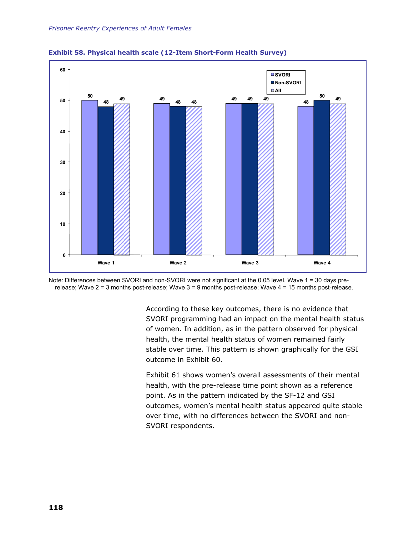





According to these key outcomes, there is no evidence that SVORI programming had an impact on the mental health status of women. In addition, as in the pattern observed for physical health, the mental health status of women remained fairly stable over time. This pattern is shown graphically for the GSI outcome in Exhibit 60.

Exhibit 61 shows women's overall assessments of their mental health, with the pre-release time point shown as a reference point. As in the pattern indicated by the SF-12 and GSI outcomes, women's mental health status appeared quite stable over time, with no differences between the SVORI and non-SVORI respondents.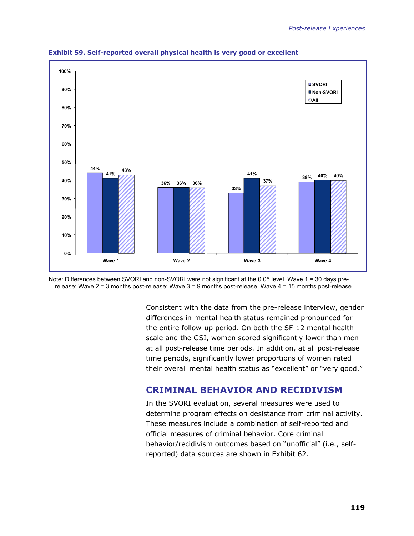

**Exhibit 59. Self-reported overall physical health is very good or excellent** 

Note: Differences between SVORI and non-SVORI were not significant at the 0.05 level. Wave 1 = 30 days prerelease; Wave 2 = 3 months post-release; Wave 3 = 9 months post-release; Wave 4 = 15 months post-release.

> Consistent with the data from the pre-release interview, gender differences in mental health status remained pronounced for the entire follow-up period. On both the SF-12 mental health scale and the GSI, women scored significantly lower than men at all post-release time periods. In addition, at all post-release time periods, significantly lower proportions of women rated their overall mental health status as "excellent" or "very good."

# **CRIMINAL BEHAVIOR AND RECIDIVISM**

In the SVORI evaluation, several measures were used to determine program effects on desistance from criminal activity. These measures include a combination of self-reported and official measures of criminal behavior. Core criminal behavior/recidivism outcomes based on "unofficial" (i.e., selfreported) data sources are shown in Exhibit 62.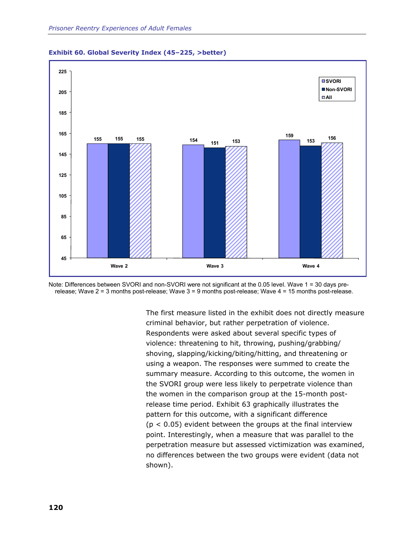





The first measure listed in the exhibit does not directly measure criminal behavior, but rather perpetration of violence. Respondents were asked about several specific types of violence: threatening to hit, throwing, pushing/grabbing/ shoving, slapping/kicking/biting/hitting, and threatening or using a weapon. The responses were summed to create the summary measure. According to this outcome, the women in the SVORI group were less likely to perpetrate violence than the women in the comparison group at the 15-month postrelease time period. Exhibit 63 graphically illustrates the pattern for this outcome, with a significant difference  $(p < 0.05)$  evident between the groups at the final interview point. Interestingly, when a measure that was parallel to the perpetration measure but assessed victimization was examined, no differences between the two groups were evident (data not shown).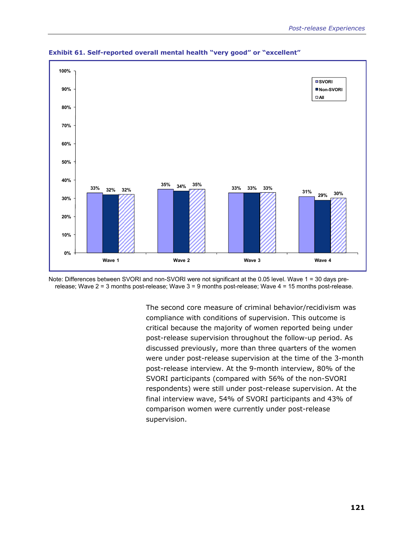

**Exhibit 61. Self-reported overall mental health "very good" or "excellent"** 

Note: Differences between SVORI and non-SVORI were not significant at the 0.05 level. Wave 1 = 30 days prerelease; Wave 2 = 3 months post-release; Wave 3 = 9 months post-release; Wave 4 = 15 months post-release.

> The second core measure of criminal behavior/recidivism was compliance with conditions of supervision. This outcome is critical because the majority of women reported being under post-release supervision throughout the follow-up period. As discussed previously, more than three quarters of the women were under post-release supervision at the time of the 3-month post-release interview. At the 9-month interview, 80% of the SVORI participants (compared with 56% of the non-SVORI respondents) were still under post-release supervision. At the final interview wave, 54% of SVORI participants and 43% of comparison women were currently under post-release supervision.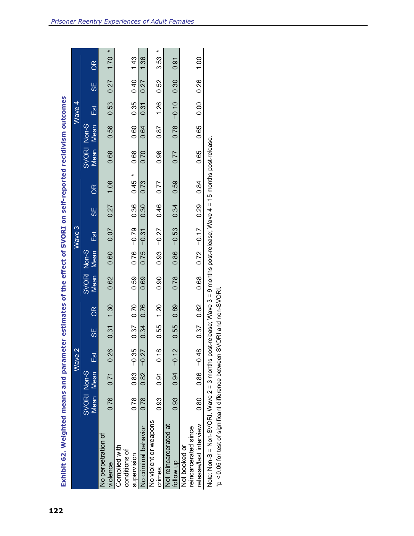| $0.76 - 0.79$<br>Est.<br>0.75<br>SVORI Non-S<br>0.93<br><b>Mean</b><br>0.86<br>0.60<br><b>Mean</b><br>0.59<br>0.78<br>0.62<br>0.69<br>0.90<br>$0.37$ 0.70<br>0.89<br>0.76<br>1.20<br>1.30<br>OR<br>0.34<br>0.55<br>0.55<br>0.31<br><b>SE</b><br>$0.94 - 0.12$<br>$0.83 - 0.35$<br>0.26<br>0.18<br>$0.82 - 0.27$<br>Est.<br>Mean Mean<br>SVORI Non-S<br>0.91<br>0.71<br>0.78<br>0.93<br>0.76<br>0.78<br>0.93<br>No violent or weapons<br>Not reincarcerated at<br>No criminal behavior<br>No perpetration of<br>Not booked or<br>Complied with<br>conditions of<br>supervision<br>follow up<br>violence<br>crimes |                 |                   |                     | Wave $4$             |               |
|------------------------------------------------------------------------------------------------------------------------------------------------------------------------------------------------------------------------------------------------------------------------------------------------------------------------------------------------------------------------------------------------------------------------------------------------------------------------------------------------------------------------------------------------------------------------------------------------------------------|-----------------|-------------------|---------------------|----------------------|---------------|
|                                                                                                                                                                                                                                                                                                                                                                                                                                                                                                                                                                                                                  | <b>SE</b>       | <b>Mean</b><br>OR | SVORI Non-S<br>Mean | <b>SE</b><br>Est.    | <b>OR</b>     |
|                                                                                                                                                                                                                                                                                                                                                                                                                                                                                                                                                                                                                  | 0.27<br>0.07    | 0.68<br>1.08      | 0.56                | 0.27<br>0.53         | ×<br>1.70     |
|                                                                                                                                                                                                                                                                                                                                                                                                                                                                                                                                                                                                                  |                 |                   |                     |                      |               |
|                                                                                                                                                                                                                                                                                                                                                                                                                                                                                                                                                                                                                  | $0.36$ $0.45$ * | 0.68              | 0.60                | $0.35$ $0.40$ $1.43$ |               |
|                                                                                                                                                                                                                                                                                                                                                                                                                                                                                                                                                                                                                  | 0.30<br>$-0.31$ | 0.70<br>0.73      | 0.64                | 0.27<br>0.31         | 1.36          |
|                                                                                                                                                                                                                                                                                                                                                                                                                                                                                                                                                                                                                  |                 |                   |                     |                      |               |
|                                                                                                                                                                                                                                                                                                                                                                                                                                                                                                                                                                                                                  | 0.46<br>$-0.27$ | 0.96<br>0.77      | 0.87                | 0.52<br>1.26         | ×<br>3.53     |
|                                                                                                                                                                                                                                                                                                                                                                                                                                                                                                                                                                                                                  |                 |                   |                     |                      |               |
|                                                                                                                                                                                                                                                                                                                                                                                                                                                                                                                                                                                                                  | 0.34<br>$-0.53$ | 0.77<br>0.59      | $0.78 - 0.10$       | 0.30                 | 0.91          |
|                                                                                                                                                                                                                                                                                                                                                                                                                                                                                                                                                                                                                  |                 |                   |                     |                      |               |
| reincarcerated since                                                                                                                                                                                                                                                                                                                                                                                                                                                                                                                                                                                             |                 |                   |                     |                      |               |
| $0.72 - 0.17$<br>0.68<br>0.37 0.62<br>$0.86 - 0.48$<br>$\frac{80}{3}$<br>release/last interview                                                                                                                                                                                                                                                                                                                                                                                                                                                                                                                  | 0.29            | 0.65<br>0.84      | 0.65                | 0.26<br>0.00         | $\frac{0}{1}$ |

*Prisoner Reentry Experiences of Adult Females*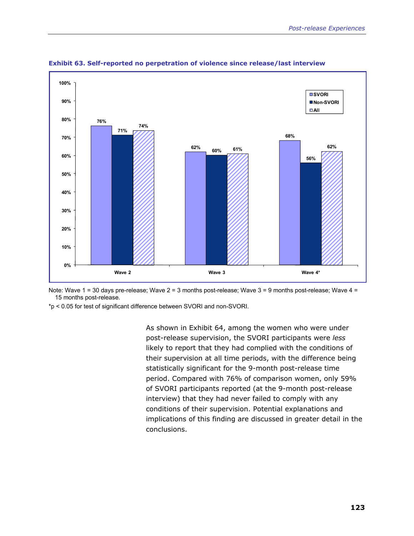

**Exhibit 63. Self-reported no perpetration of violence since release/last interview** 

Note: Wave 1 = 30 days pre-release; Wave 2 = 3 months post-release; Wave 3 = 9 months post-release; Wave 4 = 15 months post-release.

\*p < 0.05 for test of significant difference between SVORI and non-SVORI.

As shown in Exhibit 64, among the women who were under post-release supervision, the SVORI participants were *less*  likely to report that they had complied with the conditions of their supervision at all time periods, with the difference being statistically significant for the 9-month post-release time period. Compared with 76% of comparison women, only 59% of SVORI participants reported (at the 9-month post-release interview) that they had never failed to comply with any conditions of their supervision. Potential explanations and implications of this finding are discussed in greater detail in the conclusions.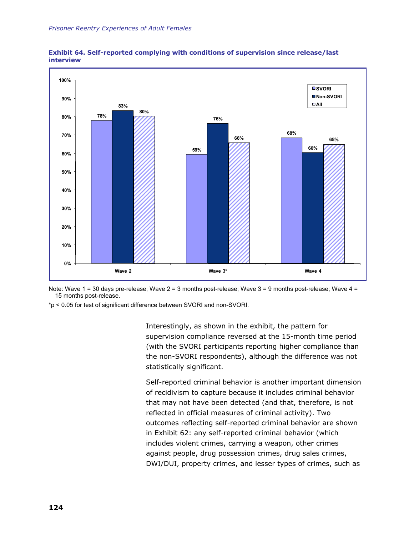



Note: Wave 1 = 30 days pre-release; Wave 2 = 3 months post-release; Wave 3 = 9 months post-release; Wave 4 = 15 months post-release.

\*p < 0.05 for test of significant difference between SVORI and non-SVORI.

Interestingly, as shown in the exhibit, the pattern for supervision compliance reversed at the 15-month time period (with the SVORI participants reporting higher compliance than the non-SVORI respondents), although the difference was not statistically significant.

Self-reported criminal behavior is another important dimension of recidivism to capture because it includes criminal behavior that may not have been detected (and that, therefore, is not reflected in official measures of criminal activity). Two outcomes reflecting self-reported criminal behavior are shown in Exhibit 62: any self-reported criminal behavior (which includes violent crimes, carrying a weapon, other crimes against people, drug possession crimes, drug sales crimes, DWI/DUI, property crimes, and lesser types of crimes, such as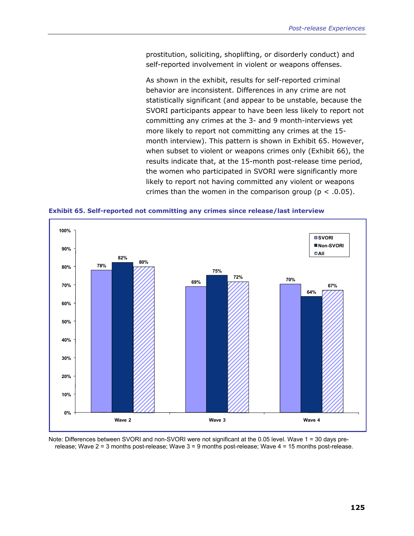prostitution, soliciting, shoplifting, or disorderly conduct) and self-reported involvement in violent or weapons offenses.

As shown in the exhibit, results for self-reported criminal behavior are inconsistent. Differences in any crime are not statistically significant (and appear to be unstable, because the SVORI participants appear to have been less likely to report not committing any crimes at the 3- and 9 month-interviews yet more likely to report not committing any crimes at the 15 month interview). This pattern is shown in Exhibit 65. However, when subset to violent or weapons crimes only (Exhibit 66), the results indicate that, at the 15-month post-release time period, the women who participated in SVORI were significantly more likely to report not having committed any violent or weapons crimes than the women in the comparison group ( $p < .0.05$ ).

**Exhibit 65. Self-reported not committing any crimes since release/last interview** 



Note: Differences between SVORI and non-SVORI were not significant at the 0.05 level. Wave 1 = 30 days prerelease; Wave 2 = 3 months post-release; Wave 3 = 9 months post-release; Wave 4 = 15 months post-release.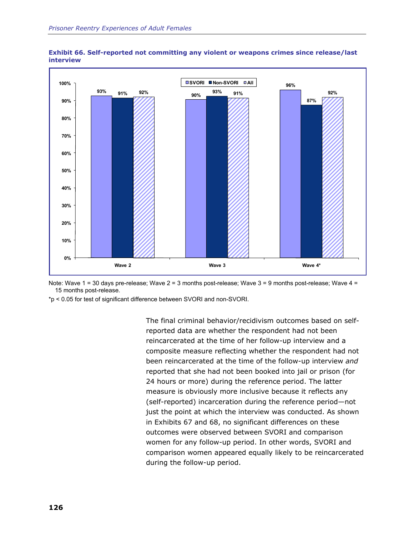



Note: Wave 1 = 30 days pre-release; Wave 2 = 3 months post-release; Wave 3 = 9 months post-release; Wave 4 = 15 months post-release.

\*p < 0.05 for test of significant difference between SVORI and non-SVORI.

The final criminal behavior/recidivism outcomes based on selfreported data are whether the respondent had not been reincarcerated at the time of her follow-up interview and a composite measure reflecting whether the respondent had not been reincarcerated at the time of the follow-up interview *and* reported that she had not been booked into jail or prison (for 24 hours or more) during the reference period. The latter measure is obviously more inclusive because it reflects any (self-reported) incarceration during the reference period—not just the point at which the interview was conducted. As shown in Exhibits 67 and 68, no significant differences on these outcomes were observed between SVORI and comparison women for any follow-up period. In other words, SVORI and comparison women appeared equally likely to be reincarcerated during the follow-up period.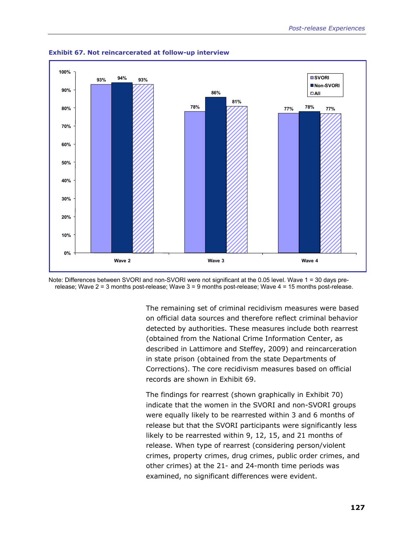

**Exhibit 67. Not reincarcerated at follow-up interview** 

Note: Differences between SVORI and non-SVORI were not significant at the 0.05 level. Wave 1 = 30 days prerelease; Wave 2 = 3 months post-release; Wave 3 = 9 months post-release; Wave 4 = 15 months post-release.

> The remaining set of criminal recidivism measures were based on official data sources and therefore reflect criminal behavior detected by authorities. These measures include both rearrest (obtained from the National Crime Information Center, as described in Lattimore and Steffey, 2009) and reincarceration in state prison (obtained from the state Departments of Corrections). The core recidivism measures based on official records are shown in Exhibit 69.

> The findings for rearrest (shown graphically in Exhibit 70) indicate that the women in the SVORI and non-SVORI groups were equally likely to be rearrested within 3 and 6 months of release but that the SVORI participants were significantly less likely to be rearrested within 9, 12, 15, and 21 months of release. When type of rearrest (considering person/violent crimes, property crimes, drug crimes, public order crimes, and other crimes) at the 21- and 24-month time periods was examined, no significant differences were evident.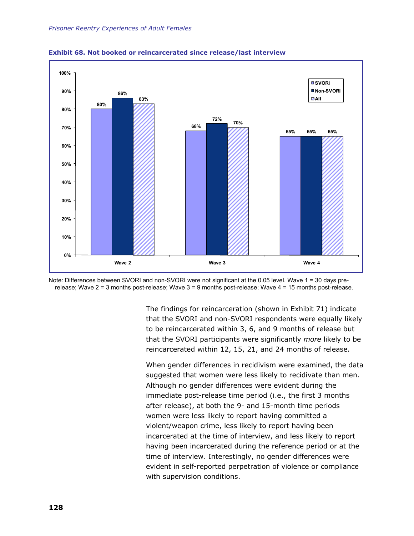

**Exhibit 68. Not booked or reincarcerated since release/last interview** 



The findings for reincarceration (shown in Exhibit 71) indicate that the SVORI and non-SVORI respondents were equally likely to be reincarcerated within 3, 6, and 9 months of release but that the SVORI participants were significantly *more* likely to be reincarcerated within 12, 15, 21, and 24 months of release.

When gender differences in recidivism were examined, the data suggested that women were less likely to recidivate than men. Although no gender differences were evident during the immediate post-release time period (i.e., the first 3 months after release), at both the 9- and 15-month time periods women were less likely to report having committed a violent/weapon crime, less likely to report having been incarcerated at the time of interview, and less likely to report having been incarcerated during the reference period or at the time of interview. Interestingly, no gender differences were evident in self-reported perpetration of violence or compliance with supervision conditions.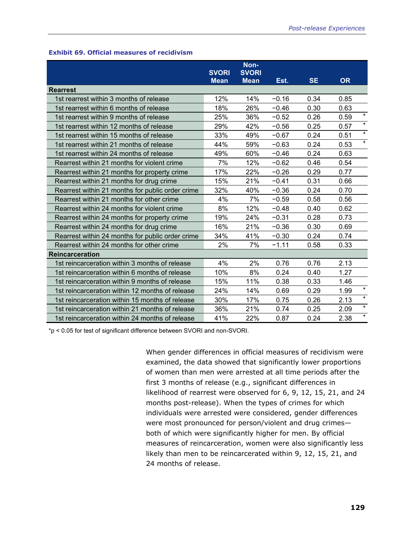### **Exhibit 69. Official measures of recidivism**

|                                                  | <b>SVORI</b><br><b>Mean</b> | Non-<br><b>SVORI</b><br><b>Mean</b> | Est.    | <b>SE</b> | <b>OR</b>       |
|--------------------------------------------------|-----------------------------|-------------------------------------|---------|-----------|-----------------|
| <b>Rearrest</b>                                  |                             |                                     |         |           |                 |
| 1st rearrest within 3 months of release          | 12%                         | 14%                                 | $-0.16$ | 0.34      | 0.85            |
| 1st rearrest within 6 months of release          | 18%                         | 26%                                 | $-0.46$ | 0.30      | 0.63            |
| 1st rearrest within 9 months of release          | 25%                         | 36%                                 | $-0.52$ | 0.26      | $\star$<br>0.59 |
| 1st rearrest within 12 months of release         | 29%                         | 42%                                 | $-0.56$ | 0.25      | $\star$<br>0.57 |
| 1st rearrest within 15 months of release         | 33%                         | 49%                                 | $-0.67$ | 0.24      | $\star$<br>0.51 |
| 1st rearrest within 21 months of release         | 44%                         | 59%                                 | $-0.63$ | 0.24      | $\star$<br>0.53 |
| 1st rearrest within 24 months of release         | 49%                         | 60%                                 | $-0.46$ | 0.24      | 0.63            |
| Rearrest within 21 months for violent crime      | 7%                          | 12%                                 | $-0.62$ | 0.46      | 0.54            |
| Rearrest within 21 months for property crime     | 17%                         | 22%                                 | $-0.26$ | 0.29      | 0.77            |
| Rearrest within 21 months for drug crime         | 15%                         | 21%                                 | $-0.41$ | 0.31      | 0.66            |
| Rearrest within 21 months for public order crime | 32%                         | 40%                                 | $-0.36$ | 0.24      | 0.70            |
| Rearrest within 21 months for other crime        | 4%                          | 7%                                  | $-0.59$ | 0.58      | 0.56            |
| Rearrest within 24 months for violent crime      | 8%                          | 12%                                 | $-0.48$ | 0.40      | 0.62            |
| Rearrest within 24 months for property crime     | 19%                         | 24%                                 | $-0.31$ | 0.28      | 0.73            |
| Rearrest within 24 months for drug crime         | 16%                         | 21%                                 | $-0.36$ | 0.30      | 0.69            |
| Rearrest within 24 months for public order crime | 34%                         | 41%                                 | $-0.30$ | 0.24      | 0.74            |
| Rearrest within 24 months for other crime        | 2%                          | 7%                                  | $-1.11$ | 0.58      | 0.33            |
| <b>Reincarceration</b>                           |                             |                                     |         |           |                 |
| 1st reincarceration within 3 months of release   | 4%                          | 2%                                  | 0.76    | 0.76      | 2.13            |
| 1st reincarceration within 6 months of release   | 10%                         | 8%                                  | 0.24    | 0.40      | 1.27            |
| 1st reincarceration within 9 months of release   | 15%                         | 11%                                 | 0.38    | 0.33      | 1.46            |
| 1st reincarceration within 12 months of release  | 24%                         | 14%                                 | 0.69    | 0.29      | $\star$<br>1.99 |
| 1st reincarceration within 15 months of release  | 30%                         | 17%                                 | 0.75    | 0.26      | $\star$<br>2.13 |
| 1st reincarceration within 21 months of release  | 36%                         | 21%                                 | 0.74    | 0.25      | $\star$<br>2.09 |
| 1st reincarceration within 24 months of release  | 41%                         | 22%                                 | 0.87    | 0.24      | $\star$<br>2.38 |

\*p < 0.05 for test of significant difference between SVORI and non-SVORI.

When gender differences in official measures of recidivism were examined, the data showed that significantly lower proportions of women than men were arrested at all time periods after the first 3 months of release (e.g., significant differences in likelihood of rearrest were observed for 6, 9, 12, 15, 21, and 24 months post-release). When the types of crimes for which individuals were arrested were considered, gender differences were most pronounced for person/violent and drug crimes both of which were significantly higher for men. By official measures of reincarceration, women were also significantly less likely than men to be reincarcerated within 9, 12, 15, 21, and 24 months of release.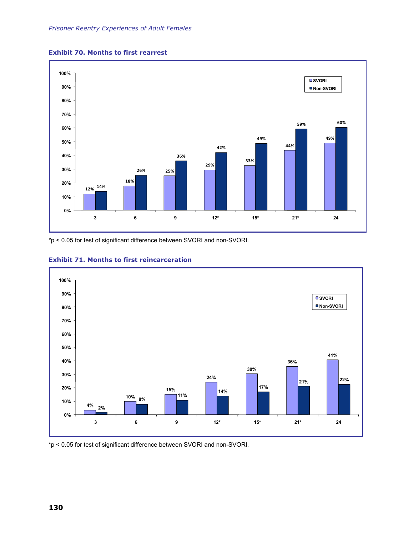

#### **Exhibit 70. Months to first rearrest**

\*p < 0.05 for test of significant difference between SVORI and non-SVORI.



### **Exhibit 71. Months to first reincarceration**

\*p < 0.05 for test of significant difference between SVORI and non-SVORI.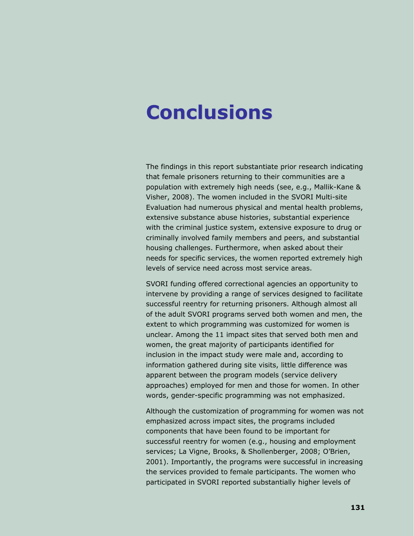## **Conclusions**

The findings in this report substantiate prior research indicating that female prisoners returning to their communities are a population with extremely high needs (see, e.g., Mallik-Kane & Visher, 2008). The women included in the SVORI Multi-site Evaluation had numerous physical and mental health problems, extensive substance abuse histories, substantial experience with the criminal justice system, extensive exposure to drug or criminally involved family members and peers, and substantial housing challenges. Furthermore, when asked about their needs for specific services, the women reported extremely high levels of service need across most service areas.

SVORI funding offered correctional agencies an opportunity to intervene by providing a range of services designed to facilitate successful reentry for returning prisoners. Although almost all of the adult SVORI programs served both women and men, the extent to which programming was customized for women is unclear. Among the 11 impact sites that served both men and women, the great majority of participants identified for inclusion in the impact study were male and, according to information gathered during site visits, little difference was apparent between the program models (service delivery approaches) employed for men and those for women. In other words, gender-specific programming was not emphasized.

Although the customization of programming for women was not emphasized across impact sites, the programs included components that have been found to be important for successful reentry for women (e.g., housing and employment services; La Vigne, Brooks, & Shollenberger, 2008; O'Brien, 2001). Importantly, the programs were successful in increasing the services provided to female participants. The women who participated in SVORI reported substantially higher levels of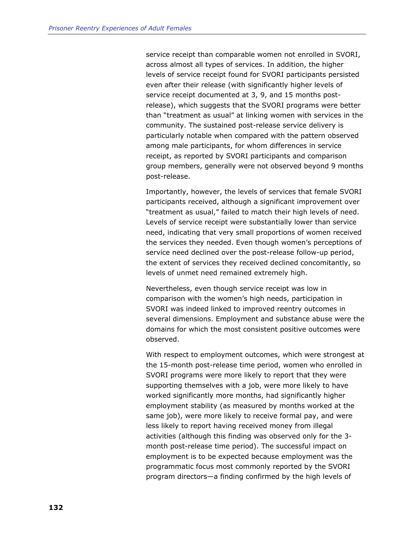service receipt than comparable women not enrolled in SVORI, across almost all types of services. In addition, the higher levels of service receipt found for SVORI participants persisted even after their release (with significantly higher levels of service receipt documented at 3, 9, and 15 months postrelease), which suggests that the SVORI programs were better than "treatment as usual" at linking women with services in the community. The sustained post-release service delivery is particularly notable when compared with the pattern observed among male participants, for whom differences in service receipt, as reported by SVORI participants and comparison group members, generally were not observed beyond 9 months post-release.

Importantly, however, the levels of services that female SVORI participants received, although a significant improvement over "treatment as usual," failed to match their high levels of need. Levels of service receipt were substantially lower than service need, indicating that very small proportions of women received the services they needed. Even though women's perceptions of service need declined over the post-release follow-up period, the extent of services they received declined concomitantly, so levels of unmet need remained extremely high.

Nevertheless, even though service receipt was low in comparison with the women's high needs, participation in SVORI was indeed linked to improved reentry outcomes in several dimensions. Employment and substance abuse were the domains for which the most consistent positive outcomes were observed.

With respect to employment outcomes, which were strongest at the 15-month post-release time period, women who enrolled in SVORI programs were more likely to report that they were supporting themselves with a job, were more likely to have worked significantly more months, had significantly higher employment stability (as measured by months worked at the same job), were more likely to receive formal pay, and were less likely to report having received money from illegal activities (although this finding was observed only for the 3 month post-release time period). The successful impact on employment is to be expected because employment was the programmatic focus most commonly reported by the SVORI program directors—a finding confirmed by the high levels of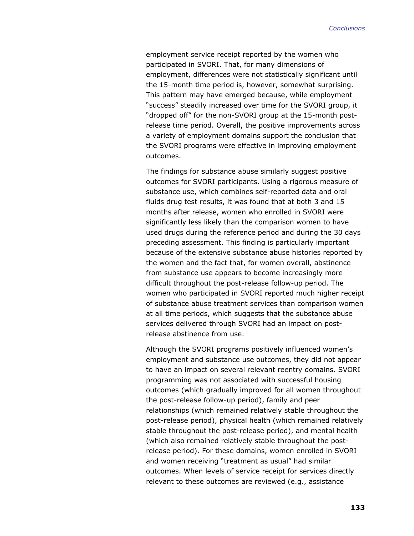employment service receipt reported by the women who participated in SVORI. That, for many dimensions of employment, differences were not statistically significant until the 15-month time period is, however, somewhat surprising. This pattern may have emerged because, while employment "success" steadily increased over time for the SVORI group, it "dropped off" for the non-SVORI group at the 15-month postrelease time period. Overall, the positive improvements across a variety of employment domains support the conclusion that the SVORI programs were effective in improving employment outcomes.

The findings for substance abuse similarly suggest positive outcomes for SVORI participants. Using a rigorous measure of substance use, which combines self-reported data and oral fluids drug test results, it was found that at both 3 and 15 months after release, women who enrolled in SVORI were significantly less likely than the comparison women to have used drugs during the reference period and during the 30 days preceding assessment. This finding is particularly important because of the extensive substance abuse histories reported by the women and the fact that, for women overall, abstinence from substance use appears to become increasingly more difficult throughout the post-release follow-up period. The women who participated in SVORI reported much higher receipt of substance abuse treatment services than comparison women at all time periods, which suggests that the substance abuse services delivered through SVORI had an impact on postrelease abstinence from use.

Although the SVORI programs positively influenced women's employment and substance use outcomes, they did not appear to have an impact on several relevant reentry domains. SVORI programming was not associated with successful housing outcomes (which gradually improved for all women throughout the post-release follow-up period), family and peer relationships (which remained relatively stable throughout the post-release period), physical health (which remained relatively stable throughout the post-release period), and mental health (which also remained relatively stable throughout the postrelease period). For these domains, women enrolled in SVORI and women receiving "treatment as usual" had similar outcomes. When levels of service receipt for services directly relevant to these outcomes are reviewed (e.g., assistance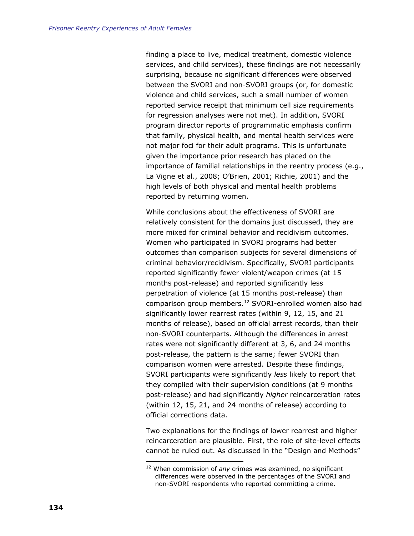<span id="page-157-0"></span>finding a place to live, medical treatment, domestic violence services, and child services), these findings are not necessarily surprising, because no significant differences were observed between the SVORI and non-SVORI groups (or, for domestic violence and child services, such a small number of women reported service receipt that minimum cell size requirements for regression analyses were not met). In addition, SVORI program director reports of programmatic emphasis confirm that family, physical health, and mental health services were not major foci for their adult programs. This is unfortunate given the importance prior research has placed on the importance of familial relationships in the reentry process (e.g., La Vigne et al., 2008; O'Brien, 2001; Richie, 2001) and the high levels of both physical and mental health problems reported by returning women.

While conclusions about the effectiveness of SVORI are relatively consistent for the domains just discussed, they are more mixed for criminal behavior and recidivism outcomes. Women who participated in SVORI programs had better outcomes than comparison subjects for several dimensions of criminal behavior/recidivism. Specifically, SVORI participants reported significantly fewer violent/weapon crimes (at 15 months post-release) and reported significantly less perpetration of violence (at 15 months post-release) than comparison group members.[12](#page-157-0) SVORI-enrolled women also had significantly lower rearrest rates (within 9, 12, 15, and 21 months of release), based on official arrest records, than their non-SVORI counterparts. Although the differences in arrest rates were not significantly different at 3, 6, and 24 months post-release, the pattern is the same; fewer SVORI than comparison women were arrested. Despite these findings, SVORI participants were significantly *less* likely to report that they complied with their supervision conditions (at 9 months post-release) and had significantly *higher* reincarceration rates (within 12, 15, 21, and 24 months of release) according to official corrections data.

Two explanations for the findings of lower rearrest and higher reincarceration are plausible. First, the role of site-level effects cannot be ruled out. As discussed in the "Design and Methods"

1

<sup>12</sup> When commission of *any* crimes was examined, no significant differences were observed in the percentages of the SVORI and non-SVORI respondents who reported committing a crime.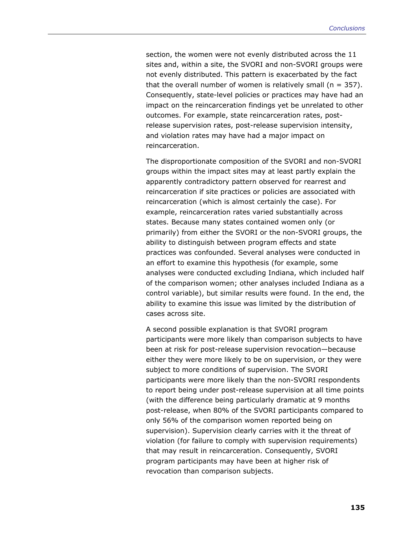section, the women were not evenly distributed across the 11 sites and, within a site, the SVORI and non-SVORI groups were not evenly distributed. This pattern is exacerbated by the fact that the overall number of women is relatively small ( $n = 357$ ). Consequently, state-level policies or practices may have had an impact on the reincarceration findings yet be unrelated to other outcomes. For example, state reincarceration rates, postrelease supervision rates, post-release supervision intensity, and violation rates may have had a major impact on reincarceration.

The disproportionate composition of the SVORI and non-SVORI groups within the impact sites may at least partly explain the apparently contradictory pattern observed for rearrest and reincarceration if site practices or policies are associated with reincarceration (which is almost certainly the case). For example, reincarceration rates varied substantially across states. Because many states contained women only (or primarily) from either the SVORI or the non-SVORI groups, the ability to distinguish between program effects and state practices was confounded. Several analyses were conducted in an effort to examine this hypothesis (for example, some analyses were conducted excluding Indiana, which included half of the comparison women; other analyses included Indiana as a control variable), but similar results were found. In the end, the ability to examine this issue was limited by the distribution of cases across site.

A second possible explanation is that SVORI program participants were more likely than comparison subjects to have been at risk for post-release supervision revocation—because either they were more likely to be on supervision, or they were subject to more conditions of supervision. The SVORI participants were more likely than the non-SVORI respondents to report being under post-release supervision at all time points (with the difference being particularly dramatic at 9 months post-release, when 80% of the SVORI participants compared to only 56% of the comparison women reported being on supervision). Supervision clearly carries with it the threat of violation (for failure to comply with supervision requirements) that may result in reincarceration. Consequently, SVORI program participants may have been at higher risk of revocation than comparison subjects.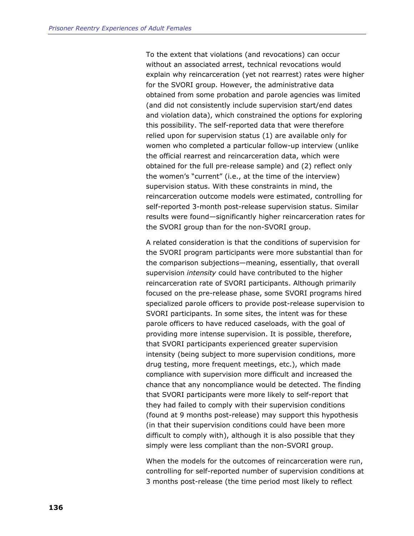To the extent that violations (and revocations) can occur without an associated arrest, technical revocations would explain why reincarceration (yet not rearrest) rates were higher for the SVORI group. However, the administrative data obtained from some probation and parole agencies was limited (and did not consistently include supervision start/end dates and violation data), which constrained the options for exploring this possibility. The self-reported data that were therefore relied upon for supervision status (1) are available only for women who completed a particular follow-up interview (unlike the official rearrest and reincarceration data, which were obtained for the full pre-release sample) and (2) reflect only the women's "current" (i.e., at the time of the interview) supervision status. With these constraints in mind, the reincarceration outcome models were estimated, controlling for self-reported 3-month post-release supervision status. Similar results were found—significantly higher reincarceration rates for the SVORI group than for the non-SVORI group.

A related consideration is that the conditions of supervision for the SVORI program participants were more substantial than for the comparison subjections—meaning, essentially, that overall supervision *intensity* could have contributed to the higher reincarceration rate of SVORI participants. Although primarily focused on the pre-release phase, some SVORI programs hired specialized parole officers to provide post-release supervision to SVORI participants. In some sites, the intent was for these parole officers to have reduced caseloads, with the goal of providing more intense supervision. It is possible, therefore, that SVORI participants experienced greater supervision intensity (being subject to more supervision conditions, more drug testing, more frequent meetings, etc.), which made compliance with supervision more difficult and increased the chance that any noncompliance would be detected. The finding that SVORI participants were more likely to self-report that they had failed to comply with their supervision conditions (found at 9 months post-release) may support this hypothesis (in that their supervision conditions could have been more difficult to comply with), although it is also possible that they simply were less compliant than the non-SVORI group.

When the models for the outcomes of reincarceration were run, controlling for self-reported number of supervision conditions at 3 months post-release (the time period most likely to reflect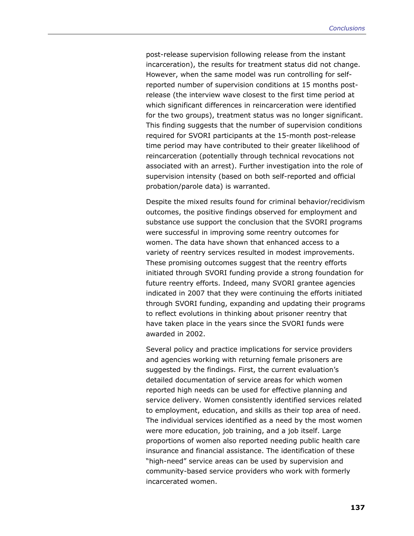post-release supervision following release from the instant incarceration), the results for treatment status did not change. However, when the same model was run controlling for selfreported number of supervision conditions at 15 months postrelease (the interview wave closest to the first time period at which significant differences in reincarceration were identified for the two groups), treatment status was no longer significant. This finding suggests that the number of supervision conditions required for SVORI participants at the 15-month post-release time period may have contributed to their greater likelihood of reincarceration (potentially through technical revocations not associated with an arrest). Further investigation into the role of supervision intensity (based on both self-reported and official probation/parole data) is warranted.

Despite the mixed results found for criminal behavior/recidivism outcomes, the positive findings observed for employment and substance use support the conclusion that the SVORI programs were successful in improving some reentry outcomes for women. The data have shown that enhanced access to a variety of reentry services resulted in modest improvements. These promising outcomes suggest that the reentry efforts initiated through SVORI funding provide a strong foundation for future reentry efforts. Indeed, many SVORI grantee agencies indicated in 2007 that they were continuing the efforts initiated through SVORI funding, expanding and updating their programs to reflect evolutions in thinking about prisoner reentry that have taken place in the years since the SVORI funds were awarded in 2002.

Several policy and practice implications for service providers and agencies working with returning female prisoners are suggested by the findings. First, the current evaluation's detailed documentation of service areas for which women reported high needs can be used for effective planning and service delivery. Women consistently identified services related to employment, education, and skills as their top area of need. The individual services identified as a need by the most women were more education, job training, and a job itself. Large proportions of women also reported needing public health care insurance and financial assistance. The identification of these "high-need" service areas can be used by supervision and community-based service providers who work with formerly incarcerated women.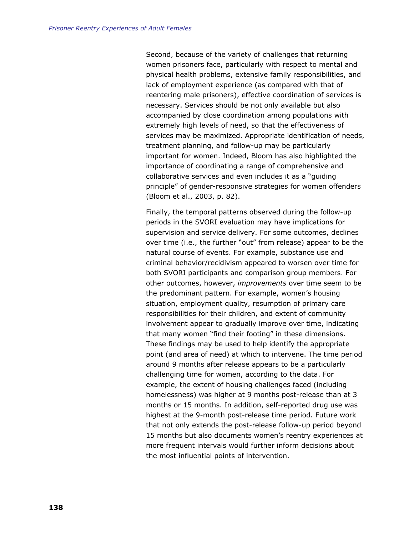Second, because of the variety of challenges that returning women prisoners face, particularly with respect to mental and physical health problems, extensive family responsibilities, and lack of employment experience (as compared with that of reentering male prisoners), effective coordination of services is necessary. Services should be not only available but also accompanied by close coordination among populations with extremely high levels of need, so that the effectiveness of services may be maximized. Appropriate identification of needs, treatment planning, and follow-up may be particularly important for women. Indeed, Bloom has also highlighted the importance of coordinating a range of comprehensive and collaborative services and even includes it as a "guiding principle" of gender-responsive strategies for women offenders (Bloom et al., 2003, p. 82).

Finally, the temporal patterns observed during the follow-up periods in the SVORI evaluation may have implications for supervision and service delivery. For some outcomes, declines over time (i.e., the further "out" from release) appear to be the natural course of events. For example, substance use and criminal behavior/recidivism appeared to worsen over time for both SVORI participants and comparison group members. For other outcomes, however, *improvements* over time seem to be the predominant pattern. For example, women's housing situation, employment quality, resumption of primary care responsibilities for their children, and extent of community involvement appear to gradually improve over time, indicating that many women "find their footing" in these dimensions. These findings may be used to help identify the appropriate point (and area of need) at which to intervene. The time period around 9 months after release appears to be a particularly challenging time for women, according to the data. For example, the extent of housing challenges faced (including homelessness) was higher at 9 months post-release than at 3 months or 15 months. In addition, self-reported drug use was highest at the 9-month post-release time period. Future work that not only extends the post-release follow-up period beyond 15 months but also documents women's reentry experiences at more frequent intervals would further inform decisions about the most influential points of intervention.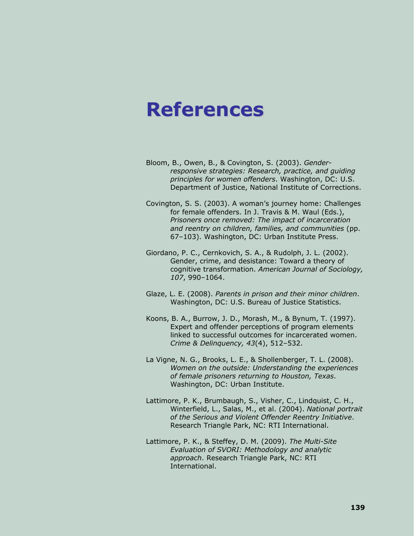### **References**

- Bloom, B., Owen, B., & Covington, S. (2003). *Genderresponsive strategies: Research, practice, and guiding principles for women offenders*. Washington, DC: U.S. Department of Justice, National Institute of Corrections.
- Covington, S. S. (2003). A woman's journey home: Challenges for female offenders. In J. Travis & M. Waul (Eds.), *Prisoners once removed: The impact of incarceration and reentry on children, families, and communities* (pp. 67–103). Washington, DC: Urban Institute Press.
- Giordano, P. C., Cernkovich, S. A., & Rudolph, J. L. (2002). Gender, crime, and desistance: Toward a theory of cognitive transformation. *American Journal of Sociology, 107*, 990–1064.
- Glaze, L. E. (2008). *Parents in prison and their minor children*. Washington, DC: U.S. Bureau of Justice Statistics.
- Koons, B. A., Burrow, J. D., Morash, M., & Bynum, T. (1997). Expert and offender perceptions of program elements linked to successful outcomes for incarcerated women. *Crime & Delinquency, 43*(4), 512–532.
- La Vigne, N. G., Brooks, L. E., & Shollenberger, T. L. (2008). *Women on the outside: Understanding the experiences of female prisoners returning to Houston, Texas*. Washington, DC: Urban Institute.
- Lattimore, P. K., Brumbaugh, S., Visher, C., Lindquist, C. H., Winterfield, L., Salas, M., et al. (2004). *National portrait of the Serious and Violent Offender Reentry Initiative*. Research Triangle Park, NC: RTI International.
- Lattimore, P. K., & Steffey, D. M. (2009). *The Multi-Site Evaluation of SVORI: Methodology and analytic approach*. Research Triangle Park, NC: RTI International.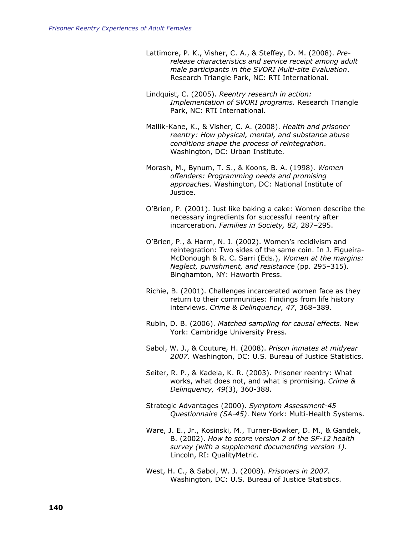- Lattimore, P. K., Visher, C. A., & Steffey, D. M. (2008). *Prerelease characteristics and service receipt among adult male participants in the SVORI Multi-site Evaluation*. Research Triangle Park, NC: RTI International.
- Lindquist, C. (2005). *Reentry research in action: Implementation of SVORI programs*. Research Triangle Park, NC: RTI International.
- Mallik-Kane, K., & Visher, C. A. (2008). *Health and prisoner reentry: How physical, mental, and substance abuse conditions shape the process of reintegration*. Washington, DC: Urban Institute.
- Morash, M., Bynum, T. S., & Koons, B. A. (1998). *Women offenders: Programming needs and promising approaches*. Washington, DC: National Institute of Justice.
- O'Brien, P. (2001). Just like baking a cake: Women describe the necessary ingredients for successful reentry after incarceration. *Families in Society, 82*, 287–295.
- O'Brien, P., & Harm, N. J. (2002). Women's recidivism and reintegration: Two sides of the same coin. In J. Figueira-McDonough & R. C. Sarri (Eds.), *Women at the margins: Neglect, punishment, and resistance* (pp. 295–315). Binghamton, NY: Haworth Press.
- Richie, B. (2001). Challenges incarcerated women face as they return to their communities: Findings from life history interviews. *Crime & Delinquency, 47*, 368–389.
- Rubin, D. B. (2006). *Matched sampling for causal effects*. New York: Cambridge University Press.
- Sabol, W. J., & Couture, H. (2008). *Prison inmates at midyear 2007*. Washington, DC: U.S. Bureau of Justice Statistics.
- Seiter, R. P., & Kadela, K. R. (2003). Prisoner reentry: What works, what does not, and what is promising. *Crime & Delinquency, 49*(3), 360-388.
- Strategic Advantages (2000). *Symptom Assessment-45 Questionnaire (SA-45)*. New York: Multi-Health Systems.
- Ware, J. E., Jr., Kosinski, M., Turner-Bowker, D. M., & Gandek, B. (2002). *How to score version 2 of the SF-12 health survey (with a supplement documenting version 1)*. Lincoln, RI: QualityMetric.
- West, H. C., & Sabol, W. J. (2008). *Prisoners in 2007*. Washington, DC: U.S. Bureau of Justice Statistics.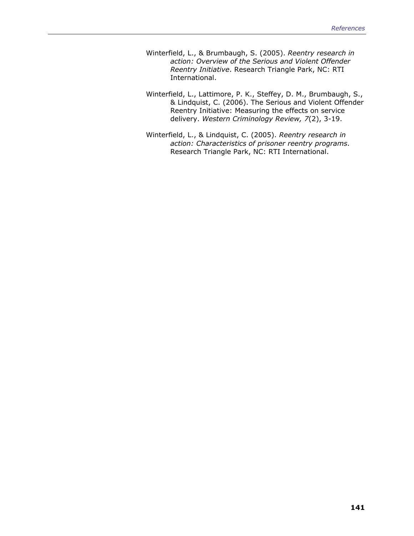- Winterfield, L., & Brumbaugh, S. (2005). *Reentry research in action: Overview of the Serious and Violent Offender Reentry Initiative*. Research Triangle Park, NC: RTI International.
- Winterfield, L., Lattimore, P. K., Steffey, D. M., Brumbaugh, S., & Lindquist, C. (2006). The Serious and Violent Offender Reentry Initiative: Measuring the effects on service delivery. *Western Criminology Review, 7*(2), 3-19.
- Winterfield, L., & Lindquist, C. (2005). *Reentry research in action: Characteristics of prisoner reentry programs*. Research Triangle Park, NC: RTI International.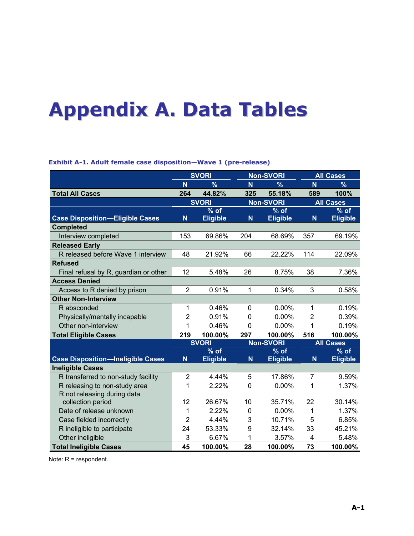# **Appendix A. Data Tables**

|                                          |                | <b>SVORI</b>    |                         | <b>Non-SVORI</b> |                | <b>All Cases</b> |
|------------------------------------------|----------------|-----------------|-------------------------|------------------|----------------|------------------|
|                                          | N              | $\frac{9}{6}$   | N.                      | $\frac{9}{6}$    | N              | $\%$             |
| <b>Total All Cases</b>                   | 264            | 44.82%          | 325                     | 55.18%           | 589            | 100%             |
|                                          |                | <b>SVORI</b>    |                         | <b>Non-SVORI</b> |                | <b>All Cases</b> |
|                                          |                | $%$ of          |                         | $%$ of           |                | $%$ of           |
| <b>Case Disposition-Eligible Cases</b>   | N              | <b>Eligible</b> | $\overline{\mathsf{N}}$ | <b>Eligible</b>  | $\mathsf{N}$   | <b>Eligible</b>  |
| <b>Completed</b>                         |                |                 |                         |                  |                |                  |
| Interview completed                      | 153            | 69.86%          | 204                     | 68.69%           | 357            | 69.19%           |
| <b>Released Early</b>                    |                |                 |                         |                  |                |                  |
| R released before Wave 1 interview       | 48             | 21.92%          | 66                      | 22.22%           | 114            | 22.09%           |
| <b>Refused</b>                           |                |                 |                         |                  |                |                  |
| Final refusal by R, guardian or other    | 12             | 5.48%           | 26                      | 8.75%            | 38             | 7.36%            |
| <b>Access Denied</b>                     |                |                 |                         |                  |                |                  |
| Access to R denied by prison             | $\overline{2}$ | 0.91%           | 1                       | 0.34%            | 3              | 0.58%            |
| <b>Other Non-Interview</b>               |                |                 |                         |                  |                |                  |
| R absconded                              | 1              | 0.46%           | $\mathbf 0$             | 0.00%            | $\mathbf{1}$   | 0.19%            |
| Physically/mentally incapable            | $\overline{2}$ | 0.91%           | $\overline{0}$          | 0.00%            | $\overline{2}$ | 0.39%            |
| Other non-interview                      | 1              | 0.46%           | $\overline{0}$          | 0.00%            | 1              | 0.19%            |
| <b>Total Eligible Cases</b>              | 219            | 100.00%         | 297                     | 100.00%          | 516            | 100.00%          |
|                                          |                | <b>SVORI</b>    |                         | <b>Non-SVORI</b> |                | <b>All Cases</b> |
|                                          |                | $%$ of          |                         | $%$ of           |                | $%$ of           |
| <b>Case Disposition-Ineligible Cases</b> | N              | <b>Eligible</b> | $\mathsf{N}$            | <b>Eligible</b>  | $\mathsf{N}$   | <b>Eligible</b>  |
| <b>Ineligible Cases</b>                  |                |                 |                         |                  |                |                  |
| R transferred to non-study facility      | $\overline{2}$ | 4.44%           | 5                       | 17.86%           | 7              | 9.59%            |
| R releasing to non-study area            | 1              | 2.22%           | $\mathbf 0$             | 0.00%            | 1              | 1.37%            |
| R not releasing during data              |                |                 |                         |                  |                |                  |
| collection period                        | 12             | 26.67%          | 10                      | 35.71%           | 22             | 30.14%           |
| Date of release unknown                  | 1              | 2.22%           | $\mathbf 0$             | 0.00%            | 1              | 1.37%            |
| Case fielded incorrectly                 | $\overline{2}$ | 4.44%           | 3                       | 10.71%           | 5              | 6.85%            |
| R ineligible to participate              | 24             | 53.33%          | 9                       | 32.14%           | 33             | 45.21%           |
| Other ineligible                         | 3              | 6.67%           | 1                       | 3.57%            | 4              | 5.48%            |
| <b>Total Ineligible Cases</b>            | 45             | 100.00%         | 28                      | 100.00%          | 73             | 100.00%          |

**Exhibit A-1. Adult female case disposition—Wave 1 (pre-release)** 

Note: R = respondent.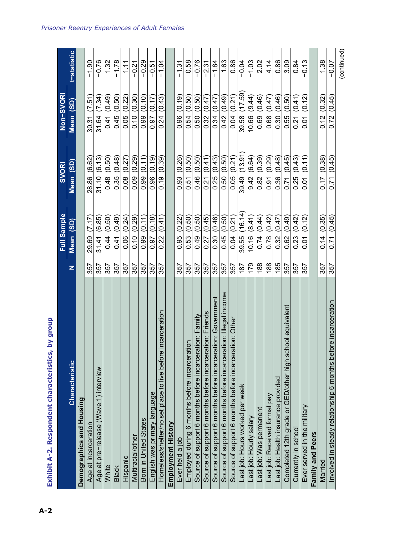|                                                                 |     | Full Sample      | <b>SVORI</b>        | Non-SVORI           |                    |
|-----------------------------------------------------------------|-----|------------------|---------------------|---------------------|--------------------|
| <b>Characteristic</b>                                           | z   | Mean (SD)        | (3D)<br><b>Mean</b> | (SD)<br><b>Mean</b> | <b>t-statistic</b> |
| Demographics and Housing                                        |     |                  |                     |                     |                    |
| Age at incarceration                                            | 357 | (7.17)<br>29.69  | (6.62)<br>28.86     | (7.51)<br>30.31     | $-1.90$            |
| Age at pre-release (Wave 1) interview                           | 357 | (6.85)<br>31.41  | (6.13)<br>31.10     | (7.34)<br>31.64     | $-0.76$            |
| White                                                           | 357 | (0.50)<br>0.44   | (0.50)<br>0.48      | (0.49)<br>0.41      | 1.32               |
| <b>Black</b>                                                    | 357 | (0.49)<br>0.41   | (0.48)<br>0.35      | (0.50)<br>0.45      | $-1.78$            |
| Hispanic                                                        | 357 | (0.24)<br>0.06   | (0.27)<br>0.08      | (0.22)<br>0.05      | 1.11               |
| Multiracial/other                                               | 357 | 0.10(0.29)       | (0.29)<br>0.09      | 0.10(0.30)          | $-0.21$            |
| Born in United States                                           | 357 | 0.99(0.11)       | (0.11)<br>0.99      | (0.10)<br>0.99      | $-0.29$            |
| English was primary language                                    | 357 | (0.18)<br>0.97   | (0.19)<br>0.96      | (0.17)<br>0.97      | $-0.51$            |
| Homeless/shelter/no set place to live before incarceration      | 357 | (0.41)<br>0.22   | (0.39)<br>0.19      | (0.43)<br>0.24      | $-1.04$            |
| Employment History                                              |     |                  |                     |                     |                    |
| Ever held a job                                                 | 357 | 0.95 (0.22)      | (0.26)<br>0.93      | 0.96(0.19)          | $-1.31$            |
| Employed during 6 months before incarceration                   | 357 | 0.53(0.50)       | (0.50)<br>0.51      | (0.50)<br>0.54      | 0.58               |
| Source of support 6 months before incarceration: Family         | 357 | (0.50)<br>0.49   | (0.50)<br>0.46      | (0.50)<br>0.50      | $-0.76$            |
| Source of support 6 months before incarceration: Friends        | 357 | (0.45)<br>0.27   | (0.41)<br>0.21      | (0.47)<br>0.32      | $-2.31$            |
| Source of support 6 months before incarceration: Government     | 357 | 0.30(0.46)       | (0.43)<br>0.25      | (0.47)<br>0.34      | $-1.84$            |
| Source of support 6 months before incarceration: Illegal income | 357 | 0.45 (0.50)      | (0.50)<br>0.50      | (0.49)<br>0.42      | 1.63               |
| Source of support 6 months before incarceration: Other          | 357 | 0.04(0.21)       | 0.05(0.21)          | 0.04 (0.21)         | 0.86               |
| Last job: Hours worked per week                                 | 187 | (16.14)<br>39.55 | (13.91)<br>39.49    | (17.59)<br>39.58    | $-0.04$            |
| Last job: Hourly salary                                         | 179 | (8.41)<br>10.16  | (6.64)<br>9.42      | (9.44)<br>10.66     | $-1.03$            |
| Last job: Was permanent                                         | 188 | (0.44)<br>0.74   | (0.39)<br>0.82      | (0.46)<br>0.69      | 2.02               |
| Last job: Received formal pay                                   | 188 | 0.78(0.42)       | (0.29)<br>0.91      | (0.47)<br>0.68      | 4.14               |
| Last job: Health insurance provided                             | 185 | 0.32(0.47)       | (0.48)<br>0.36      | 0.30 (0.46)         | 0.86               |
| chool equivalent<br>Completed 12th grade or GED/other high so   | 357 | (0.49)<br>0.62   | (0.45)<br>0.71      | (0.50)<br>0.55      | 3.09               |
| Currently in school                                             | 357 | (0.42)<br>0.23   | (0.43)<br>0.25      | (0.41)<br>0.21      | 0.84               |
| Ever served in the military                                     | 357 | (0.12)<br>0.01   | (0.11)<br>5<br>0.01 | (0.12)<br>5<br>0.01 | $-0.13$            |
| Family and Peers                                                |     |                  |                     |                     |                    |
| Married                                                         | 357 | (0.35)<br>0.14   | (0.38)<br>0.17      | (0.32)<br>0.12      | 1.38               |
| Involved in steady relationship 6 months before incarceration   | 357 | (0.45)<br>0.71   | (0.45)<br>0.71      | (0.45)<br>0.72      | $-0.07$            |
|                                                                 |     |                  |                     |                     | (continued)        |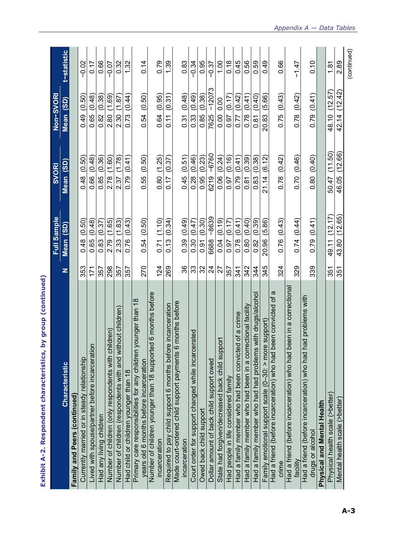|                                                                                                              |                | Full Sample      | <b>SVORI</b>     | Non-SVORI                 |                 |
|--------------------------------------------------------------------------------------------------------------|----------------|------------------|------------------|---------------------------|-----------------|
| Characteristic                                                                                               | z              | (3D)<br>Mean     | (3D)<br>Mean     | (3D)<br>Mean              | t-statistic     |
| Family and Peers (continued)                                                                                 |                |                  |                  |                           |                 |
| Currently married or in steady relationship                                                                  | 353            | (0.50)<br>0.48   | (0.50)<br>0.48   | (0.50)<br>0.49            | $-0.02$         |
| Lived with spouse/partner before incarceration                                                               | 171            | 0.65(0.48)       | (0.48)<br>0.66   | (0.48)<br>0.65            | 0.17            |
| Had any living children                                                                                      | 357            | 0.83(0.37)       | (0.36)<br>0.85   | (0.38)<br>0.82            | 0.66            |
| Number of children (only respondents with children)                                                          | 298            | (1.65)<br>2.79   | (1.60)<br>2.78   | (1.69)<br>2.80            | $-0.07$         |
| Number of children (respondents with and without children)                                                   | 357            | (1.83)<br>2.33   | (1.78)<br>237    | (1.87)<br>2.30            | 0.32            |
| Had child or children younger than 18                                                                        | 357            | (0.43)<br>0.76   | (0.41)<br>0.79   | $\overline{0.41}$<br>0.73 | 1.32            |
| younger than 18<br>Primary care responsibilities for any children<br>years old 6 months before incarceration | 270            | (0.50)<br>0.54   | (0.50)<br>0.55   | (0.50)<br>0.54            | 0.14            |
| ed 6 months before<br>Number of children younger than 18 support<br>incarceration                            | 124            | (1.10)<br>0.71   | 0.80 (1.25)      | (0.95)<br>0.64            | 0.79            |
| Required to pay child support 6 months before incarceration                                                  | 269            | (0.34)<br>0.13   | (0.37)<br>0.17   | (0.31)<br>0.11            | 1.39            |
| 6 months before<br>Made court-ordered child support payments<br>incarceration                                | 86             | 0.39(0.49)       | (0.51)<br>0.45   | (0.48)<br>0.31            | 0.83            |
| Court order for support changed while incarcerated                                                           | 33             | (0.47)<br>0.30   | (0.46)<br>0.28   | (0.49)<br>0.33            | $-0.34$         |
| Owed back child support                                                                                      | 32             | (0.30)<br>0.91   | (0.23)<br>0.95   | (0.38)<br>0.85            | 0.95            |
| Dollar amount of back child support owed                                                                     | $\overline{2}$ | $-8639$<br>6688  | $-6760$<br>6219  | $-12073$<br>7625          | $-0.37$         |
| State had forgiven/decreased back child support                                                              | 27             | (0.19)<br>0.04   | (0.24)<br>0.06   | 0.00<br>0.00              | 00 <sub>1</sub> |
| Had people in life considered family                                                                         | 357            | (0.17)<br>0.97   | (0.16)<br>0.97   | (0.17)<br>0.97            | 0.18            |
| Had a family member who had been convicted of a crime                                                        | 341            | (0.41)<br>0.78   | (0.41)<br>0.79   | (0.42)<br>0.77            | 0.45            |
| Had a family member who had been in a correctional facility                                                  | 342            | (0.40)<br>0.80   | (0.39)<br>0.81   | (0.41)<br>0.78            | 0.56            |
| Had a family member who had had problems with drugs/alcohol                                                  | 344            | (0.39)<br>0.82   | (0.38)<br>0.83   | (0.40)<br>0.81            | 0.59            |
| Family emotional support scale (0–30: > more support)                                                        | 345            | (5.86)<br>20.96  | (6.12)<br>21.14  | (5.66)<br>20.83           | 0.49            |
| $\omega$<br>Had a friend (before incarceration) who had been convicted of                                    |                |                  |                  |                           |                 |
| crime                                                                                                        | 324            | (0.43)<br>0.76   | (0.42)<br>0.78   | (0.43)<br>0.75            | 0.66            |
| been in a correctiona<br>Had a friend (before incarceration) who had<br>facility                             | 329            | (0.44)<br>0.74   | 0.70 (0.46)      | (0.42)<br>0.78            | $-1.47$         |
| had problems with<br>Had a friend (before incarceration) who had<br>drugs or alcohol                         | 339            | (0.41)<br>0.79   | 0.80(0.40)       | (0.41)<br>0.79            | 0.10            |
|                                                                                                              |                |                  |                  |                           |                 |
| Physical and Mental Health                                                                                   |                |                  |                  |                           |                 |
| Physical health scale (>better)                                                                              | 351            | (12.17)<br>49.11 | (11.50)<br>50.47 | (12.57)<br>48.10          | 1.81            |
| Mental health scale (>better)                                                                                | 351            | (12.65)<br>43.80 | (12.66)<br>46.05 | (12.42)<br>42.14          | 2.89            |
|                                                                                                              |                |                  |                  |                           | (continued)     |

**Exhibit A-2. Respondent characteristics, by group (continued)**  Exhibit A-2. Respondent characteristics, by group (continued)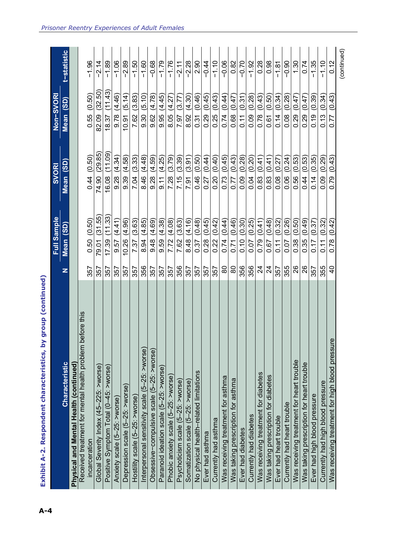|                                                          |                | Full Sample                  | <b>SVORI</b>         | Non-SVORI        |             |
|----------------------------------------------------------|----------------|------------------------------|----------------------|------------------|-------------|
| <b>Characteristic</b>                                    | z              | Mean (SD)                    | Mean <sub>(SD)</sub> | Mean (SD)        | t-statistic |
| Physical and Mental Health (continued)                   |                |                              |                      |                  |             |
| Received treatment for mental health problem before this |                |                              |                      |                  |             |
| incarceration                                            | 357            | (0.50)<br>0.50               | 0.44(0.50)           | (0.50)<br>0.55   | $-1.96$     |
| Global Severity Index (45-225: >worse)                   | 357            | (31.55)<br>79.01             | (29.85<br>74.90      | (32.50)<br>82.09 | $-2.14$     |
| Positive Symptom Total (0-45: >worse)                    | 357            | 33)<br>$\overline{1}$<br>.39 | (11.09)<br>6.08      | (11.43)<br>18.37 | 89          |
| Anxiety scale (5-25: >worse)                             | 357            | (4.41)<br>57<br>တ            | (4.34)<br>9.28       | (4.46)<br>9.78   | $-1.06$     |
| Depression scale (5-25: >worse)                          | 357            | (4.96)<br>10.26              | (4.58)<br>9.39       | (5.14)<br>10.91  | $-2.89$     |
| Hostility scale (5-25: >worse)                           | 357            | (3.63)<br>7.37               | (3.33)<br>7.04       | (3.83)<br>7.62   | $-1.50$     |
| Interpersonal sensitivity scale (5-25: >worse)           | 356            | (4.85)<br>8.94               | 8.46 (4.48)          | (5.10)<br>9.30   | $-1.60$     |
| Obsessive-compulsive scale (5-25: >worse)                | 357            | (4.69)<br>9.48               | (4.59)<br>9.28       | (4.78)<br>9.62   | $-0.68$     |
| Paranoid ideation scale (5-25: >worse)                   | 357            | (4.38)<br>9.59               | (4.25)<br>$-6.11$    | (4.45)<br>9.95   | $-1.79$     |
| Phobic anxiety scale (5-25: >worse)                      | 357            | (4.08)<br>7.72               | (3.79)<br>7.28       | (4.27)<br>8.05   | $-1.76$     |
| Psychoticism scale (5-25: >worse)                        | 356            | (3.63)<br>7.62               | (3.39)<br>7.15       | (3.77)<br>7.97   | $-2.11$     |
| Somatization scale (5-25: >worse)                        | 357            | (4.16)<br>8.48               | (3.91)<br>7.91       | (4.30)<br>8.92   | $-2.28$     |
| No physical health-related limitations                   | 357            | (0.48)<br>0.37               | (0.50)<br>0.46       | (0.46)<br>0.31   | 2.90        |
| Ever had asthma                                          | 357            | (0.45)<br>0.28               | (0.44)<br>0.27       | (0.45)<br>0.29   | $-0.44$     |
| Currently had asthma                                     | 357            | (0.42)<br>0.22               | (0.40)<br>0.20       | (0.43)<br>0.25   | $-1.10$     |
| Was receiving treatment for asthma                       | 80             | (0.44)<br>0.74               | 0.73(0.45)           | (0.44)<br>0.74   | $-0.06$     |
| Was taking prescription for asthma                       | 8              | (0.46)<br>0.71               | (0.43)<br>0.77       | (0.47)<br>0.68   | 0.82        |
| Ever had diabetes                                        | 356            | (0.30)<br>0.10               | (0.28)<br>0.09       | (0.31)<br>0.11   | $-0.70$     |
| Currently had diabetes                                   | 356            | (0.25)<br>0.07               | (0.20)<br>0.04       | (0.28)<br>0.09   | $-1.92$     |
| Was receiving treatment for diabetes                     | $\overline{z}$ | (0.41)<br>0.79               | (0.41)<br>0.83       | (0.43)<br>0.78   | 0.28        |
| Was taking prescription for diabetes                     | $\overline{2}$ | (0.48)<br>0.67               | (0.41)<br>0.83       | (0.50)<br>0.61   | 0.98        |
| Ever had heart trouble                                   | 357            | (0.32)<br>0.11               | (0.27)<br>0.08       | (0.34)<br>0.14   | $-1.81$     |
| Currently had heart trouble                              | 355            | (0.26)<br>0.07               | (0.24)<br>0.06       | (0.28)<br>0.08   | $-0.90$     |
| Was receiving treatment for heart trouble                | 26             | (0.50)<br>0.38               | (0.53)<br>0.56       | (0.47)<br>0.29   | 1.30        |
| Was taking prescription for heart trouble                | 26             | (0.49)<br>0.35               | (0.53)<br>0.44       | (0.47)<br>0.29   | 0.74        |
| Ever had high blood pressure                             | 357            | (0.37)<br>0.17               | (0.35)<br>0.14       | (0.39)<br>0.19   | $-1.35$     |
| Currently had high blood pressure                        | 355            | (0.32)<br>0.11               | (0.29)<br>0.09       | (0.34)<br>0.13   | $-1.10$     |
| Was receiving treatment for high blood pressure          | $\overline{6}$ | (0.42)<br>0.78               | (0.43)<br>0.79       | (0.43)<br>0.77   | 0.12        |
|                                                          |                |                              |                      |                  | (continued) |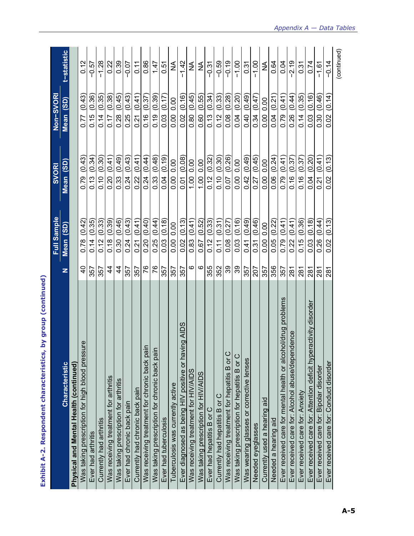|                                                                                                |                | Full Sample            | SVORI                              | Non-SVORI                          |             |
|------------------------------------------------------------------------------------------------|----------------|------------------------|------------------------------------|------------------------------------|-------------|
| Characteristic                                                                                 | z              | (35)<br>Mean           | $\overline{\textbf{(3D)}}$<br>Mean | $\overline{\textbf{(3D)}}$<br>Mean | t-statistic |
| Physical and Mental Health (continued)                                                         |                |                        |                                    |                                    |             |
| Was taking prescription for high blood pressure                                                | $\overline{4}$ | (0.42)<br>0.78         | (0.43)<br>0.79                     | (0.43)<br>0.77                     | 0.12        |
| Ever had arthritis                                                                             | 357            | 0.14(0.35)             | (0.34)<br>0.13                     | (0.36)<br>0.15                     | $-0.57$     |
| Currently had arthritis                                                                        | 357            | (0.33)<br>0.12         | (0.30)<br>0.10                     | (0.35)<br>0.14                     | $-1.28$     |
| Was receiving treatment for arthritis                                                          | 4              | (0.39)<br>0.18         | (0.41)<br>0.20                     | (0.38)<br>0.17                     | 0.22        |
| Was taking prescription for arthritis                                                          | 4              | 0.30 (0.46)            | (0.49)<br>0.33                     | (0.45)<br>0.28                     | 0.39        |
| Ever had chronic back pain                                                                     | 357            | (0.43)<br>0.24         | (0.43)<br>0.24                     | (0.43)<br>0.25                     | 0.07        |
| Currently had chronic back pain                                                                | 357            | (0.41)<br>0.21         | (0.41)<br>$\frac{22}{2}$           | (0.41)<br>0.21                     | 0.11        |
|                                                                                                | 97             | 0.20(0.40)             | (0.44)<br>0.24                     | (0.37)<br>0.16                     | 0.86        |
| Was receiving treatment for chronic back pain<br>Was taking prescription for chronic back pain | 76             | 0.25(0.44)             | (0.48)<br>0.33                     | (0.39)<br>0.19                     | 1.47        |
| Ever had tuberculosis                                                                          | 357            | (0.18)<br>0.03         | (0.19)<br>0.04                     | (0.17)<br>0.03                     | 0.51        |
| Tuberculosis was currently active                                                              | 357            | 0.00<br>0.00           | 0.00<br>$\frac{0.00}{\pi}$         | 0.00<br>0.00                       | ≨           |
| Ever diagnosed as being HIV positive or having AIDS                                            | 357            | 0.02(0.13)             | (0.08)<br>0.01                     | (0.16)<br>0.02                     | $-1.42$     |
| Was receiving treatment for HIV/AIDS                                                           | ဖ              | (0.41)<br>0.83         | 0.00<br>00.1                       | (0.45)<br>0.80                     | ≨           |
| Was taking prescription for HIV/AIDS                                                           | ဖ              | (0.52)<br>0.67         | 0.00<br>$\frac{100}{1}$            | (0.55)<br>$\overline{0.60}$        | ≨           |
| Ever had hepatitis B or C                                                                      | 355            | 0.12(0.33)             | (0.32)<br>0.12                     | 0.13(0.34)                         | $-0.31$     |
| Currently had hepatitis B or C                                                                 | 352            | (0.31)<br>0.11         | (0.30)<br>0.10                     | (0.33)<br>0.12                     | $-0.59$     |
| Was receiving treatment for hepatitis B or C                                                   | 39             | (0.27)<br>0.08         | (0.26)<br>0.07                     | (0.28)<br>0.08                     | $-0.19$     |
| Was taking prescription for hepatitis B or C                                                   | 39             | $0.03$ $(0.16)$        | 0.00<br>0.00                       | (0.20)<br>0.04                     | $-1.00$     |
| Was wearing glasses or corrective lenses                                                       | 357            | (0.49)<br>0.41         | (0.49)<br>0.42                     | (0.49)<br>0.40                     | 0.31        |
| Needed eyeglasses                                                                              | 207            | (0.46)<br>0.31         | (0.45)<br>0.27                     | (0.47)<br>0.34                     | $-1.00$     |
| Currently used a hearing aid                                                                   | 357            | 0.00<br>$\frac{8}{10}$ | 0.00<br>0.00                       | $\frac{0}{0}$<br>0.00              | ≨           |
| Needed a hearing aid                                                                           | 356            | (0.22)<br>0.05         | (0.24)<br>0.06                     | (0.21)<br>0.04                     | 0.64        |
| Ever received care for mental health or alcohol/drug problems                                  | 357            | (0.41)<br>0.79         | (0.41)<br>0.79                     | (0.41)<br>0.79                     | 0.04        |
| Ever received care for: Alcohol abuse/dependence                                               | 281            | (0.41)<br>0.22         | (0.37)<br>0.16                     | (0.44)<br>0.26                     | $-2.19$     |
| Ever received care for: Anxiety                                                                | 281            | 0.15(0.36)             | (0.37)<br>0.16                     | (0.35)<br>0.14                     | 0.31        |
| Ever received care for: Attention deficit hyperactivity disorder                               | 281            | (0.18)<br>0.03         | (0.20)<br>0.04                     | (0.16)<br>0.03                     | 0.74        |
| Ever received care for: Bipolar disorder                                                       | 281            | (0.44)<br>0.26         | (0.41)<br>0.21                     | (0.46)<br>0.30                     | $-1.61$     |
| Ever received care for: Conduct disorder                                                       | 281            | (0.13)<br>0.02         | (0.13)<br>0.02                     | (0.14)<br>0.02                     | $-0.14$     |
|                                                                                                |                |                        |                                    |                                    | (continued) |

**Exhibit A-2. Respondent characteristics, by group (continued)**  Exhibit A-2. Respondent characteristics, by group (continued)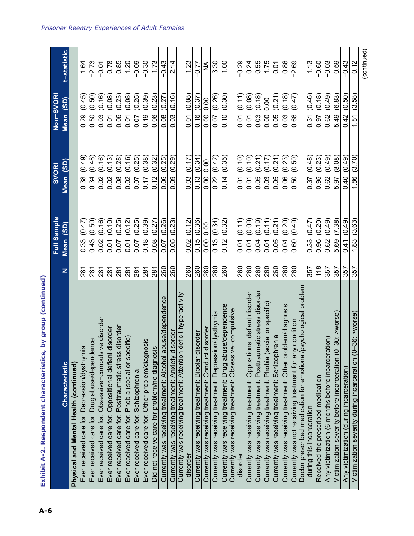| А-6                                                                                                                                                                              |                | <b>Sample</b><br>Ē                        | <b>SVOR</b>    | Non-SVORI                          |                    |
|----------------------------------------------------------------------------------------------------------------------------------------------------------------------------------|----------------|-------------------------------------------|----------------|------------------------------------|--------------------|
| Characteristic                                                                                                                                                                   | z              | $\overline{\textbf{(3D)}}$<br><b>Mean</b> | (3D)<br>Mean   | $\overline{\textbf{(3D)}}$<br>Mean | <b>:-statistic</b> |
| Physical and Mental Health (continued)                                                                                                                                           |                |                                           |                |                                    |                    |
| $\overline{\omega}$<br>Ever received care for: Depression/dysthym                                                                                                                | 281            | (0.47)<br>0.33                            | (0.49)<br>0.38 | (0.45)<br>0.29                     | 1.64               |
| Ever received care for: Drug abuse/dependence                                                                                                                                    | 281            | (0.50)<br>0.43                            | (0.48)<br>0.34 | (0.50)<br>0.50                     | $-2.73$            |
| Ever received care for: Obsessive-compulsive disorder                                                                                                                            | 281            | (0.16)<br>0.02                            | (0.16)<br>0.02 | (0.16)<br>0.03                     | $-0.01$            |
| disorder<br>Ever received care for: Oppositional defiant                                                                                                                         | 281            | (0.10)<br>0.01                            | (0.13)<br>0.02 | (0.08)<br>0.01                     | 0.78               |
| i disorder<br>Ever received care for: Posttraumatic stress                                                                                                                       | $\frac{28}{1}$ | (0.25)<br>0.07                            | (0.28)<br>0.08 | (0.23)<br>0.06                     | 0.85               |
| Ever received care for: Phobia (social or specific)                                                                                                                              | 281            | (0.12)<br>0.01                            | (0.16)<br>0.02 | (0.08)<br>0.01                     | 1.20               |
| Ever received care for: Schizophrenia                                                                                                                                            | 281            | (0.25)<br>0.07                            | (0.25)<br>0.07 | (0.25)<br>0.07                     | $-0.09$            |
| Ever received care for: Other problem/diagnosis                                                                                                                                  | 281            | (0.39)<br>0.18                            | (0.38)<br>0.17 | (0.39)<br>0.19                     | $-0.30$            |
| Did not receive care for problem/no diagnosis                                                                                                                                    | 281            | (0.27)<br>0.08                            | (0.32)<br>0.12 | (0.23)<br>0.06                     | 1.73               |
|                                                                                                                                                                                  | 260            | 0.07 (0.26)                               | (0.25)<br>0.06 | (0.27)<br>0.08                     | $-0.43$            |
|                                                                                                                                                                                  | 260            | (0.23)<br>0.05                            | (0.29)<br>0.09 | (0.16)<br>0.03                     | 2.14               |
| Currently was receiving uccurrent. Anxiety disorder<br>Currently was receiving treatment: Anxiety disorder<br>Currently was receiving treatment: Attention deficit hyperactivity |                |                                           |                |                                    |                    |
| disorder                                                                                                                                                                         | 260            | 0.02(0.12)                                | (0.17)<br>0.03 | (0.08)<br>0.01                     | 1.23               |
| Currently was receiving treatment: Bipolar disorder                                                                                                                              | 260            | (0.36)<br>0.15                            | (0.34)<br>0.13 | (0.37)<br>0.16                     | $-0.77$            |
| disorder<br>Currently was receiving treatment: Conduct                                                                                                                           | 260            | 0.00<br>0.00                              | 0.00<br>0.00   | 0.00<br>0.00                       | ≨                  |
| Currently was receiving treatment: Depression/dysthymia                                                                                                                          | 260            | (0.34)<br>0.13                            | (0.42)<br>0.22 | (0.26)<br>0.07                     | 3.30               |
| Currently was receiving treatment: Drug abuse/dependence<br>Currently was receiving treatment: Obsessive-compulsive                                                              | 260            | (0.32)<br>0.12                            | (0.35)<br>0.14 | (0.30)<br>0.10                     | 00.1               |
| disorder                                                                                                                                                                         | 260            | 0.01(0.11)                                | 0.01(0.10)     | (0.11)<br>0.01                     | 0.29               |
| Currently was receiving treatment: Oppositional defiant disorder                                                                                                                 | 260            | (0.09)<br>0.01                            | (0.10)<br>0.01 | (0.08)<br>0.07                     | 0.24               |
| Currently was receiving treatment: Posttraumatic stress disorder                                                                                                                 | 260            | (0.19)<br>0.04                            | (0.21)<br>0.05 | (0.18)<br>0.03                     | 0.55               |
| Currently was receiving treatment: Phobia (social or specific)                                                                                                                   | 260            | (0.11)<br>0.01                            | İ<br>ë<br>0.03 | 0.00<br>0.00                       | 1.75               |
| Currently was receiving treatment: Schizophrenia                                                                                                                                 | 260            | (0.21)<br>0.05                            | (0.21)<br>0.05 | (0.21)<br>0.05                     | 0.01               |
| Currently was receiving treatment: Other problem/diagnosis                                                                                                                       | 260            | $\overline{20}$<br>ë<br>0.04              | (0.23)<br>0.06 | (0.18)<br>0.03                     | 0.86               |
| Currently was not receiving treatment for any condition                                                                                                                          | 260            | (0.49)<br>0.60                            | (0.50)<br>0.50 | (0.47)<br>0.66                     | $-2.69$            |
| Doctor prescribed medication for emotional/psychological problem<br>during this incarceration                                                                                    | 357            | 0.33(0.47)                                | (0.48)<br>0.37 | (0.46)<br>0.31                     | 1.13               |
| Received the prescribed medication                                                                                                                                               | 118            | 0.96(0.20)                                | (0.23)<br>0.95 | (0.18)<br>0.97                     | $-0.60$            |
| Any victimization (6 months before incarceration                                                                                                                                 | 357            | (0.49)<br>0.62                            | (0.49)<br>0.62 | (0.49)<br>0.62                     | $-0.03$            |
| >worse<br>$-30$ :<br>Victimization severity before incarceration (C                                                                                                              | 357            | (7.38)<br>5.69                            | (8.08)<br>5.97 | (6.83)<br>5.49                     | 0.59               |
| Any victimization (during incarceration)                                                                                                                                         | 357            | (0.49)<br>0.41                            | (0.49)<br>0.40 | (0.50)<br>0.42                     | $-0.43$            |
| $-36$ : $>$ worse)<br>Victimization severity during incarceration (0                                                                                                             | 357            | (3.63)<br>1.83                            | (3.70)<br>1.86 | (3.58)<br>1.81                     | 0.12               |
|                                                                                                                                                                                  |                |                                           |                |                                    | (continued)        |

Exhibit A-2. Respondent characteristics, by group (continued)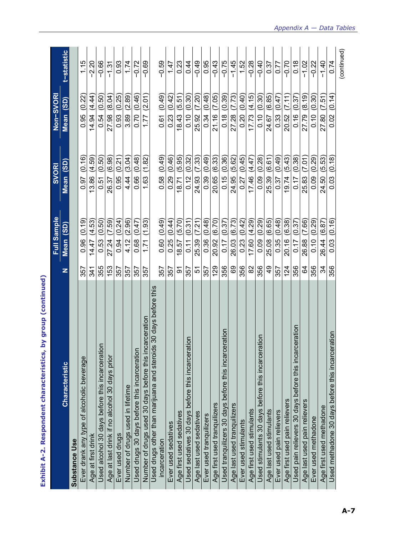|                                                                                   |                 | Full Sample         | <b>SVORI</b>    | Non-SVORI       |                    |
|-----------------------------------------------------------------------------------|-----------------|---------------------|-----------------|-----------------|--------------------|
| <b>Characteristic</b>                                                             | z               | (3D)<br><b>Mean</b> | Mean (SD)       | Mean (SD)       | <b>t-statistic</b> |
| <b>Substance Use</b>                                                              |                 |                     |                 |                 |                    |
| Ever drank any type of alcoholic beverage                                         | 357             | (0.19)<br>0.96      | (0.16)<br>0.97  | (0.22)<br>0.95  | 1.15               |
| Age at first drink                                                                | 341             | (4.53)<br>14.47     | (4.59)<br>3.86  | (4.44)<br>14.94 | $-2.20$            |
| Used alcohol 30 days before this incarceration                                    | 355             | (0.50)<br>0.53      | (0.50)<br>0.51  | (0.50)<br>0.54  | $-0.66$            |
| Age at last drink if no alcohol 30 days prior                                     | 153             | (7.59)<br>27.24     | (6.98)<br>26.37 | (8.04)<br>27.98 | $-1.31$            |
| Ever used drugs                                                                   | 357             | (0.24)<br>0.94      | (0.21)<br>0.95  | (0.25)<br>0.93  | 0.93               |
| Number of drugs used in lifetime                                                  | 357             | (2.96)<br>4.12      | (3.04)<br>4.44  | (2.89)<br>3.89  | 1.74               |
| Used drugs 30 days before this incarceration                                      | 357             | (0.47)<br>0.68      | (0.48)<br>0.66  | (0.46)<br>0.70  | $-0.72$            |
| Number of drugs used 30 days before this incarceration                            | 357             | (1.93)<br>1.71      | (1.82)<br>1.63  | (2.01)<br>1.77  | $-0.69$            |
| Used drugs other than marijuana and steroids 30 days before this<br>incarceration | 357             | (0.49)<br>0.60      | (0.49)<br>0.58  | (0.49)<br>0.61  | $-0.59$            |
| Ever used sedatives                                                               | 357             | 0.25(0.44)          | (0.46)<br>0.29  | 0.23(0.42)      | 1.47               |
| Age first used sedatives                                                          | 5               | 8.57 (5.70          | (5.95)<br>8.71  | (5.51)<br>8.43  | 0.23               |
| noita<br>Used sedatives 30 days before this incarcer                              | 357             | (0.31)<br>0.11      | (0.32)<br>0.12  | (0.30)<br>0.10  | 0.44               |
| Age last used sedatives                                                           | 인               | (7.21)<br>25.39     | (7.33)<br>24.93 | (7.20)<br>25.92 | $-0.49$            |
| Ever used tranquilizers                                                           | 357             | (0.48)<br>0.36      | (0.49)<br>0.39  | (0.48)<br>0.34  | 0.95               |
| Age first used tranquilizers                                                      | 129             | 20.92 (6.70)        | (6.33)<br>20.65 | (7.05)<br>21.16 | $-0.43$            |
| Used tranquilizers 30 days before this incarceration                              | 356             | (0.37)<br>0.17      | (0.36)<br>0.15  | (0.39)<br>0.18  | $-0.75$            |
| Age last used tranquilizers                                                       | 69              | (6.73)<br>26.03     | (5.62)<br>24.95 | (7.73)<br>27.28 | $-1.45$            |
| Ever used stimulants                                                              | 356             | $0.23$ $(0.42)$     | (0.45)<br>0.27  | 0.20(0.40)      | 1.52               |
| Age first used stimulants                                                         | 8               | 17.60 (4.29)        | (4.47)<br>17.46 | (4.15)<br>17.73 | $-0.28$            |
| ration<br>Used stimulants 30 days before this incarcer                            | 356             | 0.09(0.29)          | (0.28)<br>0.09  | (0.30)<br>0.10  | $-0.40$            |
| Age last used stimulants                                                          | $\overline{49}$ | (6.65)<br>25.08     | (6.61)<br>25.39 | (6.85)<br>24.67 | 0.37               |
| Ever used pain relievers                                                          | 357             | (0.48)<br>0.35      | (0.49)<br>0.37  | (0.47)<br>0.33  | 0.77               |
| Age first used pain relievers                                                     | 124             | 20.16 (6.38)        | (5.43)<br>19.74 | (7.11)<br>20.52 | $-0.70$            |
| Used pain relievers 30 days before this incarceration                             | 356             | (0.37)<br>0.17      | (0.38)<br>0.17  | (0.37)<br>0.16  | 0.18               |
| Age last used pain relievers                                                      | 3               | (7.66)<br>26.88     | (7.01)<br>25.83 | (8.19)<br>27.79 | $-1.02$            |
| Ever used methadone                                                               | 356             | (0.29)<br>0.10      | (0.29)<br>0.09  | (0.30)<br>0.10  | $-0.22$            |
| Age first used methadone                                                          | ಸ               | (6.87)<br>26.44     | (5.53)<br>24.50 | (7.51)<br>27.80 | $-1.40$            |
| Used methadone 30 days before this incarceration                                  | 356             | (0.16)<br>0.03      | (0.18)<br>0.03  | (0.14)<br>0.02  | 0.74               |
|                                                                                   |                 |                     |                 |                 | (continued)        |

Exhibit A-2. Respondent characteristics, by group (continued) **Exhibit A-2. Respondent characteristics, by group (continued)**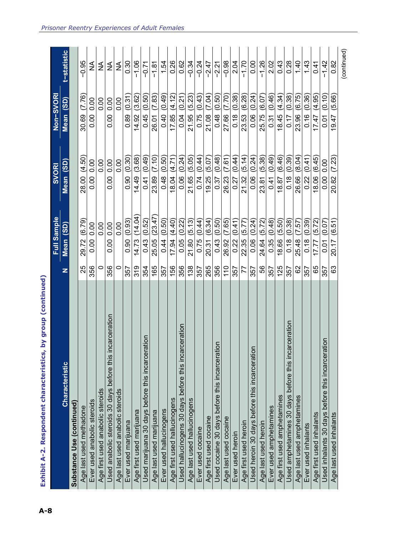|                                                              |     | Full Sample      | <b>SVORI</b>    | Non-SVORI             |             |
|--------------------------------------------------------------|-----|------------------|-----------------|-----------------------|-------------|
| Characteristic                                               | z   | Mean (SD)        | Mean (SD)       | Mean (SD)             | t-statistic |
| Substance Use (continued)                                    |     |                  |                 |                       |             |
| Age last used methadone                                      | 25  | (6.79)<br>29.72  | (4.50)<br>28.00 | (7.76)<br>30.69       | $-0.95$     |
| Ever used anabolic steroids                                  | 356 | 0.00<br>0.00     | 0.00<br>0.00    | 0.00<br>0.00          | ≨           |
| Age first used anabolic steroids                             | 0   | 0.00             | 0.00            | 0.00                  | ≨           |
| carceration<br>Used anabolic steroids 30 days before this in | 356 | 0.00<br>0.00     | 0.00<br>0.00    | $\frac{0}{0}$<br>0.00 | ≨           |
| Age last used anabolic steroids                              | 0   | 0.00             | 0.00            | 0.00                  | ≨           |
| Ever used marijuana                                          | 357 | (0.93)<br>0.90   | (0.30)<br>0.90  | (0.31)<br>0.89        | 0.30        |
| Age first used marijuana                                     | 319 | (14.04)<br>14.73 | (3.68)<br>14.49 | (3.62)<br>14.92       | $-1.06$     |
| Used marijuana 30 days before this incarceration             | 354 | (0.52)<br>0.43   | (0.49)<br>0.41  | (0.50)<br>0.45        | $-0.71$     |
| Age last used marijuana                                      | 165 | (23.47)<br>25.05 | (7.10)<br>23.89 | (7.83)<br>26.01       | $-1.81$     |
| Ever used hallucinogens                                      | 357 | (0.50)<br>0.44   | (0.50)<br>0.48  | (0.49)<br>0.40        | 1.54        |
| Age first used hallucinogens                                 | 156 | 17.94(4.40)      | 18.04 (4.71)    | 17.85(4.12)           | 0.26        |
| ceration<br>Jsed hallucinogens 30 days before this incar     | 356 | (0.22)<br>0.05   | 0.06(0.24)      | $0.04$ $(0.21)$       | 0.62        |
| Age last used hallucinogens                                  | 138 | (5.13)<br>21.80  | (5.05)<br>21.65 | (5.23)<br>21.95       | $-0.34$     |
| Ever used cocaine                                            | 357 | (0.44)<br>0.75   | (0.44)<br>0.74  | (0.43)<br>0.75        | $-0.24$     |
| Age first used cocaine                                       | 265 | (6.34)<br>20.31  | (5.07)<br>19.25 | (7.04)<br>21.08       | $-2.47$     |
| Used cocaine 30 days before this incarceration               | 356 | (0.50)<br>0.43   | (0.48)<br>0.37  | 0.48(0.50)            | $-2.21$     |
| Age last used cocaine                                        | 110 | (7.65)<br>26.92  | 26.23 (7.61)    | 27.66 (7.70)          | $-0.98$     |
| Ever used heroin                                             | 357 | (0.41)<br>0.22   | 0.27(0.44)      | 0.18(0.38)            | 2.04        |
| Age first used heroin                                        | 77  | (5.77)<br>22.35  | (5.14)<br>21.32 | 23.53 (6.28)          | $-1.70$     |
| Used heroin 30 days before this incarceration                | 357 | (0.24)<br>0.06   | (0.24)<br>0.06  | (0.24)<br>0.06        | 0.00        |
| Age last used heroin                                         | 56  | (5.72)<br>24.64  | (5.38)<br>23.81 | (6.07)<br>25.75       | $-1.26$     |
| Ever used amphetamines                                       | 357 | (0.48)<br>0.35   | (0.49)<br>0.41  | (0.46)<br>0.31        | 2.02        |
| Age first used amphetamines                                  | 125 | (5.50)<br>18.66  | (6.46)<br>18.87 | (4.34)<br>18.45       | 0.43        |
| Used amphetamines 30 days before this incarceration          | 357 | (0.38)<br>0.18   | (0.39)<br>0.18  | (0.38)<br>0.17        | 0.28        |
| Age last used amphetamines                                   | 82  | (7.57)<br>25.48  | (8.04)<br>26.66 | (6.75)<br>23.96       | 1.40        |
| Ever used inhalants                                          | 357 | (0.39)<br>0.18   | (0.41)<br>0.22  | (0.36)<br>0.16        | 1.43        |
| Age first used inhalants                                     | 65  | (5.72)<br>17.77  | (6.45)<br>18.06 | (4.95)<br>17.47       | 0.41        |
| Used inhalants 30 days before this incarceration             | 357 | 0.07<br>0.01     | 0.00 0.00       | (0.10)<br>ნ<br>0.0    | $-1.42$     |
| Age last used inhalants                                      | 63  | (6.51)<br>20.17  | (7.23)<br>20.82 | 19.47 (5.66)          | 0.82        |
|                                                              |     |                  |                 |                       | (continued) |

Exhibit A-2. Respondent characteristics, by group (continued)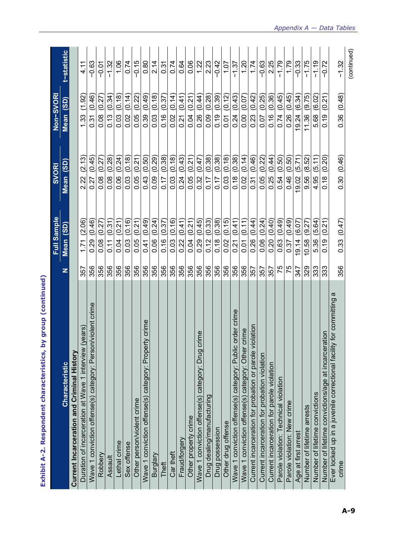| <b>Characteristic</b>                                                                                                                  | z   | <b>Full Sample</b><br>(SD)<br>Mean | $\overline{\textbf{(3D)}}$<br><b>SVORI</b><br>Mean | Non-SVORI<br>(3D)<br>Mean | t-statistic |
|----------------------------------------------------------------------------------------------------------------------------------------|-----|------------------------------------|----------------------------------------------------|---------------------------|-------------|
| Current Incarceration and Criminal History                                                                                             |     |                                    |                                                    |                           |             |
| Duration of incarceration at Wave 1 interview (years)                                                                                  | 357 | (2.06)<br>1.71                     | (2.13)<br>2.22                                     | (1.92)<br>1.33            | 4.11        |
| Wave 1 conviction offense(s) category: Person/violent crime                                                                            | 356 | (0.46)<br>0.29                     | (0.45)<br>0.27                                     | (0.46)<br>0.31            | $-0.63$     |
| Robbery                                                                                                                                | 356 | (0.27)<br>0.08                     | 0.08 (0.27)                                        | (0.27)<br>0.08            | $-0.01$     |
| Assault                                                                                                                                | 356 | (0.31)<br>0.11                     | (0.28)<br>0.08                                     | (0.34)<br>0.13            | $-1.32$     |
| Lethal crime                                                                                                                           | 356 | (0.21)<br>0.04                     | (0.24)<br>0.06                                     | (0.18)<br>0.03            | 1.06        |
| Sex offense                                                                                                                            | 356 | (0.16)<br>0.03                     | (0.18)<br>0.03                                     | (0.14)<br>0.02            | 0.74        |
| Other person/violent crime                                                                                                             | 356 | (0.21)<br>0.05                     | (0.21)<br>0.05                                     | (0.22)<br>0.05            | $-0.15$     |
| Wave 1 conviction offense(s) category: Property crime                                                                                  | 356 | (0.49)<br>0.41                     | (0.50)<br>0.43                                     | (0.49)<br>0.39            | 0.80        |
| Burglary                                                                                                                               | 356 | (0.24)<br>0.06                     | (0.29)<br>0.09                                     | (0.18)<br>0.03            | 2.14        |
| Theft                                                                                                                                  | 356 | (0.37)<br>0.16                     | (0.38)<br>0.17                                     | (0.37)<br>0.16            | 0.31        |
| Car theft                                                                                                                              | 356 | (0.16)<br>0.03                     | (0.18)<br>0.03                                     | (0.14)<br>0.02            | 0.74        |
| Fraud/forgery                                                                                                                          | 356 | (0.41)<br>0.22                     | (0.43)<br>0.24                                     | (0.41)<br>0.21            | 0.64        |
| Other property crime                                                                                                                   | 356 | (0.21)<br>0.04                     | (0.21)<br>0.05                                     | (0.21)<br>0.04            | 0.06        |
| crime<br>Wave 1 conviction offense(s) category: Drug                                                                                   | 356 | (0.45)<br>0.29                     | (0.47)<br>0.32                                     | (0.44)<br>0.26            | 1.22        |
| Drug dealing/manufacturing                                                                                                             | 356 | (0.33)<br>0.12                     | (0.38)<br>0.17                                     | (0.28)<br>0.09            | 2.23        |
| Drug possession                                                                                                                        | 356 | (0.38)<br>0.18                     | (0.38)<br>0.17                                     | (0.39)<br>0.19            | $-0.42$     |
| Other drug offense                                                                                                                     | 356 | (0.15)<br>0.02                     | (0.18)<br>0.03                                     | (0.12)<br>$\overline{0}$  | 1.07        |
| c order crime<br>Wave 1 conviction offense(s) category: Publi                                                                          | 356 | (0.41)<br>0.21                     | (0.38)<br>0.18                                     | (0.43)<br>0.24            | $-1.37$     |
| Wave 1 conviction offense(s) category: Other crime                                                                                     | 356 | (0.11)<br><b>PO</b>                | (0.14)<br>0.02                                     | (0.07)<br>0.00            | 1.20        |
| Current incarceration for probation or parole violation                                                                                | 357 | (0.44)<br>0.26                     | (0.46)<br>0.31                                     | (0.42)<br>0.23            | 1.74        |
| Current incarceration for probation violation                                                                                          | 357 | (0.24)<br>0.06                     | (0.22)<br>0.05                                     | (0.25)<br>0.07            | $-0.63$     |
| Current incarceration for parole violation                                                                                             | 357 | (0.40)<br>0.20                     | (0.44)<br>0.25                                     | (0.36)<br>0.16            | 2.25        |
| Parole violation: Technical violation                                                                                                  | 75  | (0.49)<br>0.63                     | (0.50)<br>0.54                                     | (0.45)<br>0.74            | $-1.79$     |
| Parole violation: New crime                                                                                                            | 75  | (0.49)<br>0.37                     | (0.50)<br>0.46                                     | (0.45)<br>0.26            | 1.79        |
| Age at first arrest                                                                                                                    | 247 | (6.07)<br>19.14                    | (5.71)<br>9.02                                     | (6.34)<br>19.24           | $-0.33$     |
| Number of lifetime arrests                                                                                                             | 329 | (9.27)<br>10.58                    | (8.52)<br>9.56                                     | (9.75)<br>11.36           | $-1.75$     |
| Number of lifetime convictions                                                                                                         | 333 | (5.64)<br>5.36                     | (5.11)<br>4.95                                     | (6.02)<br>5.68            | $-1.19$     |
|                                                                                                                                        | 333 | (0.21)<br>0.19                     | (0.20)<br>0.18                                     | (0.21)<br>0.19            | $-0.72$     |
| σ<br>Number of lifetime convictions/age at incarceration<br>Ever locked up in a juvenile correctional facility for committing<br>crime | 356 | 0.33(0.47)                         | 0.30 (0.46)                                        | 0.36(0.48)                | $-1.32$     |
|                                                                                                                                        |     |                                    |                                                    |                           | (continued) |

**Exhibit A-2. Respondent characteristics, by group (continued)**  Exhibit A-2. Respondent characteristics, by group (continued)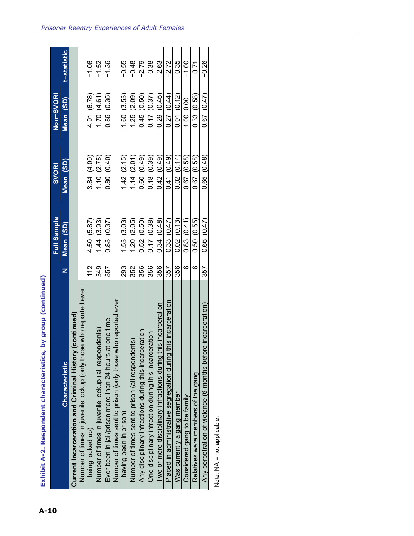|                                                                   |     | <b>Full Sample</b> | SVORI            | Non-SVORI       |             |
|-------------------------------------------------------------------|-----|--------------------|------------------|-----------------|-------------|
| <b>Characteristic</b>                                             |     | Mean (SD)          | Mean (SD)        | Mean (SD)       | t-statistic |
| (continued)<br>Current Incarceration and Criminal History         |     |                    |                  |                 |             |
| Number of times in juvenile lockup (only those who reported ever  |     |                    |                  |                 |             |
| being locked up)                                                  | 112 | 4.50 (5.87)        | 3.84 (4.00)      | 4.91 (6.78)     | $-1.06$     |
| idents)<br>Number of times in juvenile lockup (all respon         | 349 | 1.44(3.93)         | 1.10(2.75)       | 1.70(4.61)      | $-1.52$     |
| t one time<br>Ever been in jail/prison more than 24 hours at      | 357 | 0.83(0.37)         | 0.80(0.40)       | 0.86(0.35)      | -1.36       |
| ho reported ever<br>Number of times sent to prison (only those wh |     |                    |                  |                 |             |
| having been in prison)                                            | 293 | 1.53(3.03)         | 1.42(2.15)       | 1.60(3.53)      | $-0.55$     |
| Number of times sent to prison (all respondents)                  | 352 | 1.20(2.05)         | 1.14(2.01)       | 1.25(2.09)      | $-0.48$     |
| Any disciplinary infractions during this incarceration            | 356 | 0.52(0.50)         | $(64.0)$ 0.60    | 0.45(0.50)      | -2.79       |
| One disciplinary infraction during this incarceration             | 356 | 0.17(0.38)         | 0.18(0.39)       | 0.17(0.37)      | 0.38        |
| Two or more disciplinary infractions during this incarceration    | 356 | 0.34(0.48)         | (64.0, 42)       | 0.29(0.45)      | 2.63        |
| Placed in administrative segregation during this incarceration    | 357 | 0.33(0.47)         | $(6 + 0)$ (0.49) | 0.27(0.44)      | -2.72       |
| Was currently a gang member                                       | 356 | 0.02(0.13)         | 0.02(0.14)       | 0.01(0.12)      | 0.35        |
| Considered gang to be family                                      | ဖ   | 0.83(0.41)         | 0.67(0.58)       | 1.00 0.00       | $-1.00$     |
| Relatives were members of the gang                                | G   | 0.50(0.55)         | 0.67(0.58)       | 0.33(0.58)      | 71<br>0.71  |
| Any perpetration of violence (6 months before incarceration)      | 357 | 0.66(0.47)         | 0.65(0.48)       | $0.67$ $(0.47)$ | -0.26       |

Exhibit A-2. Respondent characteristics, by group (continued)

Note: NA = not applicable. Note: NA = not applicable.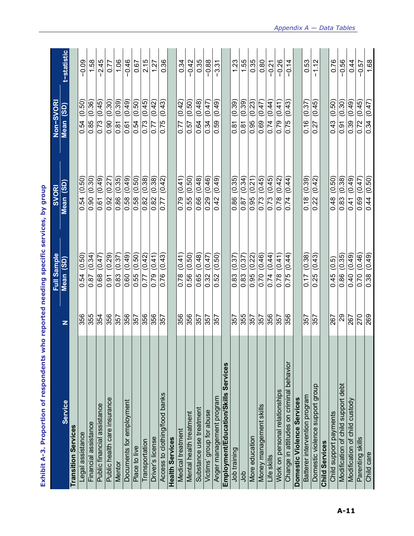| באוווטע בארס. ריו טון טון נט             |     | <b>NEW LEARN SHEETING SHEETING</b> | dina Kn                     |                              |            |
|------------------------------------------|-----|------------------------------------|-----------------------------|------------------------------|------------|
|                                          |     | <b>Sample</b><br>$\bar{5}$         | <b>SVORI</b>                | Non-SVORI                    |            |
| <b>Service</b>                           | z   | (3D)<br>Mean                       | (3D)<br>Mean                | (35)<br>Mean                 | -statistic |
| <b>Transition Services</b>               |     |                                    |                             |                              |            |
| Legal assistance                         | 356 | (0.50)<br>0.54                     | (0.50)<br>0.54              | (0.50)<br>0.54               | $-0.09$    |
| Financial assistance                     | 355 | (0.34)<br>0.87                     | (0.30)<br>$\overline{0.90}$ | $\overline{36}$<br>Q<br>0.85 | 1.58       |
| Public financial assistance              | 354 | (0.47)<br>0.68                     | (0.49)<br>0.61              | (0.45)<br>0.73               | $-2.45$    |
| Public health care insurance             | 356 | (67.0)<br>$\overline{0.91}$        | (0.27)<br>0.92              | (0.30)<br>0.90               | 0.77       |
| Mentor                                   | 357 | (0.37)<br>0.83                     | (0.35)<br>0.86              | (65.0)<br>0.81               | 1.06       |
| Documents for employment                 | 356 | (0.49)<br>0.60                     | (0.49)<br>0.58              | (0.49)<br>0.61               | $-0.46$    |
| Place to live                            | 357 | (0.50)<br>0.55                     | (0.50)<br>0.58              | (0.50)<br>0.54               | 0.67       |
| Transportation                           | 356 | (0.42)<br>0.77                     | (0.38)<br>0.82              | (0.45)<br>0.73               | 2.15       |
| Driver's license                         | 356 | (0.41)<br>0.79                     | (0.38)<br>0.82              | (0.42)<br>0.77               | 1.27       |
| Access to clothing/food banks            | 357 | (0.43)<br>0.76                     | (0.42)<br>0.77              | (0.43)<br>0.75               | 0.36       |
| <b>Health Services</b>                   |     |                                    |                             |                              |            |
| Medical treatment                        | 356 | (0.41)<br>0.78                     | (0.41)<br>0.79              | (0.42)<br>0.77               | 0.34       |
| Mental health treatment                  | 356 | (0.50)<br>0.56                     | (0.50)<br>0.55              | (0.50)<br>0.57               | $-0.42$    |
| Substance use treatment                  | 357 | (0.48)<br>0.65                     | (0.48)<br>0.66              | (0.48)<br>0.64               | 0.35       |
| Victims' group for abuse                 | 357 | (0.47)<br>0.32                     | (0.46)<br>0.29              | (0.47)<br>0.34               | $-0.88$    |
| Anger management program                 | 357 | (0.50)<br>0.52                     | (0.49)<br>0.42              | (0.49)<br>0.59               | $-3.31$    |
| Employment/Education/Skills Services     |     |                                    |                             |                              |            |
| Job training                             | 357 | (0.37)<br>0.83                     | (0.35)<br>0.86              | (0.39)<br>0.81               | 1.23       |
| dob                                      | 355 | (0.37)<br>0.83                     | 0.87(0.34)                  | (0.39)<br>0.81               | 1.55       |
| More education                           | 357 | (0.22)<br>0.95                     | (0.21)<br>0.95              | (0.23)<br>0.95               | 0.35       |
| Money management skills                  | 357 | (0.46)<br>0.70                     | (0.45)<br>0.73              | (0.47)<br>0.69               | 0.80       |
| Life skills                              | 356 | (44)<br>0.74                       | $(6+0)$<br>$\frac{0.73}{2}$ | (0.44)<br>0.74               | $-0.21$    |
| Work on personal relationships           | 357 | (0.41)<br>0.78                     | (0.42)<br>0.78              | (0.41)<br>0.79               | $-0.26$    |
| Change in attitudes on criminal behavior | 356 | (0.44)<br>0.75                     | (0.44)<br>0.74              | (0.43)<br>0.75               | $-0.14$    |
| Domestic Violence Services               |     |                                    |                             |                              |            |
| Batterer intervention program            | 357 | (0.38)<br>0.17                     | (0.39)<br>0.18              | (0.37)<br>0.16               | 0.53       |
| Domestic violence support group          | 357 | (0.43)<br>0.25                     | (0.42)<br>0.22              | (0.45)<br>0.27               | 1.12       |
| <b>Child Services</b>                    |     |                                    |                             |                              |            |
| Child support payments                   | 267 | (0.5)<br>0.45                      | (0.50)<br>0.48              | (0.50)<br>0.43               | 0.76       |
| Modification of child support debt       | 29  | (0.35)<br>0.86                     | (0.38)<br>0.83              | (0.30)<br>0.91               | $-0.56$    |
| Modification of child custody            | 267 | (0.49)<br>0.40                     | (0.49)<br>0.41              | (0.49)<br>0.39               | 0.44       |
| Parenting skills                         | 270 | (0.46)<br>0.70                     | (0.47)<br>0.69              | (0.45)<br>0.72               | $-0.57$    |
| Child care                               | 269 | (0.49)<br>0.38                     | (0.50)<br>0.44              | (0.47)<br>$\frac{0.34}{ }$   | 1.68       |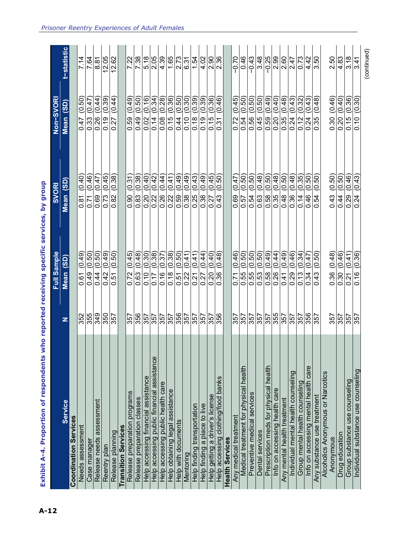|                                            |                      | <b>Sample</b><br>豆                 | <b>SVORI</b>                          | <b>ESVORI</b><br>Non-           |                       |
|--------------------------------------------|----------------------|------------------------------------|---------------------------------------|---------------------------------|-----------------------|
| <b>Service</b>                             | z                    | $\overline{\textbf{(3D)}}$<br>Mean | $\overline{3}$<br>Mean                | (3D)<br>Mean                    | <b>:-statistic</b>    |
| <b>Coordination Services</b>               |                      |                                    |                                       |                                 |                       |
| Needs assessment                           |                      | (0.49)<br>0.61                     | (0.40)<br>0.81                        | (0.50)<br>0.47                  | 7.14                  |
| Case manager                               |                      | (0.50)<br>0.49                     | (0.46)<br>0.71                        | (0.47)<br>0.33                  | 7.64                  |
| Release needs assessment                   | 355<br>358<br>349    | (0.50)<br>0.44                     | $\frac{1}{20}$<br>0.69                | (0.44)<br>0.26                  | 8.81                  |
| Reentry plan                               | $\frac{25}{357}$     | (0.49)<br>0.42                     | (0.45)<br>0.73                        | (0.39)<br>0.19                  | $\frac{12.05}{12.62}$ |
| Release planning                           |                      | (0.50)<br>0.51                     | $\sqrt{(0.38)}$<br>0.82               | (0.44)<br>0.27                  |                       |
| <b>Transition Services</b>                 |                      |                                    |                                       |                                 |                       |
| Release preparation programs               | 357                  | (0.45)<br>0.72                     | (0.31)<br>0.90                        | (0.49)<br>0.59                  | 7.22                  |
| Release preparation classes                | 356                  | (0.48)<br>0.63                     | (0.38)<br>0.83                        | (0.50)<br>0.49                  | 7.38                  |
| Help accessing financial assistance        | 357                  | (0.30)<br>0.10                     | (0.40)<br>0.20                        | (0.16)<br>0.02                  | 5.18                  |
| Help accessing public financial assistance | $\frac{357}{357}$    | (0.38)<br>0.17                     | (0.42)<br>0.22                        | (0.34)<br>0.14                  | $\frac{2.05}{4.39}$   |
| Help accessing public health care          |                      | $\frac{1}{(0.37)}$<br>0.16         | (0.44)<br>0.26                        | (87.0)<br>0.08                  |                       |
| Help obtaining legal assistance            |                      | (85.0)<br>0.18                     | (0.41)<br>0.22                        | (0.36)<br>0.15                  | 1.65                  |
| Help with documents                        | $\frac{25}{125}$     | (0.50)<br>0.51                     | (64.0)<br>0.59                        | (0.50)<br>0.44                  | 2.73                  |
| Mentoring                                  |                      | (0.41)<br>$\overline{0.22}$        | (0.49)<br>0.38                        | (0.30)<br>0.10                  | 6.31                  |
| Help finding transportation                | 357                  | (0.41)<br>0.21                     | (0.43)<br>0.25                        | (65.0)<br>0.18                  | 1.54                  |
| Help finding a place to live               | $\overline{357}$     | (0.44)<br>0.27                     | (0.49)<br>$\frac{0.38}{0.27}$         | (0.39)<br>0.19                  | 4.02                  |
| Help getting a driver's license            | 357                  | (0.40)<br>0.20                     | (0.45)                                | (0.36)<br>0.15                  | $\frac{2.90}{2.36}$   |
| Help accessing clothing/food banks         | 356                  | (0.48)<br>0.36                     | $\frac{1}{(0.50)}$<br>43<br>ö         | 46<br>ë<br>$\tilde{5}$<br>Ö     |                       |
| <b>Health Services</b>                     |                      |                                    |                                       |                                 |                       |
| Any medical treatment                      | 357                  | (0.46)<br>0.71                     | (0.47)<br>0.69                        | (0.45)<br>0.72                  | $-0.70$               |
| Medical treatment for physical health      | <b>S57</b>           | (0.50)<br>0.55                     | (0.50)<br>$\frac{0.57}{ }$            | (0.50)<br>0.54                  | 0.46                  |
| Preventive medical services                | $\frac{257}{357}$    | (0.50)<br>$\frac{55}{0.53}$        | (0.50)<br>0.54                        | (0.50)<br>0.56                  | $-0.43$               |
| Dental services                            |                      | (0.50)                             | (0.48)<br>0.63                        | $\frac{1}{(0.50)}$<br>0.45      | 3.48                  |
| Prescription meds for physical health      | 1955<br>1956<br>1957 | (0.49)<br>0.58                     | (0.50)<br>0.58                        | (0.49)<br>$\frac{650}{ }$       | $-0.25$               |
| Info on accessing health care              |                      | (0.44)<br>0.26                     | (0.48)<br>0.35                        | (0.40)<br>0.20                  |                       |
| Any mental health treatment                |                      | (0.49)<br>0.41                     | (0.50)<br>0.48                        | $(8+0)$<br>0.35                 | $\frac{2.90}{2.47}$   |
| Individual mental health counseling        | 357                  | $\sqrt{0.46}$<br>0.29              | (0.48)<br>0.36                        | (0.43)<br>0.24                  |                       |
| Group mental health counseling             | 357                  | (0.34)<br>0.13                     | $\frac{\sqrt{35}}{\sqrt{25}}$<br>0.14 | (0.32)<br>0.12                  | 0.73                  |
| Info on accessing mental health care       | 356                  | (0.47)<br>$\frac{34}{3}$           | 0.46                                  | $(6+0)$<br>0.24                 | 4.42                  |
| Any substance use treatment                | 357                  | (0.50)<br>0.43                     | (0.50)<br>0.54                        | (0.48)<br>0.35                  | 3.50                  |
| Alcoholics Anonymous or Narcotics          |                      |                                    |                                       |                                 |                       |
| Anonymous                                  |                      | (0.48)<br>0.36                     | (0.50)<br>0.43                        | (0.46)<br>0.30                  | 2.50                  |
| Drug education                             | 3575357              | (0.46)<br>$\frac{0.30}{0.21}$      | (0.50)<br>$\frac{0.44}{0.29}$         | $\frac{(95.0)}{(04.0)}$<br>0.20 | $\frac{4.83}{3.18}$   |
| Group substance use counseling             |                      | (0.41)                             | (0.46)                                | 0.15                            |                       |
| Individual substance use counseling        |                      | (95.0)<br>0.16                     | (64.0)<br>0.24                        | (0.30)<br>0.10                  | 3.41                  |
|                                            |                      |                                    |                                       |                                 |                       |

Exhibit A-4. Proportion of respondents who reported receiving specific services, by group